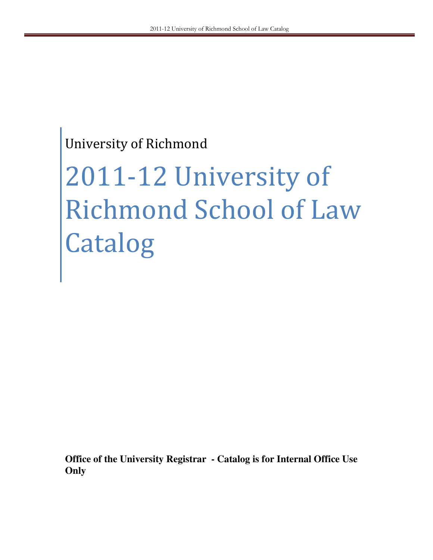# University of Richmond

# 2011-12 University of Richmond School of Law Catalog

**Office of the University Registrar - Catalog is for Internal Office Use Only**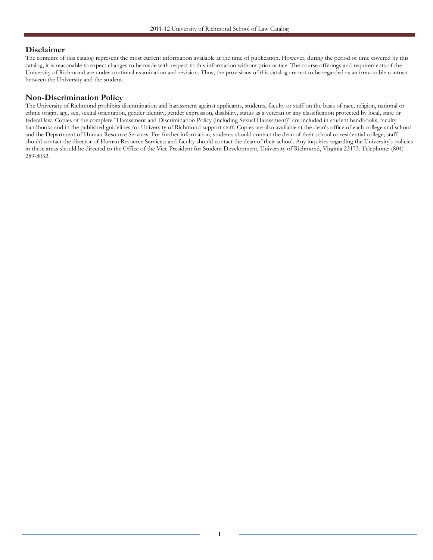#### Disclaimer

The contents of this catalog represent the most current information available at the time of publication. However, during the period of time covered by this catalog, it is reasonable to expect changes to be made with respect to this information without prior notice. The course offerings and requirements of the University of Richmond are under continual examination and revision. Thus, the provisions of this catalog are not to be regarded as an irrevocable contract between the University and the student.

#### Non-Discrimination Policy

The University of Richmond prohibits discrimination and harassment against applicants, students, faculty or staff on the basis of race, religion, national or ethnic origin, age, sex, sexual orientation, gender identity, gender expression, disability, status as a veteran or any classification protected by local, state or federal law. Copies of the complete "Harassment and Discrimination Policy (including Sexual Harassment)" are included in student handbooks, faculty handbooks and in the published guidelines for University of Richmond support staff. Copies are also available at the dean's office of each college and school and the Department of Human Resource Services. For further information, students should contact the dean of their school or residential college; staff should contact the director of Human Resource Services; and faculty should contact the dean of their school. Any inquiries regarding the University's policies in these areas should be directed to the Office of the Vice President for Student Development, University of Richmond, Virginia 23173. Telephone: (804) 289-8032.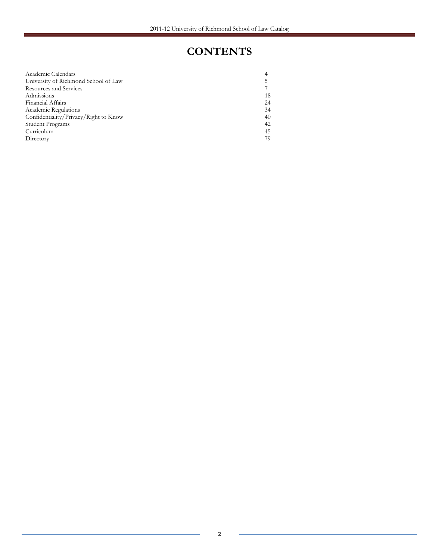# **CONTENTS**

| Academic Calendars                    | 4  |
|---------------------------------------|----|
| University of Richmond School of Law  | 5  |
| Resources and Services                |    |
| Admissions                            | 18 |
| <b>Financial Affairs</b>              | 24 |
| Academic Regulations                  | 34 |
| Confidentiality/Privacy/Right to Know | 40 |
| Student Programs                      | 42 |
| Curriculum                            | 45 |
| Directory                             | 79 |
|                                       |    |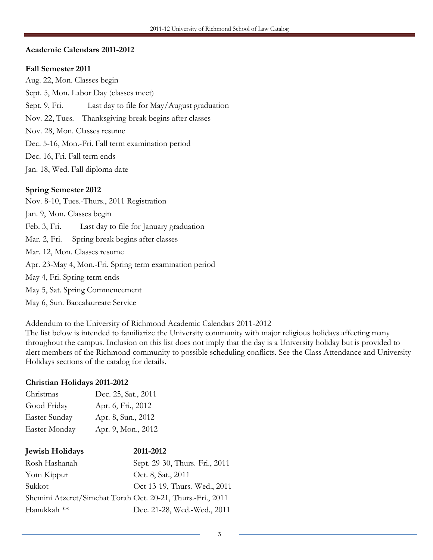#### Academic Calendars 2011-2012

#### Fall Semester 2011

Aug. 22, Mon. Classes begin Sept. 5, Mon. Labor Day (classes meet) Sept. 9, Fri. Last day to file for May/August graduation Nov. 22, Tues. Thanksgiving break begins after classes Nov. 28, Mon. Classes resume Dec. 5-16, Mon.-Fri. Fall term examination period Dec. 16, Fri. Fall term ends Jan. 18, Wed. Fall diploma date

#### Spring Semester 2012

Nov. 8-10, Tues.-Thurs., 2011 Registration Jan. 9, Mon. Classes begin Feb. 3, Fri. Last day to file for January graduation Mar. 2, Fri. Spring break begins after classes Mar. 12, Mon. Classes resume Apr. 23-May 4, Mon.-Fri. Spring term examination period May 4, Fri. Spring term ends May 5, Sat. Spring Commencement May 6, Sun. Baccalaureate Service

Addendum to the University of Richmond Academic Calendars 2011-2012

The list below is intended to familiarize the University community with major religious holidays affecting many throughout the campus. Inclusion on this list does not imply that the day is a University holiday but is provided to alert members of the Richmond community to possible scheduling conflicts. See the Class Attendance and University Holidays sections of the catalog for details.

#### Christian Holidays 2011-2012

| Christmas     | Dec. 25, Sat., 2011 |
|---------------|---------------------|
| Good Friday   | Apr. 6, Fri., 2012  |
| Easter Sunday | Apr. 8, Sun., 2012  |
| Easter Monday | Apr. 9, Mon., 2012  |

| <b>Jewish Holidays</b>                                      | 2011-2012                      |
|-------------------------------------------------------------|--------------------------------|
| Rosh Hashanah                                               | Sept. 29-30, Thurs.-Fri., 2011 |
| Yom Kippur                                                  | Oct. 8, Sat., 2011             |
| Sukkot                                                      | Oct 13-19, Thurs.-Wed., 2011   |
| Shemini Atzeret/Simchat Torah Oct. 20-21, Thurs.-Fri., 2011 |                                |
| Hanukkah **                                                 | Dec. 21-28, Wed.-Wed., 2011    |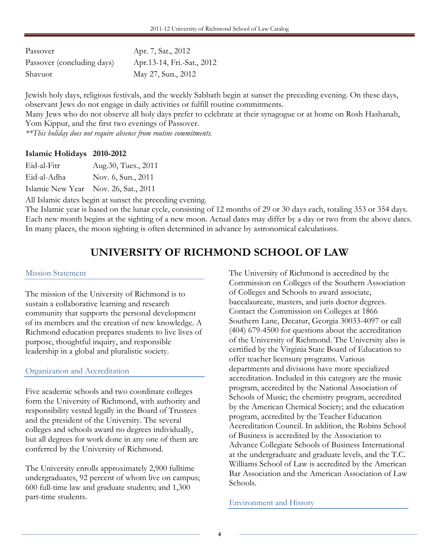| Passover                   | Apr. 7, Sat., 2012         |
|----------------------------|----------------------------|
| Passover (concluding days) | Apr.13-14, Fri.-Sat., 2012 |
| Shavuot                    | May 27, Sun., 2012         |

Jewish holy days, religious festivals, and the weekly Sabbath begin at sunset the preceding evening. On these days, observant Jews do not engage in daily activities or fulfill routine commitments.

Many Jews who do not observe all holy days prefer to celebrate at their synagogue or at home on Rosh Hashanah, Yom Kippur, and the first two evenings of Passover.

\*\*This holiday does not require absence from routine commitments.

#### Islamic Holidays 2010-2012

Eid-al-Adha Nov. 6, Sun., 2011

Islamic New Year Nov. 26, Sat., 2011

All Islamic dates begin at sunset the preceding evening.

The Islamic year is based on the lunar cycle, consisting of 12 months of 29 or 30 days each, totaling 353 or 354 days. Each new month begins at the sighting of a new moon. Actual dates may differ by a day or two from the above dates. In many places, the moon sighting is often determined in advance by astronomical calculations.

# UNIVERSITY OF RICHMOND SCHOOL OF LAW

#### Mission Statement

The mission of the University of Richmond is to sustain a collaborative learning and research community that supports the personal development of its members and the creation of new knowledge. A Richmond education prepares students to live lives of purpose, thoughtful inquiry, and responsible leadership in a global and pluralistic society.

#### Organization and Accreditation

Five academic schools and two coordinate colleges form the University of Richmond, with authority and responsibility vested legally in the Board of Trustees and the president of the University. The several colleges and schools award no degrees individually, but all degrees for work done in any one of them are conferred by the University of Richmond.

The University enrolls approximately 2,900 fulltime undergraduates, 92 percent of whom live on campus; 600 full-time law and graduate students; and 1,300 part-time students.

The University of Richmond is accredited by the Commission on Colleges of the Southern Association of Colleges and Schools to award associate, baccalaureate, masters, and juris doctor degrees. Contact the Commission on Colleges at 1866 Southern Lane, Decatur, Georgia 30033-4097 or call (404) 679-4500 for questions about the accreditation of the University of Richmond. The University also is certified by the Virginia State Board of Education to offer teacher licensure programs. Various departments and divisions have more specialized accreditation. Included in this category are the music program, accredited by the National Association of Schools of Music; the chemistry program, accredited by the American Chemical Society; and the education program, accredited by the Teacher Education Accreditation Council. In addition, the Robins School of Business is accredited by the Association to Advance Collegiate Schools of Business International at the undergraduate and graduate levels, and the T.C. Williams School of Law is accredited by the American Bar Association and the American Association of Law Schools.

Environment and History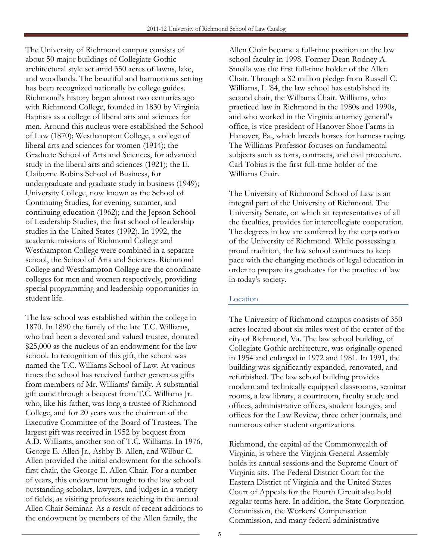The University of Richmond campus consists of about 50 major buildings of Collegiate Gothic architectural style set amid 350 acres of lawns, lake, and woodlands. The beautiful and harmonious setting has been recognized nationally by college guides. Richmond's history began almost two centuries ago with Richmond College, founded in 1830 by Virginia Baptists as a college of liberal arts and sciences for men. Around this nucleus were established the School of Law (1870); Westhampton College, a college of liberal arts and sciences for women (1914); the Graduate School of Arts and Sciences, for advanced study in the liberal arts and sciences (1921); the E. Claiborne Robins School of Business, for undergraduate and graduate study in business (1949); University College, now known as the School of Continuing Studies, for evening, summer, and continuing education (1962); and the Jepson School of Leadership Studies, the first school of leadership studies in the United States (1992). In 1992, the academic missions of Richmond College and Westhampton College were combined in a separate school, the School of Arts and Sciences. Richmond College and Westhampton College are the coordinate colleges for men and women respectively, providing special programming and leadership opportunities in student life.

The law school was established within the college in 1870. In 1890 the family of the late T.C. Williams, who had been a devoted and valued trustee, donated \$25,000 as the nucleus of an endowment for the law school. In recognition of this gift, the school was named the T.C. Williams School of Law. At various times the school has received further generous gifts from members of Mr. Williams' family. A substantial gift came through a bequest from T.C. Williams Jr. who, like his father, was long a trustee of Richmond College, and for 20 years was the chairman of the Executive Committee of the Board of Trustees. The largest gift was received in 1952 by bequest from A.D. Williams, another son of T.C. Williams. In 1976, George E. Allen Jr., Ashby B. Allen, and Wilbur C. Allen provided the initial endowment for the school's first chair, the George E. Allen Chair. For a number of years, this endowment brought to the law school outstanding scholars, lawyers, and judges in a variety of fields, as visiting professors teaching in the annual Allen Chair Seminar. As a result of recent additions to the endowment by members of the Allen family, the

Allen Chair became a full-time position on the law school faculty in 1998. Former Dean Rodney A. Smolla was the first full-time holder of the Allen Chair. Through a \$2 million pledge from Russell C. Williams, L '84, the law school has established its second chair, the Williams Chair. Williams, who practiced law in Richmond in the 1980s and 1990s, and who worked in the Virginia attorney general's office, is vice president of Hanover Shoe Farms in Hanover, Pa., which breeds horses for harness racing. The Williams Professor focuses on fundamental subjects such as torts, contracts, and civil procedure. Carl Tobias is the first full-time holder of the Williams Chair.

The University of Richmond School of Law is an integral part of the University of Richmond. The University Senate, on which sit representatives of all the faculties, provides for intercollegiate cooperation. The degrees in law are conferred by the corporation of the University of Richmond. While possessing a proud tradition, the law school continues to keep pace with the changing methods of legal education in order to prepare its graduates for the practice of law in today's society.

#### Location

The University of Richmond campus consists of 350 acres located about six miles west of the center of the city of Richmond, Va. The law school building, of Collegiate Gothic architecture, was originally opened in 1954 and enlarged in 1972 and 1981. In 1991, the building was significantly expanded, renovated, and refurbished. The law school building provides modern and technically equipped classrooms, seminar rooms, a law library, a courtroom, faculty study and offices, administrative offices, student lounges, and offices for the Law Review, three other journals, and numerous other student organizations.

Richmond, the capital of the Commonwealth of Virginia, is where the Virginia General Assembly holds its annual sessions and the Supreme Court of Virginia sits. The Federal District Court for the Eastern District of Virginia and the United States Court of Appeals for the Fourth Circuit also hold regular terms here. In addition, the State Corporation Commission, the Workers' Compensation Commission, and many federal administrative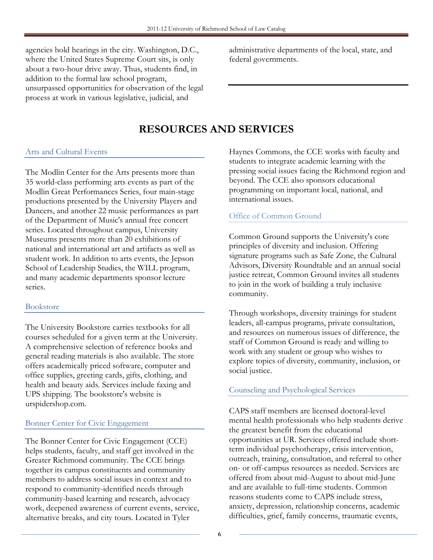agencies hold hearings in the city. Washington, D.C., where the United States Supreme Court sits, is only about a two-hour drive away. Thus, students find, in addition to the formal law school program, unsurpassed opportunities for observation of the legal process at work in various legislative, judicial, and

administrative departments of the local, state, and federal governments.

# RESOURCES AND SERVICES

#### Arts and Cultural Events

The Modlin Center for the Arts presents more than 35 world-class performing arts events as part of the Modlin Great Performances Series, four main-stage productions presented by the University Players and Dancers, and another 22 music performances as part of the Department of Music's annual free concert series. Located throughout campus, University Museums presents more than 20 exhibitions of national and international art and artifacts as well as student work. In addition to arts events, the Jepson School of Leadership Studies, the WILL program, and many academic departments sponsor lecture series.

#### Bookstore

The University Bookstore carries textbooks for all courses scheduled for a given term at the University. A comprehensive selection of reference books and general reading materials is also available. The store offers academically priced software, computer and office supplies, greeting cards, gifts, clothing, and health and beauty aids. Services include faxing and UPS shipping. The bookstore's website is urspidershop.com.

#### Bonner Center for Civic Engagement

The Bonner Center for Civic Engagement (CCE) helps students, faculty, and staff get involved in the Greater Richmond community. The CCE brings together its campus constituents and community members to address social issues in context and to respond to community-identified needs through community-based learning and research, advocacy work, deepened awareness of current events, service, alternative breaks, and city tours. Located in Tyler

Haynes Commons, the CCE works with faculty and students to integrate academic learning with the pressing social issues facing the Richmond region and beyond. The CCE also sponsors educational programming on important local, national, and international issues.

#### Office of Common Ground

Common Ground supports the University's core principles of diversity and inclusion. Offering signature programs such as Safe Zone, the Cultural Advisors, Diversity Roundtable and an annual social justice retreat, Common Ground invites all students to join in the work of building a truly inclusive community.

Through workshops, diversity trainings for student leaders, all-campus programs, private consultation, and resources on numerous issues of difference, the staff of Common Ground is ready and willing to work with any student or group who wishes to explore topics of diversity, community, inclusion, or social justice.

#### Counseling and Psychological Services

CAPS staff members are licensed doctoral-level mental health professionals who help students derive the greatest benefit from the educational opportunities at UR. Services offered include shortterm individual psychotherapy, crisis intervention, outreach, training, consultation, and referral to other on- or off-campus resources as needed. Services are offered from about mid-August to about mid-June and are available to full-time students. Common reasons students come to CAPS include stress, anxiety, depression, relationship concerns, academic difficulties, grief, family concerns, traumatic events,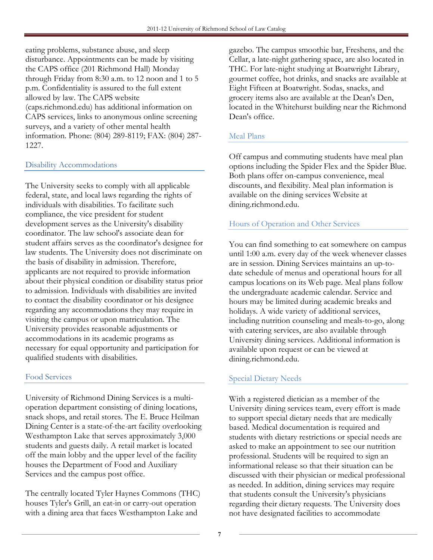eating problems, substance abuse, and sleep disturbance. Appointments can be made by visiting the CAPS office (201 Richmond Hall) Monday through Friday from 8:30 a.m. to 12 noon and 1 to 5 p.m. Confidentiality is assured to the full extent allowed by law. The CAPS website (caps.richmond.edu) has additional information on CAPS services, links to anonymous online screening surveys, and a variety of other mental health information. Phone: (804) 289-8119; FAX: (804) 287- 1227.

# Disability Accommodations

The University seeks to comply with all applicable federal, state, and local laws regarding the rights of individuals with disabilities. To facilitate such compliance, the vice president for student development serves as the University's disability coordinator. The law school's associate dean for student affairs serves as the coordinator's designee for law students. The University does not discriminate on the basis of disability in admission. Therefore, applicants are not required to provide information about their physical condition or disability status prior to admission. Individuals with disabilities are invited to contact the disability coordinator or his designee regarding any accommodations they may require in visiting the campus or upon matriculation. The University provides reasonable adjustments or accommodations in its academic programs as necessary for equal opportunity and participation for qualified students with disabilities.

#### Food Services

University of Richmond Dining Services is a multioperation department consisting of dining locations, snack shops, and retail stores. The E. Bruce Heilman Dining Center is a state-of-the-art facility overlooking Westhampton Lake that serves approximately 3,000 students and guests daily. A retail market is located off the main lobby and the upper level of the facility houses the Department of Food and Auxiliary Services and the campus post office.

The centrally located Tyler Haynes Commons (THC) houses Tyler's Grill, an eat-in or carry-out operation with a dining area that faces Westhampton Lake and

gazebo. The campus smoothie bar, Freshens, and the Cellar, a late-night gathering space, are also located in THC. For late-night studying at Boatwright Library, gourmet coffee, hot drinks, and snacks are available at Eight Fifteen at Boatwright. Sodas, snacks, and grocery items also are available at the Dean's Den, located in the Whitehurst building near the Richmond Dean's office.

#### Meal Plans

Off campus and commuting students have meal plan options including the Spider Flex and the Spider Blue. Both plans offer on-campus convenience, meal discounts, and flexibility. Meal plan information is available on the dining services Website at dining.richmond.edu.

# Hours of Operation and Other Services

You can find something to eat somewhere on campus until 1:00 a.m. every day of the week whenever classes are in session. Dining Services maintains an up-todate schedule of menus and operational hours for all campus locations on its Web page. Meal plans follow the undergraduate academic calendar. Service and hours may be limited during academic breaks and holidays. A wide variety of additional services, including nutrition counseling and meals-to-go, along with catering services, are also available through University dining services. Additional information is available upon request or can be viewed at dining.richmond.edu.

#### Special Dietary Needs

With a registered dietician as a member of the University dining services team, every effort is made to support special dietary needs that are medically based. Medical documentation is required and students with dietary restrictions or special needs are asked to make an appointment to see our nutrition professional. Students will be required to sign an informational release so that their situation can be discussed with their physician or medical professional as needed. In addition, dining services may require that students consult the University's physicians regarding their dietary requests. The University does not have designated facilities to accommodate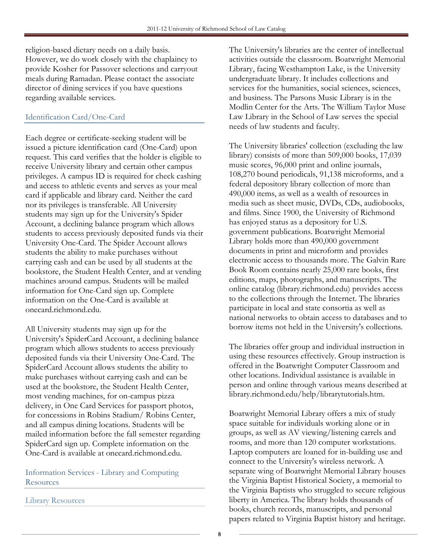religion-based dietary needs on a daily basis. However, we do work closely with the chaplaincy to provide Kosher for Passover selections and carryout meals during Ramadan. Please contact the associate director of dining services if you have questions regarding available services.

# Identification Card/One-Card

Each degree or certificate-seeking student will be issued a picture identification card (One-Card) upon request. This card verifies that the holder is eligible to receive University library and certain other campus privileges. A campus ID is required for check cashing and access to athletic events and serves as your meal card if applicable and library card. Neither the card nor its privileges is transferable. All University students may sign up for the University's Spider Account, a declining balance program which allows students to access previously deposited funds via their University One-Card. The Spider Account allows students the ability to make purchases without carrying cash and can be used by all students at the bookstore, the Student Health Center, and at vending machines around campus. Students will be mailed information for One-Card sign up. Complete information on the One-Card is available at onecard.richmond.edu.

All University students may sign up for the University's SpiderCard Account, a declining balance program which allows students to access previously deposited funds via their University One-Card. The SpiderCard Account allows students the ability to make purchases without carrying cash and can be used at the bookstore, the Student Health Center, most vending machines, for on-campus pizza delivery, in One Card Services for passport photos, for concessions in Robins Stadium/ Robins Center, and all campus dining locations. Students will be mailed information before the fall semester regarding SpiderCard sign up. Complete information on the One-Card is available at onecard.richmond.edu.

Information Services - Library and Computing **Resources** 

Library Resources

The University's libraries are the center of intellectual activities outside the classroom. Boatwright Memorial Library, facing Westhampton Lake, is the University undergraduate library. It includes collections and services for the humanities, social sciences, sciences, and business. The Parsons Music Library is in the Modlin Center for the Arts. The William Taylor Muse Law Library in the School of Law serves the special needs of law students and faculty.

The University libraries' collection (excluding the law library) consists of more than 509,000 books, 17,039 music scores, 96,000 print and online journals, 108,270 bound periodicals, 91,138 microforms, and a federal depository library collection of more than 490,000 items, as well as a wealth of resources in media such as sheet music, DVDs, CDs, audiobooks, and films. Since 1900, the University of Richmond has enjoyed status as a depository for U.S. government publications. Boatwright Memorial Library holds more than 490,000 government documents in print and microform and provides electronic access to thousands more. The Galvin Rare Book Room contains nearly 25,000 rare books, first editions, maps, photographs, and manuscripts. The online catalog (library.richmond.edu) provides access to the collections through the Internet. The libraries participate in local and state consortia as well as national networks to obtain access to databases and to borrow items not held in the University's collections.

The libraries offer group and individual instruction in using these resources effectively. Group instruction is offered in the Boatwright Computer Classroom and other locations. Individual assistance is available in person and online through various means described at library.richmond.edu/help/librarytutorials.htm.

Boatwright Memorial Library offers a mix of study space suitable for individuals working alone or in groups, as well as AV viewing/listening carrels and rooms, and more than 120 computer workstations. Laptop computers are loaned for in-building use and connect to the University's wireless network. A separate wing of Boatwright Memorial Library houses the Virginia Baptist Historical Society, a memorial to the Virginia Baptists who struggled to secure religious liberty in America. The library holds thousands of books, church records, manuscripts, and personal papers related to Virginia Baptist history and heritage.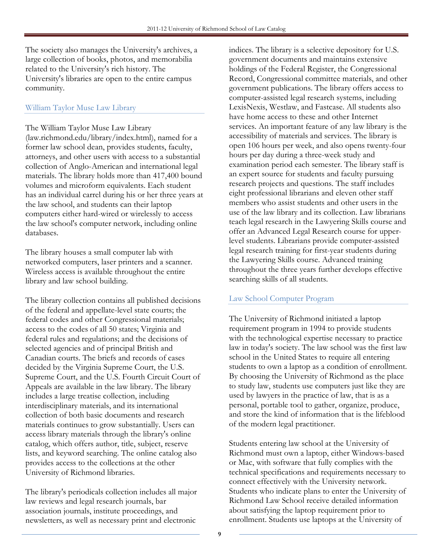The society also manages the University's archives, a large collection of books, photos, and memorabilia related to the University's rich history. The University's libraries are open to the entire campus community.

#### William Taylor Muse Law Library

The William Taylor Muse Law Library (law.richmond.edu/library/index.html), named for a former law school dean, provides students, faculty, attorneys, and other users with access to a substantial collection of Anglo-American and international legal materials. The library holds more than 417,400 bound volumes and microform equivalents. Each student has an individual carrel during his or her three years at the law school, and students can their laptop computers either hard-wired or wirelessly to access the law school's computer network, including online databases.

The library houses a small computer lab with networked computers, laser printers and a scanner. Wireless access is available throughout the entire library and law school building.

The library collection contains all published decisions of the federal and appellate-level state courts; the federal codes and other Congressional materials; access to the codes of all 50 states; Virginia and federal rules and regulations; and the decisions of selected agencies and of principal British and Canadian courts. The briefs and records of cases decided by the Virginia Supreme Court, the U.S. Supreme Court, and the U.S. Fourth Circuit Court of Appeals are available in the law library. The library includes a large treatise collection, including interdisciplinary materials, and its international collection of both basic documents and research materials continues to grow substantially. Users can access library materials through the library's online catalog, which offers author, title, subject, reserve lists, and keyword searching. The online catalog also provides access to the collections at the other University of Richmond libraries.

The library's periodicals collection includes all major law reviews and legal research journals, bar association journals, institute proceedings, and newsletters, as well as necessary print and electronic

indices. The library is a selective depository for U.S. government documents and maintains extensive holdings of the Federal Register, the Congressional Record, Congressional committee materials, and other government publications. The library offers access to computer-assisted legal research systems, including LexisNexis, Westlaw, and Fastcase. All students also have home access to these and other Internet services. An important feature of any law library is the accessibility of materials and services. The library is open 106 hours per week, and also opens twenty-four hours per day during a three-week study and examination period each semester. The library staff is an expert source for students and faculty pursuing research projects and questions. The staff includes eight professional librarians and eleven other staff members who assist students and other users in the use of the law library and its collection. Law librarians teach legal research in the Lawyering Skills course and offer an Advanced Legal Research course for upperlevel students. Librarians provide computer-assisted legal research training for first-year students during the Lawyering Skills course. Advanced training throughout the three years further develops effective searching skills of all students.

#### Law School Computer Program

The University of Richmond initiated a laptop requirement program in 1994 to provide students with the technological expertise necessary to practice law in today's society. The law school was the first law school in the United States to require all entering students to own a laptop as a condition of enrollment. By choosing the University of Richmond as the place to study law, students use computers just like they are used by lawyers in the practice of law, that is as a personal, portable tool to gather, organize, produce, and store the kind of information that is the lifeblood of the modern legal practitioner.

Students entering law school at the University of Richmond must own a laptop, either Windows-based or Mac, with software that fully complies with the technical specifications and requirements necessary to connect effectively with the University network. Students who indicate plans to enter the University of Richmond Law School receive detailed information about satisfying the laptop requirement prior to enrollment. Students use laptops at the University of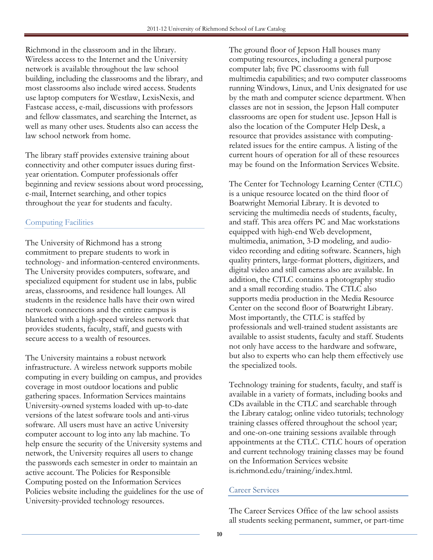Richmond in the classroom and in the library. Wireless access to the Internet and the University network is available throughout the law school building, including the classrooms and the library, and most classrooms also include wired access. Students use laptop computers for Westlaw, LexisNexis, and Fastcase access, e-mail, discussions with professors and fellow classmates, and searching the Internet, as well as many other uses. Students also can access the law school network from home.

The library staff provides extensive training about connectivity and other computer issues during firstyear orientation. Computer professionals offer beginning and review sessions about word processing, e-mail, Internet searching, and other topics throughout the year for students and faculty.

# Computing Facilities

The University of Richmond has a strong commitment to prepare students to work in technology- and information-centered environments. The University provides computers, software, and specialized equipment for student use in labs, public areas, classrooms, and residence hall lounges. All students in the residence halls have their own wired network connections and the entire campus is blanketed with a high-speed wireless network that provides students, faculty, staff, and guests with secure access to a wealth of resources.

The University maintains a robust network infrastructure. A wireless network supports mobile computing in every building on campus, and provides coverage in most outdoor locations and public gathering spaces. Information Services maintains University-owned systems loaded with up-to-date versions of the latest software tools and anti-virus software. All users must have an active University computer account to log into any lab machine. To help ensure the security of the University systems and network, the University requires all users to change the passwords each semester in order to maintain an active account. The Policies for Responsible Computing posted on the Information Services Policies website including the guidelines for the use of University-provided technology resources.

The ground floor of Jepson Hall houses many computing resources, including a general purpose computer lab; five PC classrooms with full multimedia capabilities; and two computer classrooms running Windows, Linux, and Unix designated for use by the math and computer science department. When classes are not in session, the Jepson Hall computer classrooms are open for student use. Jepson Hall is also the location of the Computer Help Desk, a resource that provides assistance with computingrelated issues for the entire campus. A listing of the current hours of operation for all of these resources may be found on the Information Services Website.

The Center for Technology Learning Center (CTLC) is a unique resource located on the third floor of Boatwright Memorial Library. It is devoted to servicing the multimedia needs of students, faculty, and staff. This area offers PC and Mac workstations equipped with high-end Web development, multimedia, animation, 3-D modeling, and audiovideo recording and editing software. Scanners, high quality printers, large-format plotters, digitizers, and digital video and still cameras also are available. In addition, the CTLC contains a photography studio and a small recording studio. The CTLC also supports media production in the Media Resource Center on the second floor of Boatwright Library. Most importantly, the CTLC is staffed by professionals and well-trained student assistants are available to assist students, faculty and staff. Students not only have access to the hardware and software, but also to experts who can help them effectively use the specialized tools.

Technology training for students, faculty, and staff is available in a variety of formats, including books and CDs available in the CTLC and searchable through the Library catalog; online video tutorials; technology training classes offered throughout the school year; and one-on-one training sessions available through appointments at the CTLC. CTLC hours of operation and current technology training classes may be found on the Information Services website is.richmond.edu/training/index.html.

#### Career Services

The Career Services Office of the law school assists all students seeking permanent, summer, or part-time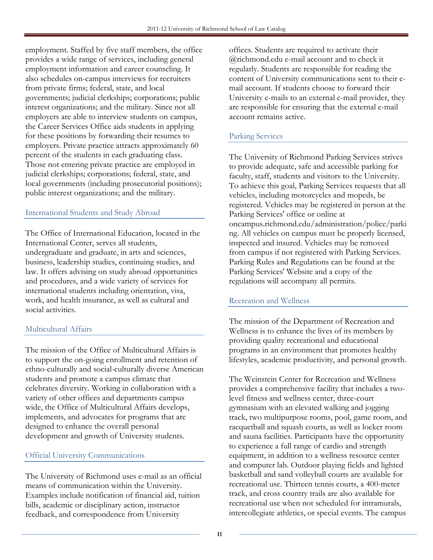employment. Staffed by five staff members, the office provides a wide range of services, including general employment information and career counseling. It also schedules on-campus interviews for recruiters from private firms; federal, state, and local governments; judicial clerkships; corporations; public interest organizations; and the military. Since not all employers are able to interview students on campus, the Career Services Office aids students in applying for these positions by forwarding their resumes to employers. Private practice attracts approximately 60 percent of the students in each graduating class. Those not entering private practice are employed in judicial clerkships; corporations; federal, state, and local governments (including prosecutorial positions); public interest organizations; and the military.

# International Students and Study Abroad

The Office of International Education, located in the International Center, serves all students, undergraduate and graduate, in arts and sciences, business, leadership studies, continuing studies, and law. It offers advising on study abroad opportunities and procedures, and a wide variety of services for international students including orientation, visa, work, and health insurance, as well as cultural and social activities.

# Multicultural Affairs

The mission of the Office of Multicultural Affairs is to support the on-going enrollment and retention of ethno-culturally and social-culturally diverse American students and promote a campus climate that celebrates diversity. Working in collaboration with a variety of other offices and departments campus wide, the Office of Multicultural Affairs develops, implements, and advocates for programs that are designed to enhance the overall personal development and growth of University students.

#### Official University Communications

The University of Richmond uses e-mail as an official means of communication within the University. Examples include notification of financial aid, tuition bills, academic or disciplinary action, instructor feedback, and correspondence from University

offices. Students are required to activate their @richmond.edu e-mail account and to check it regularly. Students are responsible for reading the content of University communications sent to their email account. If students choose to forward their University e-mails to an external e-mail provider, they are responsible for ensuring that the external e-mail account remains active.

# Parking Services

The University of Richmond Parking Services strives to provide adequate, safe and accessible parking for faculty, staff, students and visitors to the University. To achieve this goal, Parking Services requests that all vehicles, including motorcycles and mopeds, be registered. Vehicles may be registered in person at the Parking Services' office or online at oncampus.richmond.edu/administration/police/parki ng. All vehicles on campus must be properly licensed, inspected and insured. Vehicles may be removed from campus if not registered with Parking Services. Parking Rules and Regulations can be found at the Parking Services' Website and a copy of the regulations will accompany all permits.

#### Recreation and Wellness

The mission of the Department of Recreation and Wellness is to enhance the lives of its members by providing quality recreational and educational programs in an environment that promotes healthy lifestyles, academic productivity, and personal growth.

The Weinstein Center for Recreation and Wellness provides a comprehensive facility that includes a twolevel fitness and wellness center, three-court gymnasium with an elevated walking and jogging track, two multipurpose rooms, pool, game room, and racquetball and squash courts, as well as locker room and sauna facilities. Participants have the opportunity to experience a full range of cardio and strength equipment, in addition to a wellness resource center and computer lab. Outdoor playing fields and lighted basketball and sand volleyball courts are available for recreational use. Thirteen tennis courts, a 400-meter track, and cross country trails are also available for recreational use when not scheduled for intramurals, intercollegiate athletics, or special events. The campus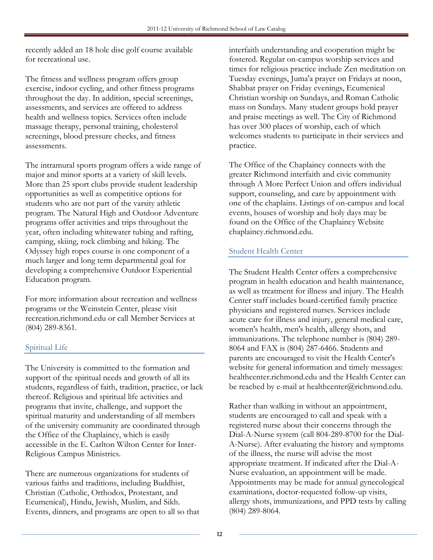recently added an 18 hole disc golf course available for recreational use.

The fitness and wellness program offers group exercise, indoor cycling, and other fitness programs throughout the day. In addition, special screenings, assessments, and services are offered to address health and wellness topics. Services often include massage therapy, personal training, cholesterol screenings, blood pressure checks, and fitness assessments.

The intramural sports program offers a wide range of major and minor sports at a variety of skill levels. More than 25 sport clubs provide student leadership opportunities as well as competitive options for students who are not part of the varsity athletic program. The Natural High and Outdoor Adventure programs offer activities and trips throughout the year, often including whitewater tubing and rafting, camping, skiing, rock climbing and hiking. The Odyssey high ropes course is one component of a much larger and long term departmental goal for developing a comprehensive Outdoor Experiential Education program.

For more information about recreation and wellness programs or the Weinstein Center, please visit recreation.richmond.edu or call Member Services at (804) 289-8361.

#### Spiritual Life

The University is committed to the formation and support of the spiritual needs and growth of all its students, regardless of faith, tradition, practice, or lack thereof. Religious and spiritual life activities and programs that invite, challenge, and support the spiritual maturity and understanding of all members of the university community are coordinated through the Office of the Chaplaincy, which is easily accessible in the E. Carlton Wilton Center for Inter-Religious Campus Ministries.

There are numerous organizations for students of various faiths and traditions, including Buddhist, Christian (Catholic, Orthodox, Protestant, and Ecumenical), Hindu, Jewish, Muslim, and Sikh. Events, dinners, and programs are open to all so that

interfaith understanding and cooperation might be fostered. Regular on-campus worship services and times for religious practice include Zen meditation on Tuesday evenings, Juma'a prayer on Fridays at noon, Shabbat prayer on Friday evenings, Ecumenical Christian worship on Sundays, and Roman Catholic mass on Sundays. Many student groups hold prayer and praise meetings as well. The City of Richmond has over 300 places of worship, each of which welcomes students to participate in their services and practice.

The Office of the Chaplaincy connects with the greater Richmond interfaith and civic community through A More Perfect Union and offers individual support, counseling, and care by appointment with one of the chaplains. Listings of on-campus and local events, houses of worship and holy days may be found on the Office of the Chaplaincy Website chaplaincy.richmond.edu.

#### Student Health Center

The Student Health Center offers a comprehensive program in health education and health maintenance, as well as treatment for illness and injury. The Health Center staff includes board-certified family practice physicians and registered nurses. Services include acute care for illness and injury, general medical care, women's health, men's health, allergy shots, and immunizations. The telephone number is (804) 289- 8064 and FAX is (804) 287-6466. Students and parents are encouraged to visit the Health Center's website for general information and timely messages: healthcenter.richmond.edu and the Health Center can be reached by e-mail at healthcenter@richmond.edu.

Rather than walking in without an appointment, students are encouraged to call and speak with a registered nurse about their concerns through the Dial-A-Nurse system (call 804-289-8700 for the Dial-A-Nurse). After evaluating the history and symptoms of the illness, the nurse will advise the most appropriate treatment. If indicated after the Dial-A-Nurse evaluation, an appointment will be made. Appointments may be made for annual gynecological examinations, doctor-requested follow-up visits, allergy shots, immunizations, and PPD tests by calling (804) 289-8064.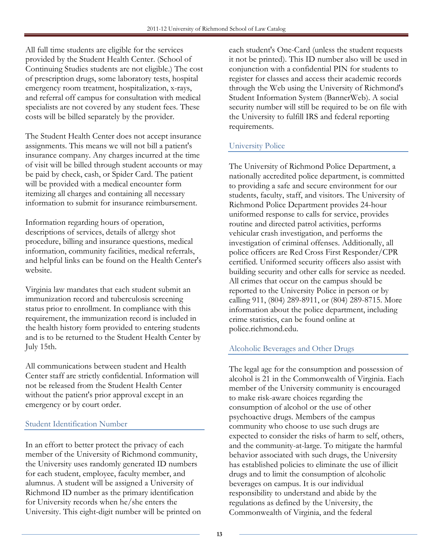All full time students are eligible for the services provided by the Student Health Center. (School of Continuing Studies students are not eligible.) The cost of prescription drugs, some laboratory tests, hospital emergency room treatment, hospitalization, x-rays, and referral off campus for consultation with medical specialists are not covered by any student fees. These costs will be billed separately by the provider.

The Student Health Center does not accept insurance assignments. This means we will not bill a patient's insurance company. Any charges incurred at the time of visit will be billed through student accounts or may be paid by check, cash, or Spider Card. The patient will be provided with a medical encounter form itemizing all charges and containing all necessary information to submit for insurance reimbursement.

Information regarding hours of operation, descriptions of services, details of allergy shot procedure, billing and insurance questions, medical information, community facilities, medical referrals, and helpful links can be found on the Health Center's website.

Virginia law mandates that each student submit an immunization record and tuberculosis screening status prior to enrollment. In compliance with this requirement, the immunization record is included in the health history form provided to entering students and is to be returned to the Student Health Center by July 15th.

All communications between student and Health Center staff are strictly confidential. Information will not be released from the Student Health Center without the patient's prior approval except in an emergency or by court order.

# Student Identification Number

In an effort to better protect the privacy of each member of the University of Richmond community, the University uses randomly generated ID numbers for each student, employee, faculty member, and alumnus. A student will be assigned a University of Richmond ID number as the primary identification for University records when he/she enters the University. This eight-digit number will be printed on

each student's One-Card (unless the student requests it not be printed). This ID number also will be used in conjunction with a confidential PIN for students to register for classes and access their academic records through the Web using the University of Richmond's Student Information System (BannerWeb). A social security number will still be required to be on file with the University to fulfill IRS and federal reporting requirements.

# University Police

The University of Richmond Police Department, a nationally accredited police department, is committed to providing a safe and secure environment for our students, faculty, staff, and visitors. The University of Richmond Police Department provides 24-hour uniformed response to calls for service, provides routine and directed patrol activities, performs vehicular crash investigation, and performs the investigation of criminal offenses. Additionally, all police officers are Red Cross First Responder/CPR certified. Uniformed security officers also assist with building security and other calls for service as needed. All crimes that occur on the campus should be reported to the University Police in person or by calling 911, (804) 289-8911, or (804) 289-8715. More information about the police department, including crime statistics, can be found online at police.richmond.edu.

#### Alcoholic Beverages and Other Drugs

The legal age for the consumption and possession of alcohol is 21 in the Commonwealth of Virginia. Each member of the University community is encouraged to make risk-aware choices regarding the consumption of alcohol or the use of other psychoactive drugs. Members of the campus community who choose to use such drugs are expected to consider the risks of harm to self, others, and the community-at-large. To mitigate the harmful behavior associated with such drugs, the University has established policies to eliminate the use of illicit drugs and to limit the consumption of alcoholic beverages on campus. It is our individual responsibility to understand and abide by the regulations as defined by the University, the Commonwealth of Virginia, and the federal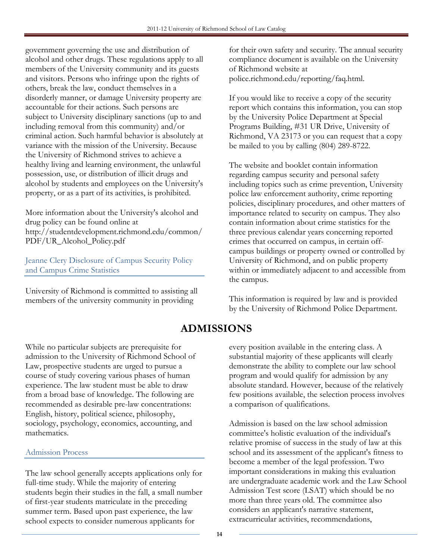government governing the use and distribution of alcohol and other drugs. These regulations apply to all members of the University community and its guests and visitors. Persons who infringe upon the rights of others, break the law, conduct themselves in a disorderly manner, or damage University property are accountable for their actions. Such persons are subject to University disciplinary sanctions (up to and including removal from this community) and/or criminal action. Such harmful behavior is absolutely at variance with the mission of the University. Because the University of Richmond strives to achieve a healthy living and learning environment, the unlawful possession, use, or distribution of illicit drugs and alcohol by students and employees on the University's property, or as a part of its activities, is prohibited.

More information about the University's alcohol and drug policy can be found online at http://studentdevelopment.richmond.edu/common/ PDF/UR\_Alcohol\_Policy.pdf

Jeanne Clery Disclosure of Campus Security Policy and Campus Crime Statistics

University of Richmond is committed to assisting all members of the university community in providing

for their own safety and security. The annual security compliance document is available on the University of Richmond website at police.richmond.edu/reporting/faq.html.

If you would like to receive a copy of the security report which contains this information, you can stop by the University Police Department at Special Programs Building, #31 UR Drive, University of Richmond, VA 23173 or you can request that a copy be mailed to you by calling (804) 289-8722.

The website and booklet contain information regarding campus security and personal safety including topics such as crime prevention, University police law enforcement authority, crime reporting policies, disciplinary procedures, and other matters of importance related to security on campus. They also contain information about crime statistics for the three previous calendar years concerning reported crimes that occurred on campus, in certain offcampus buildings or property owned or controlled by University of Richmond, and on public property within or immediately adjacent to and accessible from the campus.

This information is required by law and is provided by the University of Richmond Police Department.

# ADMISSIONS

While no particular subjects are prerequisite for admission to the University of Richmond School of Law, prospective students are urged to pursue a course of study covering various phases of human experience. The law student must be able to draw from a broad base of knowledge. The following are recommended as desirable pre-law concentrations: English, history, political science, philosophy, sociology, psychology, economics, accounting, and mathematics.

# Admission Process

The law school generally accepts applications only for full-time study. While the majority of entering students begin their studies in the fall, a small number of first-year students matriculate in the preceding summer term. Based upon past experience, the law school expects to consider numerous applicants for

every position available in the entering class. A substantial majority of these applicants will clearly demonstrate the ability to complete our law school program and would qualify for admission by any absolute standard. However, because of the relatively few positions available, the selection process involves a comparison of qualifications.

Admission is based on the law school admission committee's holistic evaluation of the individual's relative promise of success in the study of law at this school and its assessment of the applicant's fitness to become a member of the legal profession. Two important considerations in making this evaluation are undergraduate academic work and the Law School Admission Test score (LSAT) which should be no more than three years old. The committee also considers an applicant's narrative statement, extracurricular activities, recommendations,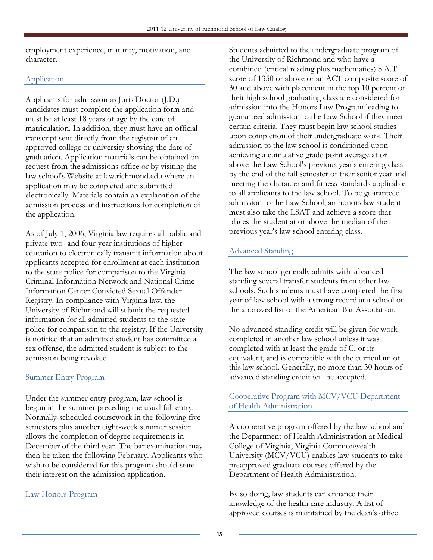employment experience, maturity, motivation, and character.

# Application

Applicants for admission as Juris Doctor (J.D.) candidates must complete the application form and must be at least 18 years of age by the date of matriculation. In addition, they must have an official transcript sent directly from the registrar of an approved college or university showing the date of graduation. Application materials can be obtained on request from the admissions office or by visiting the law school's Website at law.richmond.edu where an application may be completed and submitted electronically. Materials contain an explanation of the admission process and instructions for completion of the application.

As of July 1, 2006, Virginia law requires all public and private two- and four-year institutions of higher education to electronically transmit information about applicants accepted for enrollment at each institution to the state police for comparison to the Virginia Criminal Information Network and National Crime Information Center Convicted Sexual Offender Registry. In compliance with Virginia law, the University of Richmond will submit the requested information for all admitted students to the state police for comparison to the registry. If the University is notified that an admitted student has committed a sex offense, the admitted student is subject to the admission being revoked.

# Summer Entry Program

Under the summer entry program, law school is begun in the summer preceding the usual fall entry. Normally-scheduled coursework in the following five semesters plus another eight-week summer session allows the completion of degree requirements in December of the third year. The bar examination may then be taken the following February. Applicants who wish to be considered for this program should state their interest on the admission application.

# Law Honors Program

Students admitted to the undergraduate program of the University of Richmond and who have a combined (critical reading plus mathematics) S.A.T. score of 1350 or above or an ACT composite score of 30 and above with placement in the top 10 percent of their high school graduating class are considered for admission into the Honors Law Program leading to guaranteed admission to the Law School if they meet certain criteria. They must begin law school studies upon completion of their undergraduate work. Their admission to the law school is conditioned upon achieving a cumulative grade point average at or above the Law School's previous year's entering class by the end of the fall semester of their senior year and meeting the character and fitness standards applicable to all applicants to the law school. To be guaranteed admission to the Law School, an honors law student must also take the LSAT and achieve a score that places the student at or above the median of the previous year's law school entering class.

# Advanced Standing

The law school generally admits with advanced standing several transfer students from other law schools. Such students must have completed the first year of law school with a strong record at a school on the approved list of the American Bar Association.

No advanced standing credit will be given for work completed in another law school unless it was completed with at least the grade of C, or its equivalent, and is compatible with the curriculum of this law school. Generally, no more than 30 hours of advanced standing credit will be accepted.

#### Cooperative Program with MCV/VCU Department of Health Administration

A cooperative program offered by the law school and the Department of Health Administration at Medical College of Virginia, Virginia Commonwealth University (MCV/VCU) enables law students to take preapproved graduate courses offered by the Department of Health Administration.

By so doing, law students can enhance their knowledge of the health care industry. A list of approved courses is maintained by the dean's office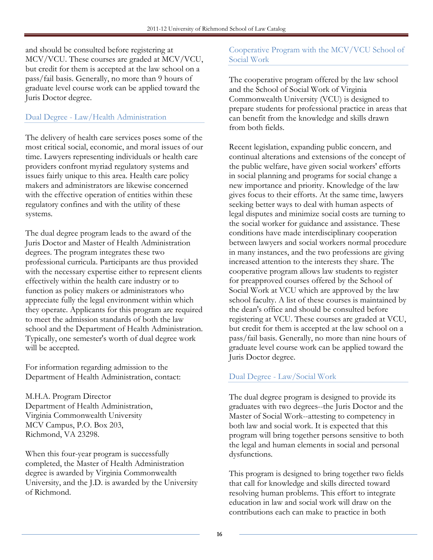and should be consulted before registering at MCV/VCU. These courses are graded at MCV/VCU, but credit for them is accepted at the law school on a pass/fail basis. Generally, no more than 9 hours of graduate level course work can be applied toward the Juris Doctor degree.

# Dual Degree - Law/Health Administration

The delivery of health care services poses some of the most critical social, economic, and moral issues of our time. Lawyers representing individuals or health care providers confront myriad regulatory systems and issues fairly unique to this area. Health care policy makers and administrators are likewise concerned with the effective operation of entities within these regulatory confines and with the utility of these systems.

The dual degree program leads to the award of the Juris Doctor and Master of Health Administration degrees. The program integrates these two professional curricula. Participants are thus provided with the necessary expertise either to represent clients effectively within the health care industry or to function as policy makers or administrators who appreciate fully the legal environment within which they operate. Applicants for this program are required to meet the admission standards of both the law school and the Department of Health Administration. Typically, one semester's worth of dual degree work will be accepted.

For information regarding admission to the Department of Health Administration, contact:

M.H.A. Program Director Department of Health Administration, Virginia Commonwealth University MCV Campus, P.O. Box 203, Richmond, VA 23298.

When this four-year program is successfully completed, the Master of Health Administration degree is awarded by Virginia Commonwealth University, and the J.D. is awarded by the University of Richmond.

## Cooperative Program with the MCV/VCU School of Social Work

The cooperative program offered by the law school and the School of Social Work of Virginia Commonwealth University (VCU) is designed to prepare students for professional practice in areas that can benefit from the knowledge and skills drawn from both fields.

Recent legislation, expanding public concern, and continual alterations and extensions of the concept of the public welfare, have given social workers' efforts in social planning and programs for social change a new importance and priority. Knowledge of the law gives focus to their efforts. At the same time, lawyers seeking better ways to deal with human aspects of legal disputes and minimize social costs are turning to the social worker for guidance and assistance. These conditions have made interdisciplinary cooperation between lawyers and social workers normal procedure in many instances, and the two professions are giving increased attention to the interests they share. The cooperative program allows law students to register for preapproved courses offered by the School of Social Work at VCU which are approved by the law school faculty. A list of these courses is maintained by the dean's office and should be consulted before registering at VCU. These courses are graded at VCU, but credit for them is accepted at the law school on a pass/fail basis. Generally, no more than nine hours of graduate level course work can be applied toward the Juris Doctor degree.

#### Dual Degree - Law/Social Work

The dual degree program is designed to provide its graduates with two degrees--the Juris Doctor and the Master of Social Work--attesting to competency in both law and social work. It is expected that this program will bring together persons sensitive to both the legal and human elements in social and personal dysfunctions.

This program is designed to bring together two fields that call for knowledge and skills directed toward resolving human problems. This effort to integrate education in law and social work will draw on the contributions each can make to practice in both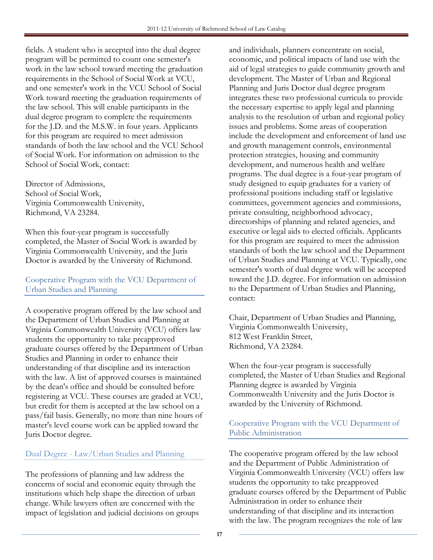fields. A student who is accepted into the dual degree program will be permitted to count one semester's work in the law school toward meeting the graduation requirements in the School of Social Work at VCU, and one semester's work in the VCU School of Social Work toward meeting the graduation requirements of the law school. This will enable participants in the dual degree program to complete the requirements for the J.D. and the M.S.W. in four years. Applicants for this program are required to meet admission standards of both the law school and the VCU School of Social Work. For information on admission to the School of Social Work, contact:

Director of Admissions, School of Social Work, Virginia Commonwealth University, Richmond, VA 23284.

When this four-year program is successfully completed, the Master of Social Work is awarded by Virginia Commonwealth University, and the Juris Doctor is awarded by the University of Richmond.

# Cooperative Program with the VCU Department of Urban Studies and Planning

A cooperative program offered by the law school and the Department of Urban Studies and Planning at Virginia Commonwealth University (VCU) offers law students the opportunity to take preapproved graduate courses offered by the Department of Urban Studies and Planning in order to enhance their understanding of that discipline and its interaction with the law. A list of approved courses is maintained by the dean's office and should be consulted before registering at VCU. These courses are graded at VCU, but credit for them is accepted at the law school on a pass/fail basis. Generally, no more than nine hours of master's level course work can be applied toward the Juris Doctor degree.

# Dual Degree - Law/Urban Studies and Planning

The professions of planning and law address the concerns of social and economic equity through the institutions which help shape the direction of urban change. While lawyers often are concerned with the impact of legislation and judicial decisions on groups

and individuals, planners concentrate on social, economic, and political impacts of land use with the aid of legal strategies to guide community growth and development. The Master of Urban and Regional Planning and Juris Doctor dual degree program integrates these two professional curricula to provide the necessary expertise to apply legal and planning analysis to the resolution of urban and regional policy issues and problems. Some areas of cooperation include the development and enforcement of land use and growth management controls, environmental protection strategies, housing and community development, and numerous health and welfare programs. The dual degree is a four-year program of study designed to equip graduates for a variety of professional positions including staff or legislative committees, government agencies and commissions, private consulting, neighborhood advocacy, directorships of planning and related agencies, and executive or legal aids to elected officials. Applicants for this program are required to meet the admission standards of both the law school and the Department of Urban Studies and Planning at VCU. Typically, one semester's worth of dual degree work will be accepted toward the J.D. degree. For information on admission to the Department of Urban Studies and Planning, contact:

Chair, Department of Urban Studies and Planning, Virginia Commonwealth University, 812 West Franklin Street, Richmond, VA 23284.

When the four-year program is successfully completed, the Master of Urban Studies and Regional Planning degree is awarded by Virginia Commonwealth University and the Juris Doctor is awarded by the University of Richmond.

# Cooperative Program with the VCU Department of Public Administration

The cooperative program offered by the law school and the Department of Public Administration of Virginia Commonwealth University (VCU) offers law students the opportunity to take preapproved graduate courses offered by the Department of Public Administration in order to enhance their understanding of that discipline and its interaction with the law. The program recognizes the role of law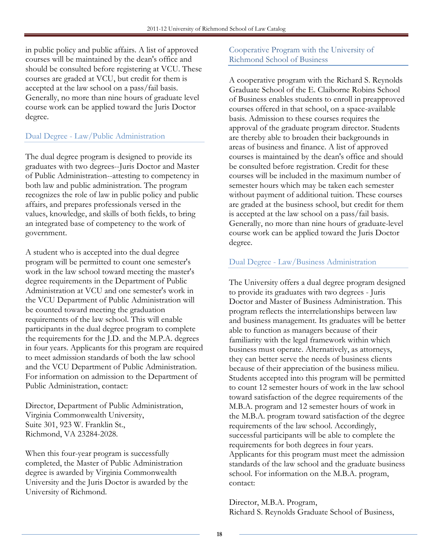in public policy and public affairs. A list of approved courses will be maintained by the dean's office and should be consulted before registering at VCU. These courses are graded at VCU, but credit for them is accepted at the law school on a pass/fail basis. Generally, no more than nine hours of graduate level course work can be applied toward the Juris Doctor degree.

# Dual Degree - Law/Public Administration

The dual degree program is designed to provide its graduates with two degrees--Juris Doctor and Master of Public Administration--attesting to competency in both law and public administration. The program recognizes the role of law in public policy and public affairs, and prepares professionals versed in the values, knowledge, and skills of both fields, to bring an integrated base of competency to the work of government.

A student who is accepted into the dual degree program will be permitted to count one semester's work in the law school toward meeting the master's degree requirements in the Department of Public Administration at VCU and one semester's work in the VCU Department of Public Administration will be counted toward meeting the graduation requirements of the law school. This will enable participants in the dual degree program to complete the requirements for the J.D. and the M.P.A. degrees in four years. Applicants for this program are required to meet admission standards of both the law school and the VCU Department of Public Administration. For information on admission to the Department of Public Administration, contact:

Director, Department of Public Administration, Virginia Commonwealth University, Suite 301, 923 W. Franklin St., Richmond, VA 23284-2028.

When this four-year program is successfully completed, the Master of Public Administration degree is awarded by Virginia Commonwealth University and the Juris Doctor is awarded by the University of Richmond.

# Cooperative Program with the University of Richmond School of Business

A cooperative program with the Richard S. Reynolds Graduate School of the E. Claiborne Robins School of Business enables students to enroll in preapproved courses offered in that school, on a space-available basis. Admission to these courses requires the approval of the graduate program director. Students are thereby able to broaden their backgrounds in areas of business and finance. A list of approved courses is maintained by the dean's office and should be consulted before registration. Credit for these courses will be included in the maximum number of semester hours which may be taken each semester without payment of additional tuition. These courses are graded at the business school, but credit for them is accepted at the law school on a pass/fail basis. Generally, no more than nine hours of graduate-level course work can be applied toward the Juris Doctor degree.

#### Dual Degree - Law/Business Administration

The University offers a dual degree program designed to provide its graduates with two degrees - Juris Doctor and Master of Business Administration. This program reflects the interrelationships between law and business management. Its graduates will be better able to function as managers because of their familiarity with the legal framework within which business must operate. Alternatively, as attorneys, they can better serve the needs of business clients because of their appreciation of the business milieu. Students accepted into this program will be permitted to count 12 semester hours of work in the law school toward satisfaction of the degree requirements of the M.B.A. program and 12 semester hours of work in the M.B.A. program toward satisfaction of the degree requirements of the law school. Accordingly, successful participants will be able to complete the requirements for both degrees in four years. Applicants for this program must meet the admission standards of the law school and the graduate business school. For information on the M.B.A. program, contact:

Director, M.B.A. Program, Richard S. Reynolds Graduate School of Business,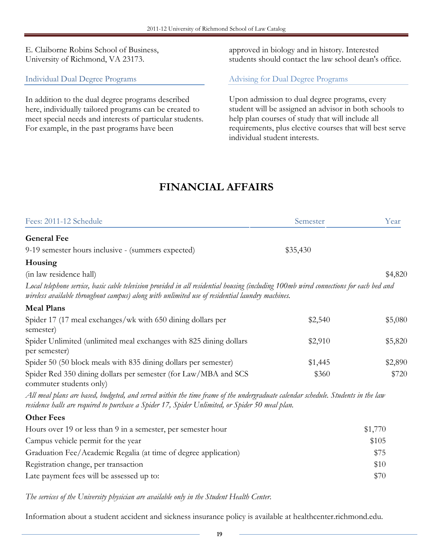E. Claiborne Robins School of Business, University of Richmond, VA 23173.

Individual Dual Degree Programs

In addition to the dual degree programs described here, individually tailored programs can be created to meet special needs and interests of particular students. For example, in the past programs have been

approved in biology and in history. Interested students should contact the law school dean's office.

#### Advising for Dual Degree Programs

Upon admission to dual degree programs, every student will be assigned an advisor in both schools to help plan courses of study that will include all requirements, plus elective courses that will best serve individual student interests.

# FINANCIAL AFFAIRS

| Fees: 2011-12 Schedule                                                                                                                                                                                                                     | Semester | Year    |
|--------------------------------------------------------------------------------------------------------------------------------------------------------------------------------------------------------------------------------------------|----------|---------|
| <b>General Fee</b>                                                                                                                                                                                                                         |          |         |
| 9-19 semester hours inclusive - (summers expected)                                                                                                                                                                                         | \$35,430 |         |
| Housing                                                                                                                                                                                                                                    |          |         |
| (in law residence hall)                                                                                                                                                                                                                    |          | \$4,820 |
| Local telephone service, basic cable television provided in all residential housing (including 100mb wired connections for each bed and<br>wireless available throughout campus) along with unlimited use of residential laundry machines. |          |         |
| <b>Meal Plans</b>                                                                                                                                                                                                                          |          |         |
| Spider 17 (17 meal exchanges/wk with 650 dining dollars per<br>semester)                                                                                                                                                                   | \$2,540  | \$5,080 |
| Spider Unlimited (unlimited meal exchanges with 825 dining dollars<br>per semester)                                                                                                                                                        | \$2,910  | \$5,820 |
| Spider 50 (50 block meals with 835 dining dollars per semester)                                                                                                                                                                            | \$1,445  | \$2,890 |
| Spider Red 350 dining dollars per semester (for Law/MBA and SCS<br>commuter students only)                                                                                                                                                 | \$360    | \$720   |
| All meal plans are based, budgeted, and served within the time frame of the undergraduate calendar schedule. Students in the law<br>residence halls are required to purchase a Spider 17, Spider Unlimited, or Spider 50 meal plan.        |          |         |
| <b>Other Fees</b>                                                                                                                                                                                                                          |          |         |
| Hours over 19 or less than 9 in a semester, per semester hour                                                                                                                                                                              |          | \$1,770 |
| Campus vehicle permit for the year                                                                                                                                                                                                         |          | \$105   |
| Graduation Fee/Academic Regalia (at time of degree application)                                                                                                                                                                            |          | \$75    |
| Registration change, per transaction                                                                                                                                                                                                       |          | \$10    |
| Late payment fees will be assessed up to:                                                                                                                                                                                                  |          | \$70    |

The services of the University physician are available only in the Student Health Center.

Information about a student accident and sickness insurance policy is available at healthcenter.richmond.edu.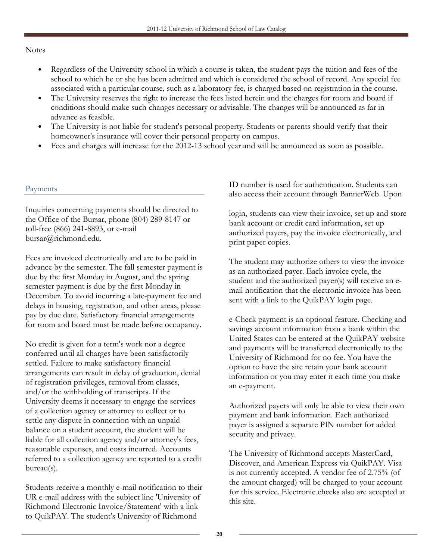#### Notes

- Regardless of the University school in which a course is taken, the student pays the tuition and fees of the school to which he or she has been admitted and which is considered the school of record. Any special fee associated with a particular course, such as a laboratory fee, is charged based on registration in the course.
- The University reserves the right to increase the fees listed herein and the charges for room and board if conditions should make such changes necessary or advisable. The changes will be announced as far in advance as feasible.
- The University is not liable for student's personal property. Students or parents should verify that their homeowner's insurance will cover their personal property on campus.
- Fees and charges will increase for the 2012-13 school year and will be announced as soon as possible.

#### Payments

Inquiries concerning payments should be directed to the Office of the Bursar, phone (804) 289-8147 or toll-free (866) 241-8893, or e-mail bursar@richmond.edu.

Fees are invoiced electronically and are to be paid in advance by the semester. The fall semester payment is due by the first Monday in August, and the spring semester payment is due by the first Monday in December. To avoid incurring a late-payment fee and delays in housing, registration, and other areas, please pay by due date. Satisfactory financial arrangements for room and board must be made before occupancy.

No credit is given for a term's work nor a degree conferred until all charges have been satisfactorily settled. Failure to make satisfactory financial arrangements can result in delay of graduation, denial of registration privileges, removal from classes, and/or the withholding of transcripts. If the University deems it necessary to engage the services of a collection agency or attorney to collect or to settle any dispute in connection with an unpaid balance on a student account, the student will be liable for all collection agency and/or attorney's fees, reasonable expenses, and costs incurred. Accounts referred to a collection agency are reported to a credit bureau(s).

Students receive a monthly e-mail notification to their UR e-mail address with the subject line 'University of Richmond Electronic Invoice/Statement' with a link to QuikPAY. The student's University of Richmond

ID number is used for authentication. Students can also access their account through BannerWeb. Upon

login, students can view their invoice, set up and store bank account or credit card information, set up authorized payers, pay the invoice electronically, and print paper copies.

The student may authorize others to view the invoice as an authorized payer. Each invoice cycle, the student and the authorized payer(s) will receive an email notification that the electronic invoice has been sent with a link to the QuikPAY login page.

e-Check payment is an optional feature. Checking and savings account information from a bank within the United States can be entered at the QuikPAY website and payments will be transferred electronically to the University of Richmond for no fee. You have the option to have the site retain your bank account information or you may enter it each time you make an e-payment.

Authorized payers will only be able to view their own payment and bank information. Each authorized payer is assigned a separate PIN number for added security and privacy.

The University of Richmond accepts MasterCard, Discover, and American Express via QuikPAY. Visa is not currently accepted. A vendor fee of 2.75% (of the amount charged) will be charged to your account for this service. Electronic checks also are accepted at this site.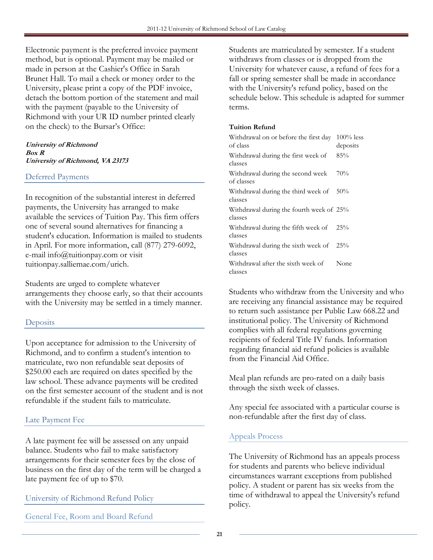Electronic payment is the preferred invoice payment method, but is optional. Payment may be mailed or made in person at the Cashier's Office in Sarah Brunet Hall. To mail a check or money order to the University, please print a copy of the PDF invoice, detach the bottom portion of the statement and mail with the payment (payable to the University of Richmond with your UR ID number printed clearly on the check) to the Bursar's Office:

#### University of Richmond Box R University of Richmond, VA 23173

#### Deferred Payments

In recognition of the substantial interest in deferred payments, the University has arranged to make available the services of Tuition Pay. This firm offers one of several sound alternatives for financing a student's education. Information is mailed to students in April. For more information, call (877) 279-6092, e-mail info@tuitionpay.com or visit tuitionpay.salliemae.com/urich.

Students are urged to complete whatever arrangements they choose early, so that their accounts with the University may be settled in a timely manner.

#### **Deposits**

Upon acceptance for admission to the University of Richmond, and to confirm a student's intention to matriculate, two non refundable seat deposits of \$250.00 each are required on dates specified by the law school. These advance payments will be credited on the first semester account of the student and is not refundable if the student fails to matriculate.

#### Late Payment Fee

A late payment fee will be assessed on any unpaid balance. Students who fail to make satisfactory arrangements for their semester fees by the close of business on the first day of the term will be charged a late payment fee of up to \$70.

#### University of Richmond Refund Policy

General Fee, Room and Board Refund

Students are matriculated by semester. If a student withdraws from classes or is dropped from the University for whatever cause, a refund of fees for a fall or spring semester shall be made in accordance with the University's refund policy, based on the schedule below. This schedule is adapted for summer terms.

#### Tuition Refund

| Withdrawal on or before the first day<br>of class     | $100\%$ less<br>deposits |
|-------------------------------------------------------|--------------------------|
| Withdrawal during the first week of<br>classes        | 85%                      |
| Withdrawal during the second week<br>of classes       | 70%                      |
| Withdrawal during the third week of $50\%$<br>classes |                          |
| Withdrawal during the fourth week of 25%<br>classes   |                          |
| Withdrawal during the fifth week of<br>classes        | $25\%$                   |
| Withdrawal during the sixth week of<br>classes        | $25\%$                   |
| Withdrawal after the sixth week of<br>classes         | None                     |

Students who withdraw from the University and who are receiving any financial assistance may be required to return such assistance per Public Law 668.22 and institutional policy. The University of Richmond complies with all federal regulations governing recipients of federal Title IV funds. Information regarding financial aid refund policies is available from the Financial Aid Office.

Meal plan refunds are pro-rated on a daily basis through the sixth week of classes.

Any special fee associated with a particular course is non-refundable after the first day of class.

#### Appeals Process

The University of Richmond has an appeals process for students and parents who believe individual circumstances warrant exceptions from published policy. A student or parent has six weeks from the time of withdrawal to appeal the University's refund policy.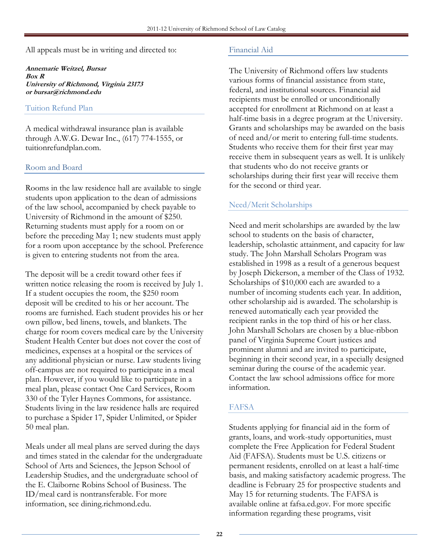All appeals must be in writing and directed to:

Annemarie Weitzel, Bursar Box R University of Richmond, Virginia 23173 or bursar@richmond.edu

#### Tuition Refund Plan

A medical withdrawal insurance plan is available through A.W.G. Dewar Inc., (617) 774-1555, or tuitionrefundplan.com.

#### Room and Board

Rooms in the law residence hall are available to single students upon application to the dean of admissions of the law school, accompanied by check payable to University of Richmond in the amount of \$250. Returning students must apply for a room on or before the preceding May 1; new students must apply for a room upon acceptance by the school. Preference is given to entering students not from the area.

The deposit will be a credit toward other fees if written notice releasing the room is received by July 1. If a student occupies the room, the \$250 room deposit will be credited to his or her account. The rooms are furnished. Each student provides his or her own pillow, bed linens, towels, and blankets. The charge for room covers medical care by the University Student Health Center but does not cover the cost of medicines, expenses at a hospital or the services of any additional physician or nurse. Law students living off-campus are not required to participate in a meal plan. However, if you would like to participate in a meal plan, please contact One Card Services, Room 330 of the Tyler Haynes Commons, for assistance. Students living in the law residence halls are required to purchase a Spider 17, Spider Unlimited, or Spider 50 meal plan.

Meals under all meal plans are served during the days and times stated in the calendar for the undergraduate School of Arts and Sciences, the Jepson School of Leadership Studies, and the undergraduate school of the E. Claiborne Robins School of Business. The ID/meal card is nontransferable. For more information, see dining.richmond.edu.

#### Financial Aid

The University of Richmond offers law students various forms of financial assistance from state, federal, and institutional sources. Financial aid recipients must be enrolled or unconditionally accepted for enrollment at Richmond on at least a half-time basis in a degree program at the University. Grants and scholarships may be awarded on the basis of need and/or merit to entering full-time students. Students who receive them for their first year may receive them in subsequent years as well. It is unlikely that students who do not receive grants or scholarships during their first year will receive them for the second or third year.

# Need/Merit Scholarships

Need and merit scholarships are awarded by the law school to students on the basis of character, leadership, scholastic attainment, and capacity for law study. The John Marshall Scholars Program was established in 1998 as a result of a generous bequest by Joseph Dickerson, a member of the Class of 1932. Scholarships of \$10,000 each are awarded to a number of incoming students each year. In addition, other scholarship aid is awarded. The scholarship is renewed automatically each year provided the recipient ranks in the top third of his or her class. John Marshall Scholars are chosen by a blue-ribbon panel of Virginia Supreme Court justices and prominent alumni and are invited to participate, beginning in their second year, in a specially designed seminar during the course of the academic year. Contact the law school admissions office for more information.

# FAFSA

Students applying for financial aid in the form of grants, loans, and work-study opportunities, must complete the Free Application for Federal Student Aid (FAFSA). Students must be U.S. citizens or permanent residents, enrolled on at least a half-time basis, and making satisfactory academic progress. The deadline is February 25 for prospective students and May 15 for returning students. The FAFSA is available online at fafsa.ed.gov. For more specific information regarding these programs, visit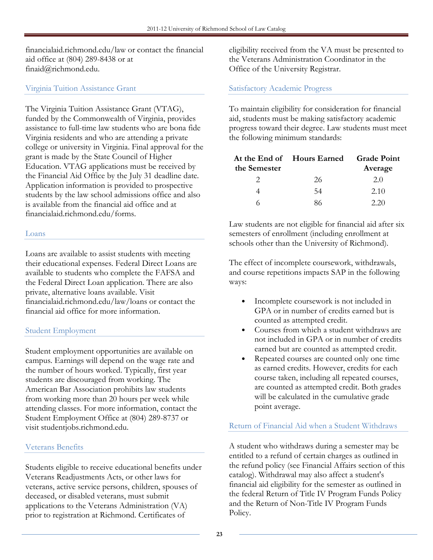financialaid.richmond.edu/law or contact the financial aid office at (804) 289-8438 or at finaid@richmond.edu.

#### Virginia Tuition Assistance Grant

The Virginia Tuition Assistance Grant (VTAG), funded by the Commonwealth of Virginia, provides assistance to full-time law students who are bona fide Virginia residents and who are attending a private college or university in Virginia. Final approval for the grant is made by the State Council of Higher Education. VTAG applications must be received by the Financial Aid Office by the July 31 deadline date. Application information is provided to prospective students by the law school admissions office and also is available from the financial aid office and at financialaid.richmond.edu/forms.

#### Loans

Loans are available to assist students with meeting their educational expenses. Federal Direct Loans are available to students who complete the FAFSA and the Federal Direct Loan application. There are also private, alternative loans available. Visit financialaid.richmond.edu/law/loans or contact the financial aid office for more information.

#### Student Employment

Student employment opportunities are available on campus. Earnings will depend on the wage rate and the number of hours worked. Typically, first year students are discouraged from working. The American Bar Association prohibits law students from working more than 20 hours per week while attending classes. For more information, contact the Student Employment Office at (804) 289-8737 or visit studentjobs.richmond.edu.

#### Veterans Benefits

Students eligible to receive educational benefits under Veterans Readjustments Acts, or other laws for veterans, active service persons, children, spouses of deceased, or disabled veterans, must submit applications to the Veterans Administration (VA) prior to registration at Richmond. Certificates of

eligibility received from the VA must be presented to the Veterans Administration Coordinator in the Office of the University Registrar.

## Satisfactory Academic Progress

To maintain eligibility for consideration for financial aid, students must be making satisfactory academic progress toward their degree. Law students must meet the following minimum standards:

| the Semester | At the End of Hours Earned | <b>Grade Point</b><br>Average |
|--------------|----------------------------|-------------------------------|
|              | 26                         | 2.0                           |
|              | 54                         | 2.10                          |
|              | 86                         | 2.20                          |

Law students are not eligible for financial aid after six semesters of enrollment (including enrollment at schools other than the University of Richmond).

The effect of incomplete coursework, withdrawals, and course repetitions impacts SAP in the following ways:

- Incomplete coursework is not included in GPA or in number of credits earned but is counted as attempted credit.
- Courses from which a student withdraws are not included in GPA or in number of credits earned but are counted as attempted credit.
- Repeated courses are counted only one time as earned credits. However, credits for each course taken, including all repeated courses, are counted as attempted credit. Both grades will be calculated in the cumulative grade point average.

#### Return of Financial Aid when a Student Withdraws

A student who withdraws during a semester may be entitled to a refund of certain charges as outlined in the refund policy (see Financial Affairs section of this catalog). Withdrawal may also affect a student's financial aid eligibility for the semester as outlined in the federal Return of Title IV Program Funds Policy and the Return of Non-Title IV Program Funds Policy.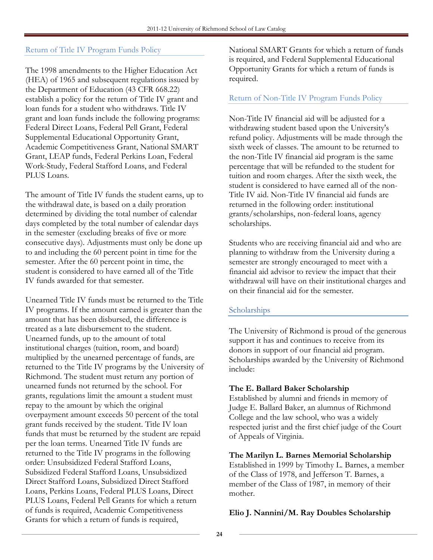## Return of Title IV Program Funds Policy

The 1998 amendments to the Higher Education Act (HEA) of 1965 and subsequent regulations issued by the Department of Education (43 CFR 668.22) establish a policy for the return of Title IV grant and loan funds for a student who withdraws. Title IV grant and loan funds include the following programs: Federal Direct Loans, Federal Pell Grant, Federal Supplemental Educational Opportunity Grant, Academic Competitiveness Grant, National SMART Grant, LEAP funds, Federal Perkins Loan, Federal Work-Study, Federal Stafford Loans, and Federal PLUS Loans.

The amount of Title IV funds the student earns, up to the withdrawal date, is based on a daily proration determined by dividing the total number of calendar days completed by the total number of calendar days in the semester (excluding breaks of five or more consecutive days). Adjustments must only be done up to and including the 60 percent point in time for the semester. After the 60 percent point in time, the student is considered to have earned all of the Title IV funds awarded for that semester.

Unearned Title IV funds must be returned to the Title IV programs. If the amount earned is greater than the amount that has been disbursed, the difference is treated as a late disbursement to the student. Unearned funds, up to the amount of total institutional charges (tuition, room, and board) multiplied by the unearned percentage of funds, are returned to the Title IV programs by the University of Richmond. The student must return any portion of unearned funds not returned by the school. For grants, regulations limit the amount a student must repay to the amount by which the original overpayment amount exceeds 50 percent of the total grant funds received by the student. Title IV loan funds that must be returned by the student are repaid per the loan terms. Unearned Title IV funds are returned to the Title IV programs in the following order: Unsubsidized Federal Stafford Loans, Subsidized Federal Stafford Loans, Unsubsidized Direct Stafford Loans, Subsidized Direct Stafford Loans, Perkins Loans, Federal PLUS Loans, Direct PLUS Loans, Federal Pell Grants for which a return of funds is required, Academic Competitiveness Grants for which a return of funds is required,

National SMART Grants for which a return of funds is required, and Federal Supplemental Educational Opportunity Grants for which a return of funds is required.

#### Return of Non-Title IV Program Funds Policy

Non-Title IV financial aid will be adjusted for a withdrawing student based upon the University's refund policy. Adjustments will be made through the sixth week of classes. The amount to be returned to the non-Title IV financial aid program is the same percentage that will be refunded to the student for tuition and room charges. After the sixth week, the student is considered to have earned all of the non-Title IV aid. Non-Title IV financial aid funds are returned in the following order: institutional grants/scholarships, non-federal loans, agency scholarships.

Students who are receiving financial aid and who are planning to withdraw from the University during a semester are strongly encouraged to meet with a financial aid advisor to review the impact that their withdrawal will have on their institutional charges and on their financial aid for the semester.

#### Scholarships

The University of Richmond is proud of the generous support it has and continues to receive from its donors in support of our financial aid program. Scholarships awarded by the University of Richmond include:

#### The E. Ballard Baker Scholarship

Established by alumni and friends in memory of Judge E. Ballard Baker, an alumnus of Richmond College and the law school, who was a widely respected jurist and the first chief judge of the Court of Appeals of Virginia.

#### The Marilyn L. Barnes Memorial Scholarship

Established in 1999 by Timothy L. Barnes, a member of the Class of 1978, and Jefferson T. Barnes, a member of the Class of 1987, in memory of their mother.

#### Elio J. Nannini/M. Ray Doubles Scholarship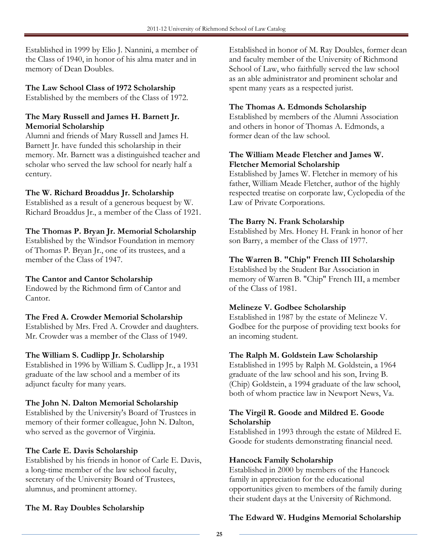Established in 1999 by Elio J. Nannini, a member of the Class of 1940, in honor of his alma mater and in memory of Dean Doubles.

#### The Law School Class of 1972 Scholarship

Established by the members of the Class of 1972.

#### The Mary Russell and James H. Barnett Jr. Memorial Scholarship

Alumni and friends of Mary Russell and James H. Barnett Jr. have funded this scholarship in their memory. Mr. Barnett was a distinguished teacher and scholar who served the law school for nearly half a century.

#### The W. Richard Broaddus Jr. Scholarship

Established as a result of a generous bequest by W. Richard Broaddus Jr., a member of the Class of 1921.

#### The Thomas P. Bryan Jr. Memorial Scholarship

Established by the Windsor Foundation in memory of Thomas P. Bryan Jr., one of its trustees, and a member of the Class of 1947.

#### The Cantor and Cantor Scholarship

Endowed by the Richmond firm of Cantor and Cantor.

#### The Fred A. Crowder Memorial Scholarship

Established by Mrs. Fred A. Crowder and daughters. Mr. Crowder was a member of the Class of 1949.

#### The William S. Cudlipp Jr. Scholarship

Established in 1996 by William S. Cudlipp Jr., a 1931 graduate of the law school and a member of its adjunct faculty for many years.

#### The John N. Dalton Memorial Scholarship

Established by the University's Board of Trustees in memory of their former colleague, John N. Dalton, who served as the governor of Virginia.

#### The Carle E. Davis Scholarship

Established by his friends in honor of Carle E. Davis, a long-time member of the law school faculty, secretary of the University Board of Trustees, alumnus, and prominent attorney.

#### The M. Ray Doubles Scholarship

Established in honor of M. Ray Doubles, former dean and faculty member of the University of Richmond School of Law, who faithfully served the law school as an able administrator and prominent scholar and spent many years as a respected jurist.

#### The Thomas A. Edmonds Scholarship

Established by members of the Alumni Association and others in honor of Thomas A. Edmonds, a former dean of the law school.

#### The William Meade Fletcher and James W. Fletcher Memorial Scholarship

Established by James W. Fletcher in memory of his father, William Meade Fletcher, author of the highly respected treatise on corporate law, Cyclopedia of the Law of Private Corporations.

#### The Barry N. Frank Scholarship

Established by Mrs. Honey H. Frank in honor of her son Barry, a member of the Class of 1977.

#### The Warren B. "Chip" French III Scholarship

Established by the Student Bar Association in memory of Warren B. "Chip" French III, a member of the Class of 1981.

#### Melineze V. Godbee Scholarship

Established in 1987 by the estate of Melineze V. Godbee for the purpose of providing text books for an incoming student.

#### The Ralph M. Goldstein Law Scholarship

Established in 1995 by Ralph M. Goldstein, a 1964 graduate of the law school and his son, Irving B. (Chip) Goldstein, a 1994 graduate of the law school, both of whom practice law in Newport News, Va.

#### The Virgil R. Goode and Mildred E. Goode Scholarship

Established in 1993 through the estate of Mildred E. Goode for students demonstrating financial need.

#### Hancock Family Scholarship

Established in 2000 by members of the Hancock family in appreciation for the educational opportunities given to members of the family during their student days at the University of Richmond.

# The Edward W. Hudgins Memorial Scholarship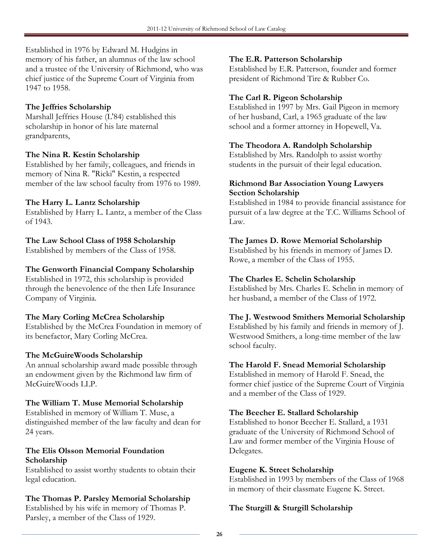Established in 1976 by Edward M. Hudgins in memory of his father, an alumnus of the law school and a trustee of the University of Richmond, who was chief justice of the Supreme Court of Virginia from 1947 to 1958.

# The Jeffries Scholarship

Marshall Jeffries House (L'84) established this scholarship in honor of his late maternal grandparents,

#### The Nina R. Kestin Scholarship

Established by her family, colleagues, and friends in memory of Nina R. "Ricki" Kestin, a respected member of the law school faculty from 1976 to 1989.

# The Harry L. Lantz Scholarship

Established by Harry L. Lantz, a member of the Class of 1943.

# The Law School Class of 1958 Scholarship

Established by members of the Class of 1958.

# The Genworth Financial Company Scholarship

Established in 1972, this scholarship is provided through the benevolence of the then Life Insurance Company of Virginia.

# The Mary Corling McCrea Scholarship

Established by the McCrea Foundation in memory of its benefactor, Mary Corling McCrea.

# The McGuireWoods Scholarship

An annual scholarship award made possible through an endowment given by the Richmond law firm of McGuireWoods LLP.

#### The William T. Muse Memorial Scholarship

Established in memory of William T. Muse, a distinguished member of the law faculty and dean for 24 years.

#### The Elis Olsson Memorial Foundation Scholarship

Established to assist worthy students to obtain their legal education.

# The Thomas P. Parsley Memorial Scholarship

Established by his wife in memory of Thomas P. Parsley, a member of the Class of 1929.

#### The E.R. Patterson Scholarship

Established by E.R. Patterson, founder and former president of Richmond Tire & Rubber Co.

# The Carl R. Pigeon Scholarship

Established in 1997 by Mrs. Gail Pigeon in memory of her husband, Carl, a 1965 graduate of the law school and a former attorney in Hopewell, Va.

#### The Theodora A. Randolph Scholarship

Established by Mrs. Randolph to assist worthy students in the pursuit of their legal education.

#### Richmond Bar Association Young Lawyers Section Scholarship

Established in 1984 to provide financial assistance for pursuit of a law degree at the T.C. Williams School of Law.

# The James D. Rowe Memorial Scholarship

Established by his friends in memory of James D. Rowe, a member of the Class of 1955.

## The Charles E. Schelin Scholarship

Established by Mrs. Charles E. Schelin in memory of her husband, a member of the Class of 1972.

# The J. Westwood Smithers Memorial Scholarship

Established by his family and friends in memory of J. Westwood Smithers, a long-time member of the law school faculty.

#### The Harold F. Snead Memorial Scholarship

Established in memory of Harold F. Snead, the former chief justice of the Supreme Court of Virginia and a member of the Class of 1929.

#### The Beecher E. Stallard Scholarship

Established to honor Beecher E. Stallard, a 1931 graduate of the University of Richmond School of Law and former member of the Virginia House of Delegates.

#### Eugene K. Street Scholarship

Established in 1993 by members of the Class of 1968 in memory of their classmate Eugene K. Street.

# The Sturgill & Sturgill Scholarship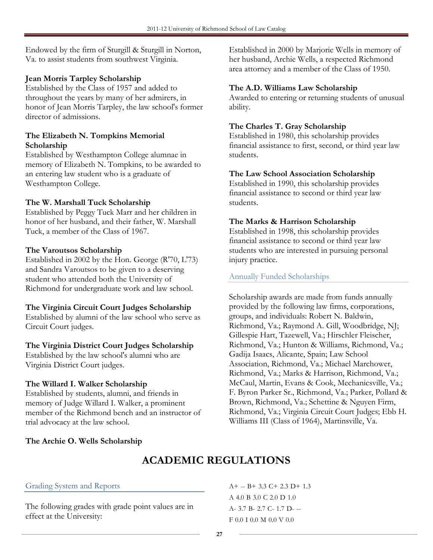Endowed by the firm of Sturgill & Sturgill in Norton, Va. to assist students from southwest Virginia.

#### Jean Morris Tarpley Scholarship

Established by the Class of 1957 and added to throughout the years by many of her admirers, in honor of Jean Morris Tarpley, the law school's former director of admissions.

#### The Elizabeth N. Tompkins Memorial Scholarship

Established by Westhampton College alumnae in memory of Elizabeth N. Tompkins, to be awarded to an entering law student who is a graduate of Westhampton College.

#### The W. Marshall Tuck Scholarship

Established by Peggy Tuck Marr and her children in honor of her husband, and their father, W. Marshall Tuck, a member of the Class of 1967.

#### The Varoutsos Scholarship

Established in 2002 by the Hon. George (R'70, L'73) and Sandra Varoutsos to be given to a deserving student who attended both the University of Richmond for undergraduate work and law school.

#### The Virginia Circuit Court Judges Scholarship

Established by alumni of the law school who serve as Circuit Court judges.

#### The Virginia District Court Judges Scholarship

Established by the law school's alumni who are Virginia District Court judges.

#### The Willard I. Walker Scholarship

Established by students, alumni, and friends in memory of Judge Willard I. Walker, a prominent member of the Richmond bench and an instructor of trial advocacy at the law school.

Established in 2000 by Marjorie Wells in memory of her husband, Archie Wells, a respected Richmond area attorney and a member of the Class of 1950.

#### The A.D. Williams Law Scholarship

Awarded to entering or returning students of unusual ability.

#### The Charles T. Gray Scholarship

Established in 1980, this scholarship provides financial assistance to first, second, or third year law students.

#### The Law School Association Scholarship

Established in 1990, this scholarship provides financial assistance to second or third year law students.

#### The Marks & Harrison Scholarship

Established in 1998, this scholarship provides financial assistance to second or third year law students who are interested in pursuing personal injury practice.

#### Annually Funded Scholarships

Scholarship awards are made from funds annually provided by the following law firms, corporations, groups, and individuals: Robert N. Baldwin, Richmond, Va.; Raymond A. Gill, Woodbridge, NJ; Gillespie Hart, Tazewell, Va.; Hirschler Fleischer, Richmond, Va.; Hunton & Williams, Richmond, Va.; Gadija Isaacs, Alicante, Spain; Law School Association, Richmond, Va.; Michael Marchower, Richmond, Va.; Marks & Harrison, Richmond, Va.; McCaul, Martin, Evans & Cook, Mechanicsville, Va.; F. Byron Parker Sr., Richmond, Va.; Parker, Pollard & Brown, Richmond, Va.; Schettine & Nguyen Firm, Richmond, Va.; Virginia Circuit Court Judges; Ebb H. Williams III (Class of 1964), Martinsville, Va.

#### The Archie O. Wells Scholarship

# ACADEMIC REGULATIONS

#### Grading System and Reports

The following grades with grade point values are in effect at the University:

 $A+ - B+ 3.3 C+ 2.3 D+ 1.3$ A 4.0 B 3.0 C 2.0 D 1.0 A- 3.7 B- 2.7 C- 1.7 D- -- F 0.0 I 0.0 M 0.0 V 0.0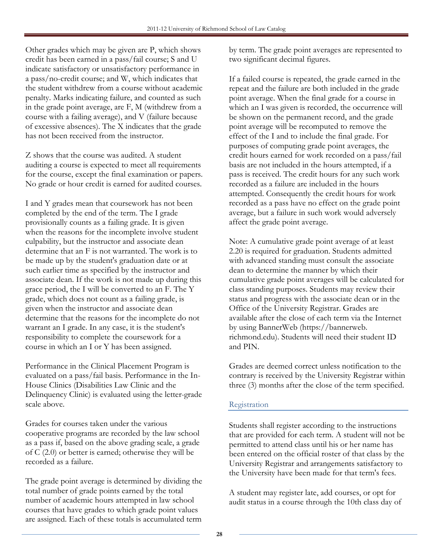Other grades which may be given are P, which shows credit has been earned in a pass/fail course; S and U indicate satisfactory or unsatisfactory performance in a pass/no-credit course; and W, which indicates that the student withdrew from a course without academic penalty. Marks indicating failure, and counted as such in the grade point average, are F, M (withdrew from a course with a failing average), and V (failure because of excessive absences). The X indicates that the grade has not been received from the instructor.

Z shows that the course was audited. A student auditing a course is expected to meet all requirements for the course, except the final examination or papers. No grade or hour credit is earned for audited courses.

I and Y grades mean that coursework has not been completed by the end of the term. The I grade provisionally counts as a failing grade. It is given when the reasons for the incomplete involve student culpability, but the instructor and associate dean determine that an F is not warranted. The work is to be made up by the student's graduation date or at such earlier time as specified by the instructor and associate dean. If the work is not made up during this grace period, the I will be converted to an F. The Y grade, which does not count as a failing grade, is given when the instructor and associate dean determine that the reasons for the incomplete do not warrant an I grade. In any case, it is the student's responsibility to complete the coursework for a course in which an I or Y has been assigned.

Performance in the Clinical Placement Program is evaluated on a pass/fail basis. Performance in the In-House Clinics (Disabilities Law Clinic and the Delinquency Clinic) is evaluated using the letter-grade scale above.

Grades for courses taken under the various cooperative programs are recorded by the law school as a pass if, based on the above grading scale, a grade of C (2.0) or better is earned; otherwise they will be recorded as a failure.

The grade point average is determined by dividing the total number of grade points earned by the total number of academic hours attempted in law school courses that have grades to which grade point values are assigned. Each of these totals is accumulated term

by term. The grade point averages are represented to two significant decimal figures.

If a failed course is repeated, the grade earned in the repeat and the failure are both included in the grade point average. When the final grade for a course in which an I was given is recorded, the occurrence will be shown on the permanent record, and the grade point average will be recomputed to remove the effect of the I and to include the final grade. For purposes of computing grade point averages, the credit hours earned for work recorded on a pass/fail basis are not included in the hours attempted, if a pass is received. The credit hours for any such work recorded as a failure are included in the hours attempted. Consequently the credit hours for work recorded as a pass have no effect on the grade point average, but a failure in such work would adversely affect the grade point average.

Note: A cumulative grade point average of at least 2.20 is required for graduation. Students admitted with advanced standing must consult the associate dean to determine the manner by which their cumulative grade point averages will be calculated for class standing purposes. Students may review their status and progress with the associate dean or in the Office of the University Registrar. Grades are available after the close of each term via the Internet by using BannerWeb (https://bannerweb. richmond.edu). Students will need their student ID and PIN.

Grades are deemed correct unless notification to the contrary is received by the University Registrar within three (3) months after the close of the term specified.

# Registration

Students shall register according to the instructions that are provided for each term. A student will not be permitted to attend class until his or her name has been entered on the official roster of that class by the University Registrar and arrangements satisfactory to the University have been made for that term's fees.

A student may register late, add courses, or opt for audit status in a course through the 10th class day of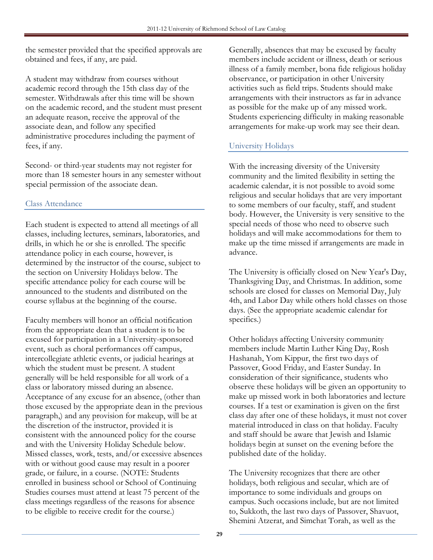the semester provided that the specified approvals are obtained and fees, if any, are paid.

A student may withdraw from courses without academic record through the 15th class day of the semester. Withdrawals after this time will be shown on the academic record, and the student must present an adequate reason, receive the approval of the associate dean, and follow any specified administrative procedures including the payment of fees, if any.

Second- or third-year students may not register for more than 18 semester hours in any semester without special permission of the associate dean.

#### Class Attendance

Each student is expected to attend all meetings of all classes, including lectures, seminars, laboratories, and drills, in which he or she is enrolled. The specific attendance policy in each course, however, is determined by the instructor of the course, subject to the section on University Holidays below. The specific attendance policy for each course will be announced to the students and distributed on the course syllabus at the beginning of the course.

Faculty members will honor an official notification from the appropriate dean that a student is to be excused for participation in a University-sponsored event, such as choral performances off campus, intercollegiate athletic events, or judicial hearings at which the student must be present. A student generally will be held responsible for all work of a class or laboratory missed during an absence. Acceptance of any excuse for an absence, (other than those excused by the appropriate dean in the previous paragraph,) and any provision for makeup, will be at the discretion of the instructor, provided it is consistent with the announced policy for the course and with the University Holiday Schedule below. Missed classes, work, tests, and/or excessive absences with or without good cause may result in a poorer grade, or failure, in a course. (NOTE: Students enrolled in business school or School of Continuing Studies courses must attend at least 75 percent of the class meetings regardless of the reasons for absence to be eligible to receive credit for the course.)

Generally, absences that may be excused by faculty members include accident or illness, death or serious illness of a family member, bona fide religious holiday observance, or participation in other University activities such as field trips. Students should make arrangements with their instructors as far in advance as possible for the make up of any missed work. Students experiencing difficulty in making reasonable arrangements for make-up work may see their dean.

# University Holidays

With the increasing diversity of the University community and the limited flexibility in setting the academic calendar, it is not possible to avoid some religious and secular holidays that are very important to some members of our faculty, staff, and student body. However, the University is very sensitive to the special needs of those who need to observe such holidays and will make accommodations for them to make up the time missed if arrangements are made in advance.

The University is officially closed on New Year's Day, Thanksgiving Day, and Christmas. In addition, some schools are closed for classes on Memorial Day, July 4th, and Labor Day while others hold classes on those days. (See the appropriate academic calendar for specifics.)

Other holidays affecting University community members include Martin Luther King Day, Rosh Hashanah, Yom Kippur, the first two days of Passover, Good Friday, and Easter Sunday. In consideration of their significance, students who observe these holidays will be given an opportunity to make up missed work in both laboratories and lecture courses. If a test or examination is given on the first class day after one of these holidays, it must not cover material introduced in class on that holiday. Faculty and staff should be aware that Jewish and Islamic holidays begin at sunset on the evening before the published date of the holiday.

The University recognizes that there are other holidays, both religious and secular, which are of importance to some individuals and groups on campus. Such occasions include, but are not limited to, Sukkoth, the last two days of Passover, Shavuot, Shemini Atzerat, and Simchat Torah, as well as the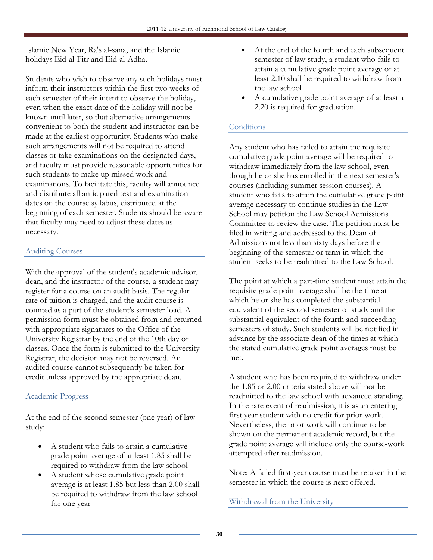Islamic New Year, Ra's al-sana, and the Islamic holidays Eid-al-Fitr and Eid-al-Adha.

Students who wish to observe any such holidays must inform their instructors within the first two weeks of each semester of their intent to observe the holiday, even when the exact date of the holiday will not be known until later, so that alternative arrangements convenient to both the student and instructor can be made at the earliest opportunity. Students who make such arrangements will not be required to attend classes or take examinations on the designated days, and faculty must provide reasonable opportunities for such students to make up missed work and examinations. To facilitate this, faculty will announce and distribute all anticipated test and examination dates on the course syllabus, distributed at the beginning of each semester. Students should be aware that faculty may need to adjust these dates as necessary.

# Auditing Courses

With the approval of the student's academic advisor, dean, and the instructor of the course, a student may register for a course on an audit basis. The regular rate of tuition is charged, and the audit course is counted as a part of the student's semester load. A permission form must be obtained from and returned with appropriate signatures to the Office of the University Registrar by the end of the 10th day of classes. Once the form is submitted to the University Registrar, the decision may not be reversed. An audited course cannot subsequently be taken for credit unless approved by the appropriate dean.

#### Academic Progress

At the end of the second semester (one year) of law study:

- A student who fails to attain a cumulative grade point average of at least 1.85 shall be required to withdraw from the law school
- A student whose cumulative grade point average is at least 1.85 but less than 2.00 shall be required to withdraw from the law school for one year
- At the end of the fourth and each subsequent semester of law study, a student who fails to attain a cumulative grade point average of at least 2.10 shall be required to withdraw from the law school
- A cumulative grade point average of at least a 2.20 is required for graduation.

# **Conditions**

Any student who has failed to attain the requisite cumulative grade point average will be required to withdraw immediately from the law school, even though he or she has enrolled in the next semester's courses (including summer session courses). A student who fails to attain the cumulative grade point average necessary to continue studies in the Law School may petition the Law School Admissions Committee to review the case. The petition must be filed in writing and addressed to the Dean of Admissions not less than sixty days before the beginning of the semester or term in which the student seeks to be readmitted to the Law School.

The point at which a part-time student must attain the requisite grade point average shall be the time at which he or she has completed the substantial equivalent of the second semester of study and the substantial equivalent of the fourth and succeeding semesters of study. Such students will be notified in advance by the associate dean of the times at which the stated cumulative grade point averages must be met.

A student who has been required to withdraw under the 1.85 or 2.00 criteria stated above will not be readmitted to the law school with advanced standing. In the rare event of readmission, it is as an entering first year student with no credit for prior work. Nevertheless, the prior work will continue to be shown on the permanent academic record, but the grade point average will include only the course-work attempted after readmission.

Note: A failed first-year course must be retaken in the semester in which the course is next offered.

Withdrawal from the University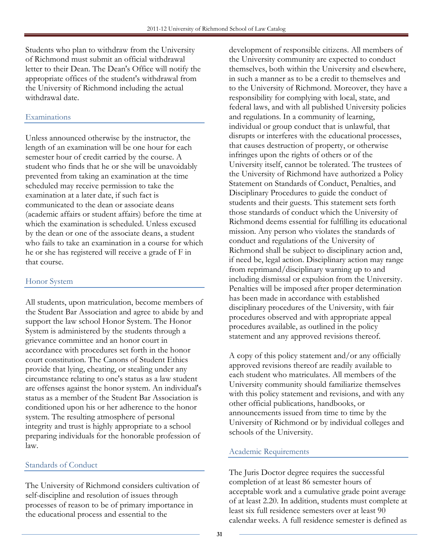Students who plan to withdraw from the University of Richmond must submit an official withdrawal letter to their Dean. The Dean's Office will notify the appropriate offices of the student's withdrawal from the University of Richmond including the actual withdrawal date.

## Examinations

Unless announced otherwise by the instructor, the length of an examination will be one hour for each semester hour of credit carried by the course. A student who finds that he or she will be unavoidably prevented from taking an examination at the time scheduled may receive permission to take the examination at a later date, if such fact is communicated to the dean or associate deans (academic affairs or student affairs) before the time at which the examination is scheduled. Unless excused by the dean or one of the associate deans, a student who fails to take an examination in a course for which he or she has registered will receive a grade of F in that course.

#### Honor System

All students, upon matriculation, become members of the Student Bar Association and agree to abide by and support the law school Honor System. The Honor System is administered by the students through a grievance committee and an honor court in accordance with procedures set forth in the honor court constitution. The Canons of Student Ethics provide that lying, cheating, or stealing under any circumstance relating to one's status as a law student are offenses against the honor system. An individual's status as a member of the Student Bar Association is conditioned upon his or her adherence to the honor system. The resulting atmosphere of personal integrity and trust is highly appropriate to a school preparing individuals for the honorable profession of law.

#### Standards of Conduct

The University of Richmond considers cultivation of self-discipline and resolution of issues through processes of reason to be of primary importance in the educational process and essential to the

development of responsible citizens. All members of the University community are expected to conduct themselves, both within the University and elsewhere, in such a manner as to be a credit to themselves and to the University of Richmond. Moreover, they have a responsibility for complying with local, state, and federal laws, and with all published University policies and regulations. In a community of learning, individual or group conduct that is unlawful, that disrupts or interferes with the educational processes, that causes destruction of property, or otherwise infringes upon the rights of others or of the University itself, cannot be tolerated. The trustees of the University of Richmond have authorized a Policy Statement on Standards of Conduct, Penalties, and Disciplinary Procedures to guide the conduct of students and their guests. This statement sets forth those standards of conduct which the University of Richmond deems essential for fulfilling its educational mission. Any person who violates the standards of conduct and regulations of the University of Richmond shall be subject to disciplinary action and, if need be, legal action. Disciplinary action may range from reprimand/disciplinary warning up to and including dismissal or expulsion from the University. Penalties will be imposed after proper determination has been made in accordance with established disciplinary procedures of the University, with fair procedures observed and with appropriate appeal procedures available, as outlined in the policy statement and any approved revisions thereof.

A copy of this policy statement and/or any officially approved revisions thereof are readily available to each student who matriculates. All members of the University community should familiarize themselves with this policy statement and revisions, and with any other official publications, handbooks, or announcements issued from time to time by the University of Richmond or by individual colleges and schools of the University.

#### Academic Requirements

The Juris Doctor degree requires the successful completion of at least 86 semester hours of acceptable work and a cumulative grade point average of at least 2.20. In addition, students must complete at least six full residence semesters over at least 90 calendar weeks. A full residence semester is defined as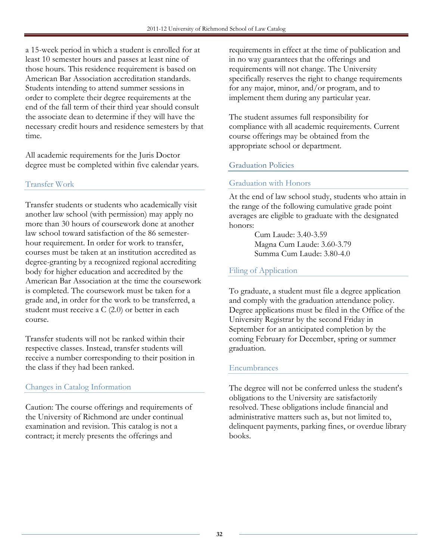a 15-week period in which a student is enrolled for at least 10 semester hours and passes at least nine of those hours. This residence requirement is based on American Bar Association accreditation standards. Students intending to attend summer sessions in order to complete their degree requirements at the end of the fall term of their third year should consult the associate dean to determine if they will have the necessary credit hours and residence semesters by that time.

All academic requirements for the Juris Doctor degree must be completed within five calendar years.

# Transfer Work

Transfer students or students who academically visit another law school (with permission) may apply no more than 30 hours of coursework done at another law school toward satisfaction of the 86 semesterhour requirement. In order for work to transfer, courses must be taken at an institution accredited as degree-granting by a recognized regional accrediting body for higher education and accredited by the American Bar Association at the time the coursework is completed. The coursework must be taken for a grade and, in order for the work to be transferred, a student must receive a C (2.0) or better in each course.

Transfer students will not be ranked within their respective classes. Instead, transfer students will receive a number corresponding to their position in the class if they had been ranked.

#### Changes in Catalog Information

Caution: The course offerings and requirements of the University of Richmond are under continual examination and revision. This catalog is not a contract; it merely presents the offerings and

requirements in effect at the time of publication and in no way guarantees that the offerings and requirements will not change. The University specifically reserves the right to change requirements for any major, minor, and/or program, and to implement them during any particular year.

The student assumes full responsibility for compliance with all academic requirements. Current course offerings may be obtained from the appropriate school or department.

# Graduation Policies

#### Graduation with Honors

At the end of law school study, students who attain in the range of the following cumulative grade point averages are eligible to graduate with the designated honors:

> Cum Laude: 3.40-3.59 Magna Cum Laude: 3.60-3.79 Summa Cum Laude: 3.80-4.0

# Filing of Application

To graduate, a student must file a degree application and comply with the graduation attendance policy. Degree applications must be filed in the Office of the University Registrar by the second Friday in September for an anticipated completion by the coming February for December, spring or summer graduation.

# Encumbrances

The degree will not be conferred unless the student's obligations to the University are satisfactorily resolved. These obligations include financial and administrative matters such as, but not limited to, delinquent payments, parking fines, or overdue library books.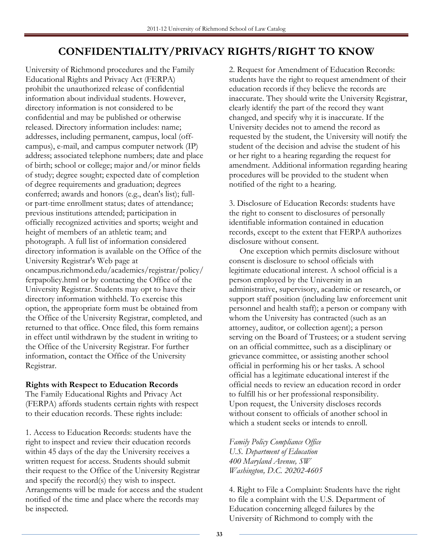# CONFIDENTIALITY/PRIVACY RIGHTS/RIGHT TO KNOW

University of Richmond procedures and the Family Educational Rights and Privacy Act (FERPA) prohibit the unauthorized release of confidential information about individual students. However, directory information is not considered to be confidential and may be published or otherwise released. Directory information includes: name; addresses, including permanent, campus, local (offcampus), e-mail, and campus computer network (IP) address; associated telephone numbers; date and place of birth; school or college; major and/or minor fields of study; degree sought; expected date of completion of degree requirements and graduation; degrees conferred; awards and honors (e.g., dean's list); fullor part-time enrollment status; dates of attendance; previous institutions attended; participation in officially recognized activities and sports; weight and height of members of an athletic team; and photograph. A full list of information considered directory information is available on the Office of the University Registrar's Web page at oncampus.richmond.edu/academics/registrar/policy/ ferpapolicy.html or by contacting the Office of the University Registrar. Students may opt to have their directory information withheld. To exercise this option, the appropriate form must be obtained from the Office of the University Registrar, completed, and returned to that office. Once filed, this form remains in effect until withdrawn by the student in writing to the Office of the University Registrar. For further information, contact the Office of the University Registrar.

#### Rights with Respect to Education Records

The Family Educational Rights and Privacy Act (FERPA) affords students certain rights with respect to their education records. These rights include:

1. Access to Education Records: students have the right to inspect and review their education records within 45 days of the day the University receives a written request for access. Students should submit their request to the Office of the University Registrar and specify the record(s) they wish to inspect. Arrangements will be made for access and the student notified of the time and place where the records may be inspected.

2. Request for Amendment of Education Records: students have the right to request amendment of their education records if they believe the records are inaccurate. They should write the University Registrar, clearly identify the part of the record they want changed, and specify why it is inaccurate. If the University decides not to amend the record as requested by the student, the University will notify the student of the decision and advise the student of his or her right to a hearing regarding the request for amendment. Additional information regarding hearing procedures will be provided to the student when notified of the right to a hearing.

3. Disclosure of Education Records: students have the right to consent to disclosures of personally identifiable information contained in education records, except to the extent that FERPA authorizes disclosure without consent.

 One exception which permits disclosure without consent is disclosure to school officials with legitimate educational interest. A school official is a person employed by the University in an administrative, supervisory, academic or research, or support staff position (including law enforcement unit personnel and health staff); a person or company with whom the University has contracted (such as an attorney, auditor, or collection agent); a person serving on the Board of Trustees; or a student serving on an official committee, such as a disciplinary or grievance committee, or assisting another school official in performing his or her tasks. A school official has a legitimate educational interest if the official needs to review an education record in order to fulfill his or her professional responsibility. Upon request, the University discloses records without consent to officials of another school in which a student seeks or intends to enroll.

Family Policy Compliance Office U.S. Department of Education 400 Maryland Avenue, SW Washington, D.C. 20202-4605

4. Right to File a Complaint: Students have the right to file a complaint with the U.S. Department of Education concerning alleged failures by the University of Richmond to comply with the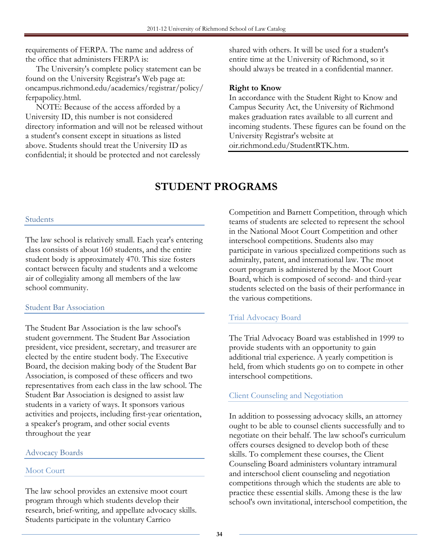requirements of FERPA. The name and address of the office that administers FERPA is:

 The University's complete policy statement can be found on the University Registrar's Web page at: oncampus.richmond.edu/academics/registrar/policy/ ferpapolicy.html.

 NOTE: Because of the access afforded by a University ID, this number is not considered directory information and will not be released without a student's consent except in situations as listed above. Students should treat the University ID as confidential; it should be protected and not carelessly

shared with others. It will be used for a student's entire time at the University of Richmond, so it should always be treated in a confidential manner.

#### Right to Know

In accordance with the Student Right to Know and Campus Security Act, the University of Richmond makes graduation rates available to all current and incoming students. These figures can be found on the University Registrar's website at oir.richmond.edu/StudentRTK.htm.

# STUDENT PROGRAMS

#### Students

The law school is relatively small. Each year's entering class consists of about 160 students, and the entire student body is approximately 470. This size fosters contact between faculty and students and a welcome air of collegiality among all members of the law school community.

#### Student Bar Association

The Student Bar Association is the law school's student government. The Student Bar Association president, vice president, secretary, and treasurer are elected by the entire student body. The Executive Board, the decision making body of the Student Bar Association, is composed of these officers and two representatives from each class in the law school. The Student Bar Association is designed to assist law students in a variety of ways. It sponsors various activities and projects, including first-year orientation, a speaker's program, and other social events throughout the year

#### Advocacy Boards

# Moot Court

The law school provides an extensive moot court program through which students develop their research, brief-writing, and appellate advocacy skills. Students participate in the voluntary Carrico

Competition and Barnett Competition, through which teams of students are selected to represent the school in the National Moot Court Competition and other interschool competitions. Students also may participate in various specialized competitions such as admiralty, patent, and international law. The moot court program is administered by the Moot Court Board, which is composed of second- and third-year students selected on the basis of their performance in the various competitions.

# Trial Advocacy Board

The Trial Advocacy Board was established in 1999 to provide students with an opportunity to gain additional trial experience. A yearly competition is held, from which students go on to compete in other interschool competitions.

# Client Counseling and Negotiation

In addition to possessing advocacy skills, an attorney ought to be able to counsel clients successfully and to negotiate on their behalf. The law school's curriculum offers courses designed to develop both of these skills. To complement these courses, the Client Counseling Board administers voluntary intramural and interschool client counseling and negotiation competitions through which the students are able to practice these essential skills. Among these is the law school's own invitational, interschool competition, the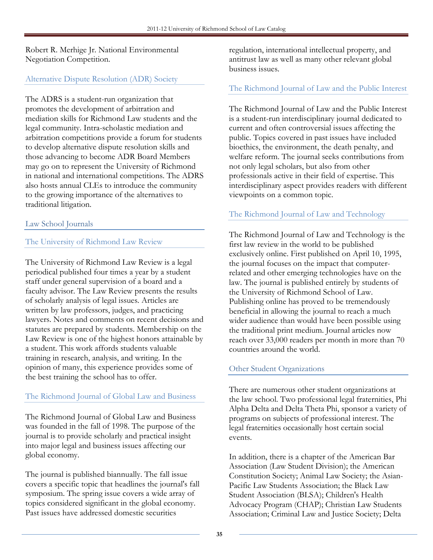Robert R. Merhige Jr. National Environmental Negotiation Competition.

#### Alternative Dispute Resolution (ADR) Society

The ADRS is a student-run organization that promotes the development of arbitration and mediation skills for Richmond Law students and the legal community. Intra-scholastic mediation and arbitration competitions provide a forum for students to develop alternative dispute resolution skills and those advancing to become ADR Board Members may go on to represent the University of Richmond in national and international competitions. The ADRS also hosts annual CLEs to introduce the community to the growing importance of the alternatives to traditional litigation.

#### Law School Journals

#### The University of Richmond Law Review

The University of Richmond Law Review is a legal periodical published four times a year by a student staff under general supervision of a board and a faculty advisor. The Law Review presents the results of scholarly analysis of legal issues. Articles are written by law professors, judges, and practicing lawyers. Notes and comments on recent decisions and statutes are prepared by students. Membership on the Law Review is one of the highest honors attainable by a student. This work affords students valuable training in research, analysis, and writing. In the opinion of many, this experience provides some of the best training the school has to offer.

#### The Richmond Journal of Global Law and Business

The Richmond Journal of Global Law and Business was founded in the fall of 1998. The purpose of the journal is to provide scholarly and practical insight into major legal and business issues affecting our global economy.

The journal is published biannually. The fall issue covers a specific topic that headlines the journal's fall symposium. The spring issue covers a wide array of topics considered significant in the global economy. Past issues have addressed domestic securities

regulation, international intellectual property, and antitrust law as well as many other relevant global business issues.

# The Richmond Journal of Law and the Public Interest

The Richmond Journal of Law and the Public Interest is a student-run interdisciplinary journal dedicated to current and often controversial issues affecting the public. Topics covered in past issues have included bioethics, the environment, the death penalty, and welfare reform. The journal seeks contributions from not only legal scholars, but also from other professionals active in their field of expertise. This interdisciplinary aspect provides readers with different viewpoints on a common topic.

# The Richmond Journal of Law and Technology

The Richmond Journal of Law and Technology is the first law review in the world to be published exclusively online. First published on April 10, 1995, the journal focuses on the impact that computerrelated and other emerging technologies have on the law. The journal is published entirely by students of the University of Richmond School of Law. Publishing online has proved to be tremendously beneficial in allowing the journal to reach a much wider audience than would have been possible using the traditional print medium. Journal articles now reach over 33,000 readers per month in more than 70 countries around the world.

# Other Student Organizations

There are numerous other student organizations at the law school. Two professional legal fraternities, Phi Alpha Delta and Delta Theta Phi, sponsor a variety of programs on subjects of professional interest. The legal fraternities occasionally host certain social events.

In addition, there is a chapter of the American Bar Association (Law Student Division); the American Constitution Society; Animal Law Society; the Asian-Pacific Law Students Association; the Black Law Student Association (BLSA); Children's Health Advocacy Program (CHAP); Christian Law Students Association; Criminal Law and Justice Society; Delta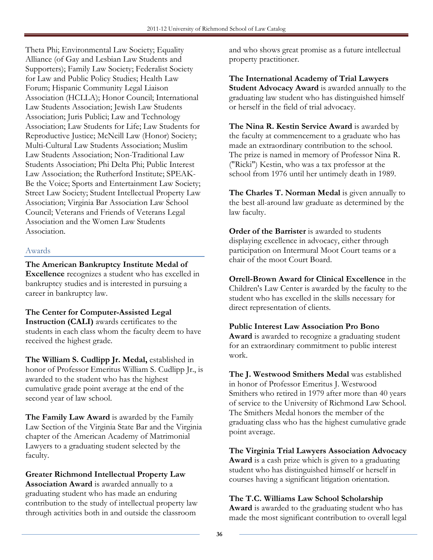Theta Phi; Environmental Law Society; Equality Alliance (of Gay and Lesbian Law Students and Supporters); Family Law Society; Federalist Society for Law and Public Policy Studies; Health Law Forum; Hispanic Community Legal Liaison Association (HCLLA); Honor Council; International Law Students Association; Jewish Law Students Association; Juris Publici; Law and Technology Association; Law Students for Life; Law Students for Reproductive Justice; McNeill Law (Honor) Society; Multi-Cultural Law Students Association; Muslim Law Students Association; Non-Traditional Law Students Association; Phi Delta Phi; Public Interest Law Association; the Rutherford Institute; SPEAK-Be the Voice; Sports and Entertainment Law Society; Street Law Society; Student Intellectual Property Law Association; Virginia Bar Association Law School Council; Veterans and Friends of Veterans Legal Association and the Women Law Students Association.

## Awards

## The American Bankruptcy Institute Medal of

Excellence recognizes a student who has excelled in bankruptcy studies and is interested in pursuing a career in bankruptcy law.

## The Center for Computer-Assisted Legal

Instruction (CALI) awards certificates to the students in each class whom the faculty deem to have received the highest grade.

The William S. Cudlipp Jr. Medal, established in honor of Professor Emeritus William S. Cudlipp Jr., is awarded to the student who has the highest cumulative grade point average at the end of the second year of law school.

The Family Law Award is awarded by the Family Law Section of the Virginia State Bar and the Virginia chapter of the American Academy of Matrimonial Lawyers to a graduating student selected by the faculty.

## Greater Richmond Intellectual Property Law

Association Award is awarded annually to a graduating student who has made an enduring contribution to the study of intellectual property law through activities both in and outside the classroom

and who shows great promise as a future intellectual property practitioner.

The International Academy of Trial Lawyers Student Advocacy Award is awarded annually to the graduating law student who has distinguished himself or herself in the field of trial advocacy.

The Nina R. Kestin Service Award is awarded by the faculty at commencement to a graduate who has made an extraordinary contribution to the school. The prize is named in memory of Professor Nina R. ("Ricki") Kestin, who was a tax professor at the school from 1976 until her untimely death in 1989.

The Charles T. Norman Medal is given annually to the best all-around law graduate as determined by the law faculty.

Order of the Barrister is awarded to students displaying excellence in advocacy, either through participation on Intermural Moot Court teams or a chair of the moot Court Board.

Orrell-Brown Award for Clinical Excellence in the Children's Law Center is awarded by the faculty to the student who has excelled in the skills necessary for direct representation of clients.

Public Interest Law Association Pro Bono

Award is awarded to recognize a graduating student for an extraordinary commitment to public interest work.

The J. Westwood Smithers Medal was established in honor of Professor Emeritus J. Westwood Smithers who retired in 1979 after more than 40 years of service to the University of Richmond Law School. The Smithers Medal honors the member of the graduating class who has the highest cumulative grade point average.

The Virginia Trial Lawyers Association Advocacy Award is a cash prize which is given to a graduating student who has distinguished himself or herself in courses having a significant litigation orientation.

## The T.C. Williams Law School Scholarship

Award is awarded to the graduating student who has made the most significant contribution to overall legal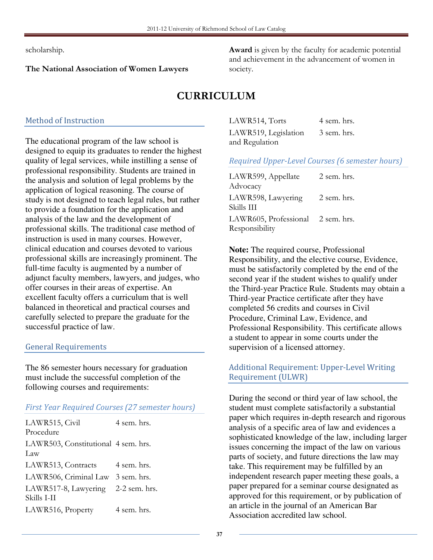scholarship.

## The National Association of Women Lawyers

Award is given by the faculty for academic potential and achievement in the advancement of women in society.

# CURRICULUM

## Method of Instruction

The educational program of the law school is designed to equip its graduates to render the highest quality of legal services, while instilling a sense of professional responsibility. Students are trained in the analysis and solution of legal problems by the application of logical reasoning. The course of study is not designed to teach legal rules, but rather to provide a foundation for the application and analysis of the law and the development of professional skills. The traditional case method of instruction is used in many courses. However, clinical education and courses devoted to various professional skills are increasingly prominent. The full-time faculty is augmented by a number of adjunct faculty members, lawyers, and judges, who offer courses in their areas of expertise. An excellent faculty offers a curriculum that is well balanced in theoretical and practical courses and carefully selected to prepare the graduate for the successful practice of law.

## General Requirements

The 86 semester hours necessary for graduation must include the successful completion of the following courses and requirements:

## First Year Required Courses (27 semester hours)

| LAWR515, Civil                                    | 4 sem. hrs. |
|---------------------------------------------------|-------------|
| Procedure                                         |             |
| LAWR503, Constitutional 4 sem. hrs.               |             |
| Law                                               |             |
| LAWR513, Contracts                                | 4 sem. hrs. |
| LAWR506, Criminal Law 3 sem. hrs.                 |             |
| LAWR517-8, Lawyering 2-2 sem. hrs.<br>Skills I-II |             |
| LAWR516, Property                                 | 4 sem. hrs. |

LAWR514, Torts 4 sem. hrs. LAWR519, Legislation and Regulation 3 sem. hrs.

## Required Upper-Level Courses (6 semester hours)

| LAWR599, Appellate                | 2 sem. hrs. |
|-----------------------------------|-------------|
| Advocacy                          |             |
| LAWR598, Lawyering                | 2 sem. hrs. |
| Skills III                        |             |
| LAWR605, Professional 2 sem. hrs. |             |
| Responsibility                    |             |

**Note:** The required course, Professional Responsibility, and the elective course, Evidence, must be satisfactorily completed by the end of the second year if the student wishes to qualify under the Third-year Practice Rule. Students may obtain a Third-year Practice certificate after they have completed 56 credits and courses in Civil Procedure, Criminal Law, Evidence, and Professional Responsibility. This certificate allows a student to appear in some courts under the supervision of a licensed attorney.

## Additional Requirement: Upper-Level Writing Requirement (ULWR)

During the second or third year of law school, the student must complete satisfactorily a substantial paper which requires in-depth research and rigorous analysis of a specific area of law and evidences a sophisticated knowledge of the law, including larger issues concerning the impact of the law on various parts of society, and future directions the law may take. This requirement may be fulfilled by an independent research paper meeting these goals, a paper prepared for a seminar course designated as approved for this requirement, or by publication of an article in the journal of an American Bar Association accredited law school.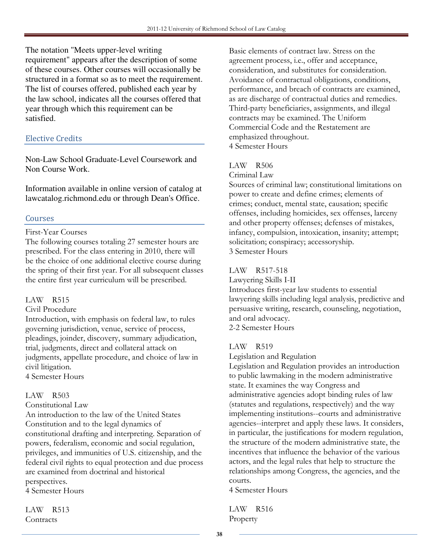The notation "Meets upper-level writing requirement" appears after the description of some of these courses. Other courses will occasionally be structured in a format so as to meet the requirement. The list of courses offered, published each year by the law school, indicates all the courses offered that year through which this requirement can be satisfied.

## Elective Credits

Non-Law School Graduate-Level Coursework and Non Course Work.

Information available in online version of catalog at lawcatalog.richmond.edu or through Dean's Office.

## Courses

## First-Year Courses

The following courses totaling 27 semester hours are prescribed. For the class entering in 2010, there will be the choice of one additional elective course during the spring of their first year. For all subsequent classes the entire first year curriculum will be prescribed.

## LAW R515

## Civil Procedure

Introduction, with emphasis on federal law, to rules governing jurisdiction, venue, service of process, pleadings, joinder, discovery, summary adjudication, trial, judgments, direct and collateral attack on judgments, appellate procedure, and choice of law in civil litigation.

4 Semester Hours

## LAW R503

## Constitutional Law

An introduction to the law of the United States Constitution and to the legal dynamics of constitutional drafting and interpreting. Separation of powers, federalism, economic and social regulation, privileges, and immunities of U.S. citizenship, and the federal civil rights to equal protection and due process are examined from doctrinal and historical perspectives.

4 Semester Hours

LAW R513 **Contracts** 

Basic elements of contract law. Stress on the agreement process, i.e., offer and acceptance, consideration, and substitutes for consideration. Avoidance of contractual obligations, conditions, performance, and breach of contracts are examined, as are discharge of contractual duties and remedies. Third-party beneficiaries, assignments, and illegal contracts may be examined. The Uniform Commercial Code and the Restatement are emphasized throughout. 4 Semester Hours

## LAW R506

Criminal Law

Sources of criminal law; constitutional limitations on power to create and define crimes; elements of crimes; conduct, mental state, causation; specific offenses, including homicides, sex offenses, larceny and other property offenses; defenses of mistakes, infancy, compulsion, intoxication, insanity; attempt; solicitation; conspiracy; accessoryship. 3 Semester Hours

## LAW R517-518

Lawyering Skills I-II

Introduces first-year law students to essential lawyering skills including legal analysis, predictive and persuasive writing, research, counseling, negotiation, and oral advocacy. 2-2 Semester Hours

## LAW R519

Legislation and Regulation

Legislation and Regulation provides an introduction to public lawmaking in the modern administrative state. It examines the way Congress and administrative agencies adopt binding rules of law (statutes and regulations, respectively) and the way implementing institutions--courts and administrative agencies--interpret and apply these laws. It considers, in particular, the justifications for modern regulation, the structure of the modern administrative state, the incentives that influence the behavior of the various actors, and the legal rules that help to structure the relationships among Congress, the agencies, and the courts.

4 Semester Hours

LAW R516 Property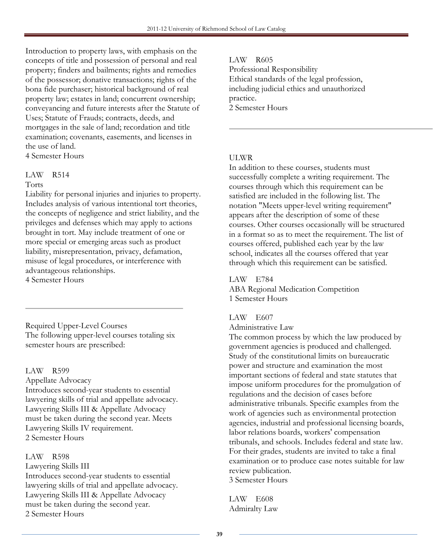Introduction to property laws, with emphasis on the concepts of title and possession of personal and real property; finders and bailments; rights and remedies of the possessor; donative transactions; rights of the bona fide purchaser; historical background of real property law; estates in land; concurrent ownership; conveyancing and future interests after the Statute of Uses; Statute of Frauds; contracts, deeds, and mortgages in the sale of land; recordation and title examination; covenants, easements, and licenses in the use of land.

4 Semester Hours

## LAW R514

#### Torts

Liability for personal injuries and injuries to property. Includes analysis of various intentional tort theories, the concepts of negligence and strict liability, and the privileges and defenses which may apply to actions brought in tort. May include treatment of one or more special or emerging areas such as product liability, misrepresentation, privacy, defamation, misuse of legal procedures, or interference with advantageous relationships.

4 Semester Hours

Required Upper-Level Courses The following upper-level courses totaling six semester hours are prescribed:

LAW R599

Appellate Advocacy Introduces second-year students to essential lawyering skills of trial and appellate advocacy. Lawyering Skills III & Appellate Advocacy must be taken during the second year. Meets Lawyering Skills IV requirement. 2 Semester Hours

LAW R598

Lawyering Skills III Introduces second-year students to essential lawyering skills of trial and appellate advocacy. Lawyering Skills III & Appellate Advocacy must be taken during the second year. 2 Semester Hours

LAW R605 Professional Responsibility Ethical standards of the legal profession, including judicial ethics and unauthorized practice. 2 Semester Hours

## ULWR

In addition to these courses, students must successfully complete a writing requirement. The courses through which this requirement can be satisfied are included in the following list. The notation "Meets upper-level writing requirement" appears after the description of some of these courses. Other courses occasionally will be structured in a format so as to meet the requirement. The list of courses offered, published each year by the law school, indicates all the courses offered that year through which this requirement can be satisfied.

LAW E784 ABA Regional Medication Competition 1 Semester Hours

LAW E607

Administrative Law

The common process by which the law produced by government agencies is produced and challenged. Study of the constitutional limits on bureaucratic power and structure and examination the most important sections of federal and state statutes that impose uniform procedures for the promulgation of regulations and the decision of cases before administrative tribunals. Specific examples from the work of agencies such as environmental protection agencies, industrial and professional licensing boards, labor relations boards, workers' compensation tribunals, and schools. Includes federal and state law. For their grades, students are invited to take a final examination or to produce case notes suitable for law review publication. 3 Semester Hours

LAW E608 Admiralty Law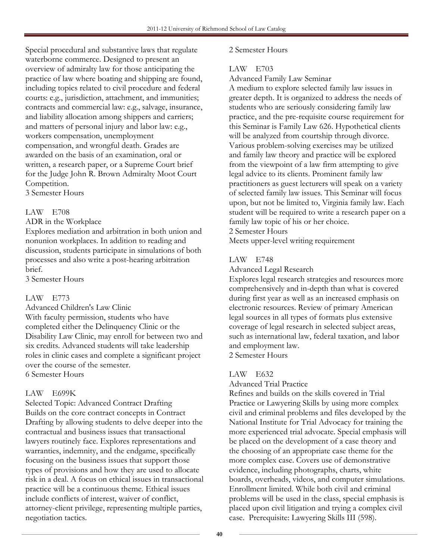Special procedural and substantive laws that regulate waterborne commerce. Designed to present an overview of admiralty law for those anticipating the practice of law where boating and shipping are found, including topics related to civil procedure and federal courts: e.g., jurisdiction, attachment, and immunities; contracts and commercial law: e.g., salvage, insurance, and liability allocation among shippers and carriers; and matters of personal injury and labor law: e.g., workers compensation, unemployment compensation, and wrongful death. Grades are awarded on the basis of an examination, oral or written, a research paper, or a Supreme Court brief for the Judge John R. Brown Admiralty Moot Court Competition.

3 Semester Hours

## LAW E708

ADR in the Workplace

Explores mediation and arbitration in both union and nonunion workplaces. In addition to reading and discussion, students participate in simulations of both processes and also write a post-hearing arbitration brief.

3 Semester Hours

## LAW E773

Advanced Children's Law Clinic With faculty permission, students who have completed either the Delinquency Clinic or the Disability Law Clinic, may enroll for between two and six credits. Advanced students will take leadership roles in clinic cases and complete a significant project over the course of the semester. 6 Semester Hours

## LAW E699K

Selected Topic: Advanced Contract Drafting Builds on the core contract concepts in Contract Drafting by allowing students to delve deeper into the contractual and business issues that transactional lawyers routinely face. Explores representations and warranties, indemnity, and the endgame, specifically focusing on the business issues that support those types of provisions and how they are used to allocate risk in a deal. A focus on ethical issues in transactional practice will be a continuous theme. Ethical issues include conflicts of interest, waiver of conflict, attorney-client privilege, representing multiple parties, negotiation tactics.

## 2 Semester Hours

## LAW E703

## Advanced Family Law Seminar

A medium to explore selected family law issues in greater depth. It is organized to address the needs of students who are seriously considering family law practice, and the pre-requisite course requirement for this Seminar is Family Law 626. Hypothetical clients will be analyzed from courtship through divorce. Various problem-solving exercises may be utilized and family law theory and practice will be explored from the viewpoint of a law firm attempting to give legal advice to its clients. Prominent family law practitioners as guest lecturers will speak on a variety of selected family law issues. This Seminar will focus upon, but not be limited to, Virginia family law. Each student will be required to write a research paper on a family law topic of his or her choice.

2 Semester Hours

Meets upper-level writing requirement

## LAW E748

Advanced Legal Research

Explores legal research strategies and resources more comprehensively and in-depth than what is covered during first year as well as an increased emphasis on electronic resources. Review of primary American legal sources in all types of formats plus extensive coverage of legal research in selected subject areas, such as international law, federal taxation, and labor and employment law. 2 Semester Hours

## LAW E632

Advanced Trial Practice

Refines and builds on the skills covered in Trial Practice or Lawyering Skills by using more complex civil and criminal problems and files developed by the National Institute for Trial Advocacy for training the more experienced trial advocate. Special emphasis will be placed on the development of a case theory and the choosing of an appropriate case theme for the more complex case. Covers use of demonstrative evidence, including photographs, charts, white boards, overheads, videos, and computer simulations. Enrollment limited. While both civil and criminal problems will be used in the class, special emphasis is placed upon civil litigation and trying a complex civil case. Prerequisite: Lawyering Skills III (598).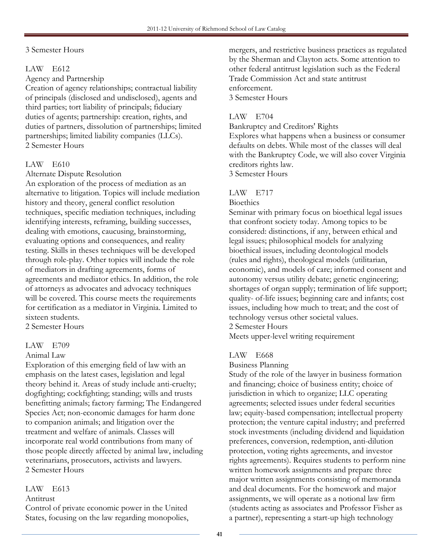## 3 Semester Hours

## LAW E612

Agency and Partnership

Creation of agency relationships; contractual liability of principals (disclosed and undisclosed), agents and third parties; tort liability of principals; fiduciary duties of agents; partnership: creation, rights, and duties of partners, dissolution of partnerships; limited partnerships; limited liability companies (LLCs). 2 Semester Hours

## LAW E610

Alternate Dispute Resolution

An exploration of the process of mediation as an alternative to litigation. Topics will include mediation history and theory, general conflict resolution techniques, specific mediation techniques, including identifying interests, reframing, building successes, dealing with emotions, caucusing, brainstorming, evaluating options and consequences, and reality testing. Skills in theses techniques will be developed through role-play. Other topics will include the role of mediators in drafting agreements, forms of agreements and mediator ethics. In addition, the role of attorneys as advocates and advocacy techniques will be covered. This course meets the requirements for certification as a mediator in Virginia. Limited to sixteen students.

2 Semester Hours

## LAW E709

## Animal Law

Exploration of this emerging field of law with an emphasis on the latest cases, legislation and legal theory behind it. Areas of study include anti-cruelty; dogfighting; cockfighting; standing; wills and trusts benefitting animals; factory farming; The Endangered Species Act; non-economic damages for harm done to companion animals; and litigation over the treatment and welfare of animals. Classes will incorporate real world contributions from many of those people directly affected by animal law, including veterinarians, prosecutors, activists and lawyers. 2 Semester Hours

## LAW E613

## Antitrust

Control of private economic power in the United States, focusing on the law regarding monopolies,

mergers, and restrictive business practices as regulated by the Sherman and Clayton acts. Some attention to other federal antitrust legislation such as the Federal Trade Commission Act and state antitrust enforcement. 3 Semester Hours

## LAW E704

Bankruptcy and Creditors' Rights

Explores what happens when a business or consumer defaults on debts. While most of the classes will deal with the Bankruptcy Code, we will also cover Virginia creditors rights law.

3 Semester Hours

## LAW E717

#### **Bioethics**

Seminar with primary focus on bioethical legal issues that confront society today. Among topics to be considered: distinctions, if any, between ethical and legal issues; philosophical models for analyzing bioethical issues, including deontological models (rules and rights), theological models (utilitarian, economic), and models of care; informed consent and autonomy versus utility debate; genetic engineering; shortages of organ supply; termination of life support; quality- of-life issues; beginning care and infants; cost issues, including how much to treat; and the cost of technology versus other societal values. 2 Semester Hours

Meets upper-level writing requirement

## LAW E668

#### Business Planning

Study of the role of the lawyer in business formation and financing; choice of business entity; choice of jurisdiction in which to organize; LLC operating agreements; selected issues under federal securities law; equity-based compensation; intellectual property protection; the venture capital industry; and preferred stock investments (including dividend and liquidation preferences, conversion, redemption, anti-dilution protection, voting rights agreements, and investor rights agreements). Requires students to perform nine written homework assignments and prepare three major written assignments consisting of memoranda and deal documents. For the homework and major assignments, we will operate as a notional law firm (students acting as associates and Professor Fisher as a partner), representing a start-up high technology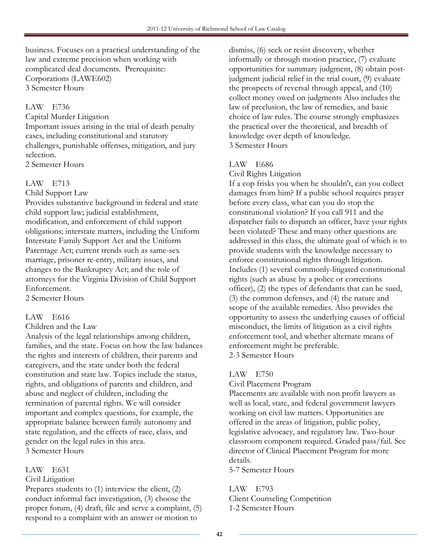business. Focuses on a practical understanding of the law and extreme precision when working with complicated deal documents. Prerequisite: Corporations (LAWE602) 3 Semester Hours

## LAW E736

Capital Murder Litigation

Important issues arising in the trial of death penalty cases, including constitutional and statutory challenges, punishable offenses, mitigation, and jury selection.

2 Semester Hours

## LAW E713

Child Support Law

Provides substantive background in federal and state child support law; judicial establishment, modification, and enforcement of child support obligations; interstate matters, including the Uniform Interstate Family Support Act and the Uniform Parentage Act; current trends such as same-sex marriage, prisoner re-entry, military issues, and changes to the Bankruptcy Act; and the role of attorneys for the Virginia Division of Child Support Enforcement.

2 Semester Hours

## LAW E616

Children and the Law

Analysis of the legal relationships among children, families, and the state. Focus on how the law balances the rights and interests of children, their parents and caregivers, and the state under both the federal constitution and state law. Topics include the status, rights, and obligations of parents and children, and abuse and neglect of children, including the termination of parental rights. We will consider important and complex questions, for example, the appropriate balance between family autonomy and state regulation, and the effects of race, class, and gender on the legal rules in this area. 3 Semester Hours

LAW E631

Civil Litigation

Prepares students to (1) interview the client, (2) conduct informal fact investigation, (3) choose the proper forum, (4) draft, file and serve a complaint, (5) respond to a complaint with an answer or motion to

dismiss, (6) seek or resist discovery, whether informally or through motion practice, (7) evaluate opportunities for summary judgment, (8) obtain postjudgment judicial relief in the trial court, (9) evaluate the prospects of reversal through appeal, and (10) collect money owed on judgments Also includes the law of preclusion, the law of remedies, and basic choice of law rules. The course strongly emphasizes the practical over the theoretical, and breadth of knowledge over depth of knowledge. 3 Semester Hours

## LAW E686

Civil Rights Litigation

If a cop frisks you when he shouldn't, can you collect damages from him? If a public school requires prayer before every class, what can you do stop the constitutional violation? If you call 911 and the dispatcher fails to dispatch an officer, have your rights been violated? These and many other questions are addressed in this class, the ultimate goal of which is to provide students with the knowledge necessary to enforce constitutional rights through litigation. Includes (1) several commonly-litigated constitutional rights (such as abuse by a police or corrections officer), (2) the types of defendants that can be sued, (3) the common defenses, and (4) the nature and scope of the available remedies. Also provides the opportunity to assess the underlying causes of official misconduct, the limits of litigation as a civil rights enforcement tool, and whether alternate means of enforcement might be preferable. 2-3 Semester Hours

## LAW E750

Civil Placement Program

Placements are available with non profit lawyers as well as local, state, and federal government lawyers working on civil law matters. Opportunities are offered in the areas of litigation, public policy, legislative advocacy, and regulatory law. Two-hour classroom component required. Graded pass/fail. See director of Clinical Placement Program for more details.

5-7 Semester Hours

LAW E793 Client Counseling Competition 1-2 Semester Hours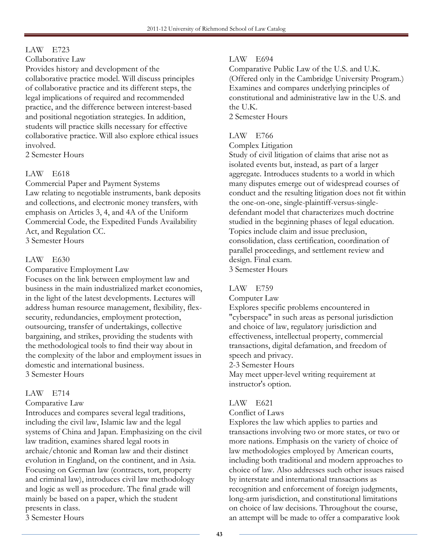## LAW E723

Collaborative Law

Provides history and development of the collaborative practice model. Will discuss principles of collaborative practice and its different steps, the legal implications of required and recommended practice, and the difference between interest-based and positional negotiation strategies. In addition, students will practice skills necessary for effective collaborative practice. Will also explore ethical issues involved.

2 Semester Hours

## LAW E618

Commercial Paper and Payment Systems Law relating to negotiable instruments, bank deposits and collections, and electronic money transfers, with emphasis on Articles 3, 4, and 4A of the Uniform Commercial Code, the Expedited Funds Availability Act, and Regulation CC. 3 Semester Hours

## LAW E630

Comparative Employment Law

Focuses on the link between employment law and business in the main industrialized market economies, in the light of the latest developments. Lectures will address human resource management, flexibility, flexsecurity, redundancies, employment protection, outsourcing, transfer of undertakings, collective bargaining, and strikes, providing the students with the methodological tools to find their way about in the complexity of the labor and employment issues in domestic and international business. 3 Semester Hours

## LAW E714

## Comparative Law

Introduces and compares several legal traditions, including the civil law, Islamic law and the legal systems of China and Japan. Emphasizing on the civil law tradition, examines shared legal roots in archaic/chtonic and Roman law and their distinct evolution in England, on the continent, and in Asia. Focusing on German law (contracts, tort, property and criminal law), introduces civil law methodology and logic as well as procedure. The final grade will mainly be based on a paper, which the student presents in class.

3 Semester Hours

## LAW E694

Comparative Public Law of the U.S. and U.K. (Offered only in the Cambridge University Program.) Examines and compares underlying principles of constitutional and administrative law in the U.S. and the U.K. 2 Semester Hours

## LAW E766

Complex Litigation

Study of civil litigation of claims that arise not as isolated events but, instead, as part of a larger aggregate. Introduces students to a world in which many disputes emerge out of widespread courses of conduct and the resulting litigation does not fit within the one-on-one, single-plaintiff-versus-singledefendant model that characterizes much doctrine studied in the beginning phases of legal education. Topics include claim and issue preclusion, consolidation, class certification, coordination of parallel proceedings, and settlement review and design. Final exam. 3 Semester Hours

## LAW E759

Computer Law

Explores specific problems encountered in "cyberspace" in such areas as personal jurisdiction and choice of law, regulatory jurisdiction and effectiveness, intellectual property, commercial transactions, digital defamation, and freedom of speech and privacy.

2-3 Semester Hours

May meet upper-level writing requirement at instructor's option.

## LAW E621

Conflict of Laws

Explores the law which applies to parties and transactions involving two or more states, or two or more nations. Emphasis on the variety of choice of law methodologies employed by American courts, including both traditional and modern approaches to choice of law. Also addresses such other issues raised by interstate and international transactions as recognition and enforcement of foreign judgments, long-arm jurisdiction, and constitutional limitations on choice of law decisions. Throughout the course, an attempt will be made to offer a comparative look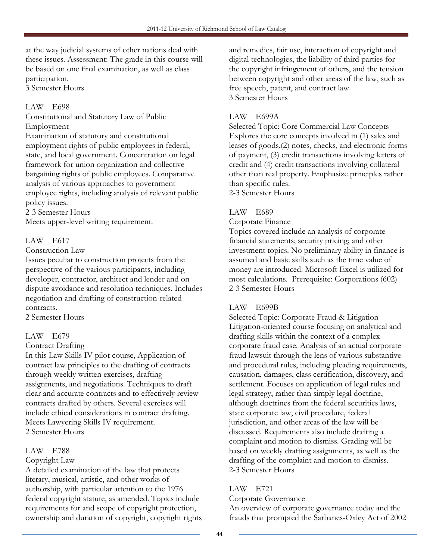at the way judicial systems of other nations deal with these issues. Assessment: The grade in this course will be based on one final examination, as well as class participation. 3 Semester Hours

## LAW E698

Constitutional and Statutory Law of Public Employment

Examination of statutory and constitutional employment rights of public employees in federal, state, and local government. Concentration on legal framework for union organization and collective bargaining rights of public employees. Comparative analysis of various approaches to government employee rights, including analysis of relevant public policy issues.

2-3 Semester Hours

Meets upper-level writing requirement.

## LAW E617

#### Construction Law

Issues peculiar to construction projects from the perspective of the various participants, including developer, contractor, architect and lender and on dispute avoidance and resolution techniques. Includes negotiation and drafting of construction-related contracts.

2 Semester Hours

## LAW E679

## Contract Drafting

In this Law Skills IV pilot course, Application of contract law principles to the drafting of contracts through weekly written exercises, drafting assignments, and negotiations. Techniques to draft clear and accurate contracts and to effectively review contracts drafted by others. Several exercises will include ethical considerations in contract drafting. Meets Lawyering Skills IV requirement. 2 Semester Hours

## LAW E788

## Copyright Law

A detailed examination of the law that protects literary, musical, artistic, and other works of authorship, with particular attention to the 1976 federal copyright statute, as amended. Topics include requirements for and scope of copyright protection, ownership and duration of copyright, copyright rights and remedies, fair use, interaction of copyright and digital technologies, the liability of third parties for the copyright infringement of others, and the tension between copyright and other areas of the law, such as free speech, patent, and contract law. 3 Semester Hours

## LAW E699A

Selected Topic: Core Commercial Law Concepts Explores the core concepts involved in (1) sales and leases of goods,(2) notes, checks, and electronic forms of payment, (3) credit transactions involving letters of credit and (4) credit transactions involving collateral other than real property. Emphasize principles rather than specific rules.

2-3 Semester Hours

## LAW E689

Corporate Finance

Topics covered include an analysis of corporate financial statements; security pricing; and other investment topics. No preliminary ability in finance is assumed and basic skills such as the time value of money are introduced. Microsoft Excel is utilized for most calculations. Prerequisite: Corporations (602) 2-3 Semester Hours

## LAW E699B

Selected Topic: Corporate Fraud & Litigation Litigation-oriented course focusing on analytical and drafting skills within the context of a complex corporate fraud case. Analysis of an actual corporate fraud lawsuit through the lens of various substantive and procedural rules, including pleading requirements, causation, damages, class certification, discovery, and settlement. Focuses on application of legal rules and legal strategy, rather than simply legal doctrine, although doctrines from the federal securities laws, state corporate law, civil procedure, federal jurisdiction, and other areas of the law will be discussed. Requirements also include drafting a complaint and motion to dismiss. Grading will be based on weekly drafting assignments, as well as the drafting of the complaint and motion to dismiss. 2-3 Semester Hours

## LAW E721

Corporate Governance

An overview of corporate governance today and the frauds that prompted the Sarbanes-Oxley Act of 2002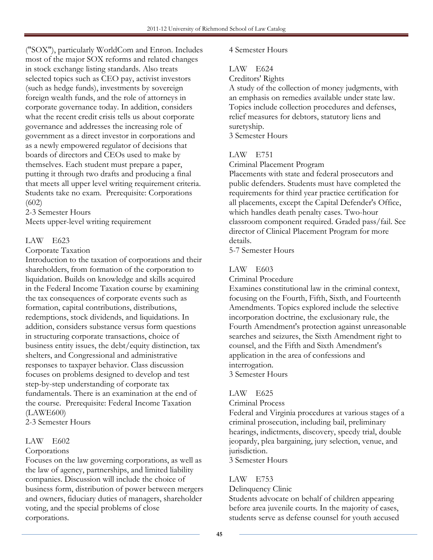("SOX"), particularly WorldCom and Enron. Includes most of the major SOX reforms and related changes in stock exchange listing standards. Also treats selected topics such as CEO pay, activist investors (such as hedge funds), investments by sovereign foreign wealth funds, and the role of attorneys in corporate governance today. In addition, considers what the recent credit crisis tells us about corporate governance and addresses the increasing role of government as a direct investor in corporations and as a newly empowered regulator of decisions that boards of directors and CEOs used to make by themselves. Each student must prepare a paper, putting it through two drafts and producing a final that meets all upper level writing requirement criteria. Students take no exam. Prerequisite: Corporations (602)

2-3 Semester Hours

Meets upper-level writing requirement

## LAW E623

Corporate Taxation

Introduction to the taxation of corporations and their shareholders, from formation of the corporation to liquidation. Builds on knowledge and skills acquired in the Federal Income Taxation course by examining the tax consequences of corporate events such as formation, capital contributions, distributions, redemptions, stock dividends, and liquidations. In addition, considers substance versus form questions in structuring corporate transactions, choice of business entity issues, the debt/equity distinction, tax shelters, and Congressional and administrative responses to taxpayer behavior. Class discussion focuses on problems designed to develop and test step-by-step understanding of corporate tax fundamentals. There is an examination at the end of the course. Prerequisite: Federal Income Taxation (LAWE600)

2-3 Semester Hours

## LAW E602

## Corporations

Focuses on the law governing corporations, as well as the law of agency, partnerships, and limited liability companies. Discussion will include the choice of business form, distribution of power between mergers and owners, fiduciary duties of managers, shareholder voting, and the special problems of close corporations.

## 4 Semester Hours

## LAW E624

Creditors' Rights

A study of the collection of money judgments, with an emphasis on remedies available under state law. Topics include collection procedures and defenses, relief measures for debtors, statutory liens and suretyship.

3 Semester Hours

## LAW E751

Criminal Placement Program

Placements with state and federal prosecutors and public defenders. Students must have completed the requirements for third year practice certification for all placements, except the Capital Defender's Office, which handles death penalty cases. Two-hour classroom component required. Graded pass/fail. See director of Clinical Placement Program for more details.

5-7 Semester Hours

## LAW E603

Criminal Procedure

Examines constitutional law in the criminal context, focusing on the Fourth, Fifth, Sixth, and Fourteenth Amendments. Topics explored include the selective incorporation doctrine, the exclusionary rule, the Fourth Amendment's protection against unreasonable searches and seizures, the Sixth Amendment right to counsel, and the Fifth and Sixth Amendment's application in the area of confessions and interrogation. 3 Semester Hours

## LAW E625

Criminal Process

Federal and Virginia procedures at various stages of a criminal prosecution, including bail, preliminary hearings, indictments, discovery, speedy trial, double jeopardy, plea bargaining, jury selection, venue, and jurisdiction.

3 Semester Hours

## LAW E753

Delinquency Clinic

Students advocate on behalf of children appearing before area juvenile courts. In the majority of cases, students serve as defense counsel for youth accused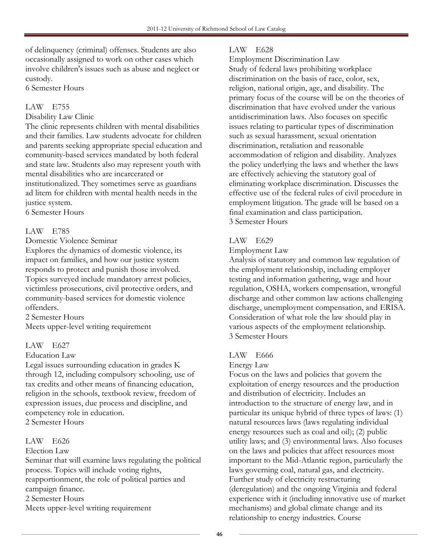of delinquency (criminal) offenses. Students are also occasionally assigned to work on other cases which involve children's issues such as abuse and neglect or custody.

6 Semester Hours

## LAW E755

## Disability Law Clinic

The clinic represents children with mental disabilities and their families. Law students advocate for children and parents seeking appropriate special education and community-based services mandated by both federal and state law. Students also may represent youth with mental disabilities who are incarcerated or institutionalized. They sometimes serve as guardians ad litem for children with mental health needs in the justice system.

6 Semester Hours

## LAW E785

Domestic Violence Seminar

Explores the dynamics of domestic violence, its impact on families, and how our justice system responds to protect and punish those involved. Topics surveyed include mandatory arrest policies, victimless prosecutions, civil protective orders, and community-based services for domestic violence offenders.

2 Semester Hours

Meets upper-level writing requirement

## LAW E627

## Education Law

Legal issues surrounding education in grades K through 12, including compulsory schooling, use of tax credits and other means of financing education, religion in the schools, textbook review, freedom of expression issues, due process and discipline, and competency role in education. 2 Semester Hours

## LAW E626

## Election Law

Seminar that will examine laws regulating the political process. Topics will include voting rights, reapportionment, the role of political parties and campaign finance. 2 Semester Hours Meets upper-level writing requirement

## LAW E628

Employment Discrimination Law

Study of federal laws prohibiting workplace discrimination on the basis of race, color, sex, religion, national origin, age, and disability. The primary focus of the course will be on the theories of discrimination that have evolved under the various antidiscrimination laws. Also focuses on specific issues relating to particular types of discrimination such as sexual harassment, sexual orientation discrimination, retaliation and reasonable accommodation of religion and disability. Analyzes the policy underlying the laws and whether the laws are effectively achieving the statutory goal of eliminating workplace discrimination. Discusses the effective use of the federal rules of civil procedure in employment litigation. The grade will be based on a final examination and class participation. 3 Semester Hours

## LAW E629

#### Employment Law

Analysis of statutory and common law regulation of the employment relationship, including employer testing and information gathering, wage and hour regulation, OSHA, workers compensation, wrongful discharge and other common law actions challenging discharge, unemployment compensation, and ERISA. Consideration of what role the law should play in various aspects of the employment relationship. 3 Semester Hours

## LAW E666

## Energy Law

Focus on the laws and policies that govern the exploitation of energy resources and the production and distribution of electricity. Includes an introduction to the structure of energy law, and in particular its unique hybrid of three types of laws: (1) natural resources laws (laws regulating individual energy resources such as coal and oil); (2) public utility laws; and (3) environmental laws. Also focuses on the laws and policies that affect resources most important to the Mid-Atlantic region, particularly the laws governing coal, natural gas, and electricity. Further study of electricity restructuring (deregulation) and the ongoing Virginia and federal experience with it (including innovative use of market mechanisms) and global climate change and its relationship to energy industries. Course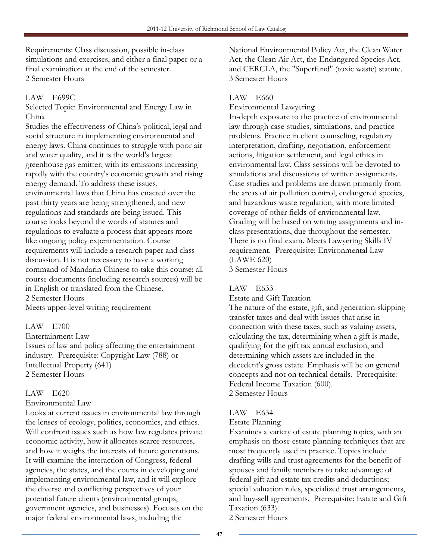Requirements: Class discussion, possible in-class simulations and exercises, and either a final paper or a final examination at the end of the semester. 2 Semester Hours

## LAW E699C

Selected Topic: Environmental and Energy Law in China

Studies the effectiveness of China's political, legal and social structure in implementing environmental and energy laws. China continues to struggle with poor air and water quality, and it is the world's largest greenhouse gas emitter, with its emissions increasing rapidly with the country's economic growth and rising energy demand. To address these issues, environmental laws that China has enacted over the past thirty years are being strengthened, and new regulations and standards are being issued. This course looks beyond the words of statutes and regulations to evaluate a process that appears more like ongoing policy experimentation. Course requirements will include a research paper and class discussion. It is not necessary to have a working command of Mandarin Chinese to take this course: all course documents (including research sources) will be in English or translated from the Chinese. 2 Semester Hours Meets upper-level writing requirement

## LAW E700

Entertainment Law Issues of law and policy affecting the entertainment industry. Prerequisite: Copyright Law (788) or Intellectual Property (641) 2 Semester Hours

## LAW E620

## Environmental Law

Looks at current issues in environmental law through the lenses of ecology, politics, economics, and ethics. Will confront issues such as how law regulates private economic activity, how it allocates scarce resources, and how it weighs the interests of future generations. It will examine the interaction of Congress, federal agencies, the states, and the courts in developing and implementing environmental law, and it will explore the diverse and conflicting perspectives of your potential future clients (environmental groups, government agencies, and businesses). Focuses on the major federal environmental laws, including the

National Environmental Policy Act, the Clean Water Act, the Clean Air Act, the Endangered Species Act, and CERCLA, the "Superfund" (toxic waste) statute. 3 Semester Hours

## LAW E660

## Environmental Lawyering

In-depth exposure to the practice of environmental law through case-studies, simulations, and practice problems. Practice in client counseling, regulatory interpretation, drafting, negotiation, enforcement actions, litigation settlement, and legal ethics in environmental law. Class sessions will be devoted to simulations and discussions of written assignments. Case studies and problems are drawn primarily from the areas of air pollution control, endangered species, and hazardous waste regulation, with more limited coverage of other fields of environmental law. Grading will be based on writing assignments and inclass presentations, due throughout the semester. There is no final exam. Meets Lawyering Skills IV requirement. Prerequisite: Environmental Law (LAWE 620) 3 Semester Hours

## LAW E633

Estate and Gift Taxation

The nature of the estate, gift, and generation-skipping transfer taxes and deal with issues that arise in connection with these taxes, such as valuing assets, calculating the tax, determining when a gift is made, qualifying for the gift tax annual exclusion, and determining which assets are included in the decedent's gross estate. Emphasis will be on general concepts and not on technical details. Prerequisite: Federal Income Taxation (600). 2 Semester Hours

## LAW E634

## Estate Planning

Examines a variety of estate planning topics, with an emphasis on those estate planning techniques that are most frequently used in practice. Topics include drafting wills and trust agreements for the benefit of spouses and family members to take advantage of federal gift and estate tax credits and deductions; special valuation rules, specialized trust arrangements, and buy-sell agreements. Prerequisite: Estate and Gift Taxation (633).

2 Semester Hours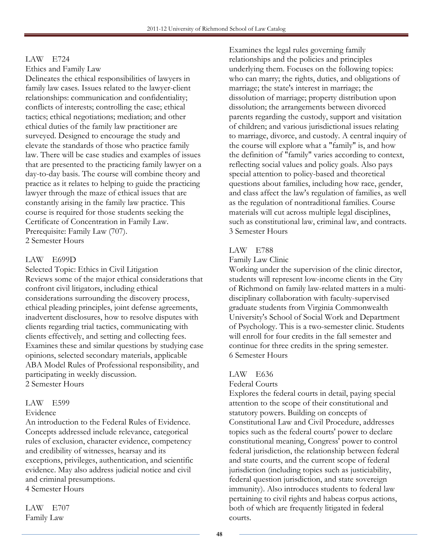## LAW E724

Ethics and Family Law

Delineates the ethical responsibilities of lawyers in family law cases. Issues related to the lawyer-client relationships: communication and confidentiality; conflicts of interests; controlling the case; ethical tactics; ethical negotiations; mediation; and other ethical duties of the family law practitioner are surveyed. Designed to encourage the study and elevate the standards of those who practice family law. There will be case studies and examples of issues that are presented to the practicing family lawyer on a day-to-day basis. The course will combine theory and practice as it relates to helping to guide the practicing lawyer through the maze of ethical issues that are constantly arising in the family law practice. This course is required for those students seeking the Certificate of Concentration in Family Law. Prerequisite: Family Law (707). 2 Semester Hours

## LAW E699D

Selected Topic: Ethics in Civil Litigation Reviews some of the major ethical considerations that confront civil litigators, including ethical considerations surrounding the discovery process, ethical pleading principles, joint defense agreements, inadvertent disclosures, how to resolve disputes with clients regarding trial tactics, communicating with clients effectively, and setting and collecting fees. Examines these and similar questions by studying case opinions, selected secondary materials, applicable ABA Model Rules of Professional responsibility, and participating in weekly discussion. 2 Semester Hours

## LAW E599

#### Evidence

An introduction to the Federal Rules of Evidence. Concepts addressed include relevance, categorical rules of exclusion, character evidence, competency and credibility of witnesses, hearsay and its exceptions, privileges, authentication, and scientific evidence. May also address judicial notice and civil and criminal presumptions. 4 Semester Hours

LAW E707 Family Law

Examines the legal rules governing family relationships and the policies and principles underlying them. Focuses on the following topics: who can marry; the rights, duties, and obligations of marriage; the state's interest in marriage; the dissolution of marriage; property distribution upon dissolution; the arrangements between divorced parents regarding the custody, support and visitation of children; and various jurisdictional issues relating to marriage, divorce, and custody. A central inquiry of the course will explore what a "family" is, and how the definition of "family" varies according to context, reflecting social values and policy goals. Also pays special attention to policy-based and theoretical questions about families, including how race, gender, and class affect the law's regulation of families, as well as the regulation of nontraditional families. Course materials will cut across multiple legal disciplines, such as constitutional law, criminal law, and contracts. 3 Semester Hours

## LAW E788

#### Family Law Clinic

Working under the supervision of the clinic director, students will represent low-income clients in the City of Richmond on family law-related matters in a multidisciplinary collaboration with faculty-supervised graduate students from Virginia Commonwealth University's School of Social Work and Department of Psychology. This is a two-semester clinic. Students will enroll for four credits in the fall semester and continue for three credits in the spring semester. 6 Semester Hours

## LAW E636

## Federal Courts

Explores the federal courts in detail, paying special attention to the scope of their constitutional and statutory powers. Building on concepts of Constitutional Law and Civil Procedure, addresses topics such as the federal courts' power to declare constitutional meaning, Congress' power to control federal jurisdiction, the relationship between federal and state courts, and the current scope of federal jurisdiction (including topics such as justiciability, federal question jurisdiction, and state sovereign immunity). Also introduces students to federal law pertaining to civil rights and habeas corpus actions, both of which are frequently litigated in federal courts.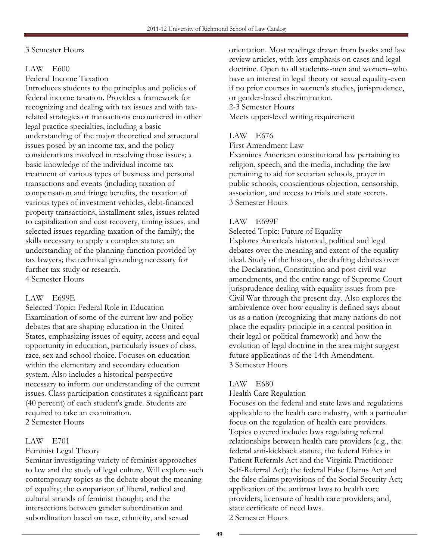## 3 Semester Hours

## LAW E600

Federal Income Taxation

Introduces students to the principles and policies of federal income taxation. Provides a framework for recognizing and dealing with tax issues and with taxrelated strategies or transactions encountered in other legal practice specialties, including a basic understanding of the major theoretical and structural issues posed by an income tax, and the policy considerations involved in resolving those issues; a basic knowledge of the individual income tax treatment of various types of business and personal transactions and events (including taxation of compensation and fringe benefits, the taxation of various types of investment vehicles, debt-financed property transactions, installment sales, issues related to capitalization and cost recovery, timing issues, and selected issues regarding taxation of the family); the skills necessary to apply a complex statute; an understanding of the planning function provided by tax lawyers; the technical grounding necessary for further tax study or research. 4 Semester Hours

## LAW E699E

Selected Topic: Federal Role in Education Examination of some of the current law and policy debates that are shaping education in the United States, emphasizing issues of equity, access and equal opportunity in education, particularly issues of class, race, sex and school choice. Focuses on education within the elementary and secondary education system. Also includes a historical perspective necessary to inform our understanding of the current issues. Class participation constitutes a significant part (40 percent) of each student's grade. Students are required to take an examination. 2 Semester Hours

## LAW E701

## Feminist Legal Theory

Seminar investigating variety of feminist approaches to law and the study of legal culture. Will explore such contemporary topics as the debate about the meaning of equality; the comparison of liberal, radical and cultural strands of feminist thought; and the intersections between gender subordination and subordination based on race, ethnicity, and sexual

orientation. Most readings drawn from books and law review articles, with less emphasis on cases and legal doctrine. Open to all students--men and women--who have an interest in legal theory or sexual equality-even if no prior courses in women's studies, jurisprudence, or gender-based discrimination.

#### 2-3 Semester Hours

Meets upper-level writing requirement

## LAW E676

First Amendment Law

Examines American constitutional law pertaining to religion, speech, and the media, including the law pertaining to aid for sectarian schools, prayer in public schools, conscientious objection, censorship, association, and access to trials and state secrets. 3 Semester Hours

## LAW E699F

Selected Topic: Future of Equality Explores America's historical, political and legal debates over the meaning and extent of the equality ideal. Study of the history, the drafting debates over the Declaration, Constitution and post-civil war amendments, and the entire range of Supreme Court jurisprudence dealing with equality issues from pre-Civil War through the present day. Also explores the ambivalence over how equality is defined says about us as a nation (recognizing that many nations do not place the equality principle in a central position in their legal or political framework) and how the evolution of legal doctrine in the area might suggest future applications of the 14th Amendment. 3 Semester Hours

## LAW E680

## Health Care Regulation

Focuses on the federal and state laws and regulations applicable to the health care industry, with a particular focus on the regulation of health care providers. Topics covered include: laws regulating referral relationships between health care providers (e.g., the federal anti-kickback statute, the federal Ethics in Patient Referrals Act and the Virginia Practitioner Self-Referral Act); the federal False Claims Act and the false claims provisions of the Social Security Act; application of the antitrust laws to health care providers; licensure of health care providers; and, state certificate of need laws. 2 Semester Hours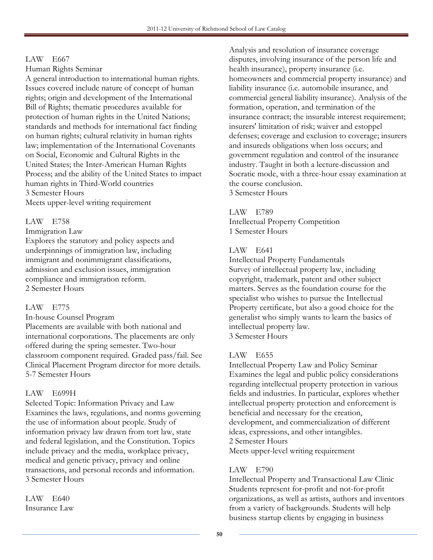## LAW E667

Human Rights Seminar

A general introduction to international human rights. Issues covered include nature of concept of human rights; origin and development of the International Bill of Rights; thematic procedures available for protection of human rights in the United Nations; standards and methods for international fact finding on human rights; cultural relativity in human rights law; implementation of the International Covenants on Social, Economic and Cultural Rights in the United States; the Inter-American Human Rights Process; and the ability of the United States to impact human rights in Third-World countries 3 Semester Hours

Meets upper-level writing requirement

## LAW E758

Immigration Law

Explores the statutory and policy aspects and underpinnings of immigration law, including immigrant and nonimmigrant classifications, admission and exclusion issues, immigration compliance and immigration reform. 2 Semester Hours

## LAW E775

In-house Counsel Program

Placements are available with both national and international corporations. The placements are only offered during the spring semester. Two-hour classroom component required. Graded pass/fail. See Clinical Placement Program director for more details. 5-7 Semester Hours

## LAW E699H

Selected Topic: Information Privacy and Law Examines the laws, regulations, and norms governing the use of information about people. Study of information privacy law drawn from tort law, state and federal legislation, and the Constitution. Topics include privacy and the media, workplace privacy, medical and genetic privacy, privacy and online transactions, and personal records and information. 3 Semester Hours

LAW E640 Insurance Law

Analysis and resolution of insurance coverage disputes, involving insurance of the person life and health insurance), property insurance (i.e. homeowners and commercial property insurance) and liability insurance (i.e. automobile insurance, and commercial general liability insurance). Analysis of the formation, operation, and termination of the insurance contract; the insurable interest requirement; insurers' limitation of risk; waiver and estoppel defenses; coverage and exclusion to coverage; insurers and insureds obligations when loss occurs; and government regulation and control of the insurance industry. Taught in both a lecture-discussion and Socratic mode, with a three-hour essay examination at the course conclusion.

3 Semester Hours

## LAW E789

Intellectual Property Competition 1 Semester Hours

## LAW E641

Intellectual Property Fundamentals Survey of intellectual property law, including copyright, trademark, patent and other subject matters. Serves as the foundation course for the specialist who wishes to pursue the Intellectual Property certificate, but also a good choice for the generalist who simply wants to learn the basics of intellectual property law. 3 Semester Hours

## LAW E655

Intellectual Property Law and Policy Seminar Examines the legal and public policy considerations regarding intellectual property protection in various fields and industries. In particular, explores whether intellectual property protection and enforcement is beneficial and necessary for the creation, development, and commercialization of different ideas, expressions, and other intangibles. 2 Semester Hours Meets upper-level writing requirement

## LAW E790

Intellectual Property and Transactional Law Clinic Students represent for-profit and not-for-profit organizations, as well as artists, authors and inventors from a variety of backgrounds. Students will help business startup clients by engaging in business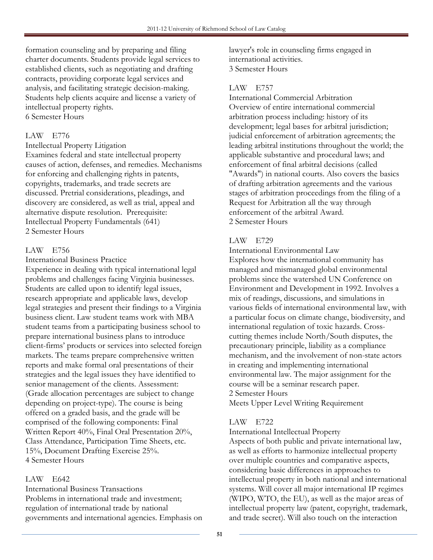formation counseling and by preparing and filing charter documents. Students provide legal services to established clients, such as negotiating and drafting contracts, providing corporate legal services and analysis, and facilitating strategic decision-making. Students help clients acquire and license a variety of intellectual property rights. 6 Semester Hours

## LAW E776

Intellectual Property Litigation

Examines federal and state intellectual property causes of action, defenses, and remedies. Mechanisms for enforcing and challenging rights in patents, copyrights, trademarks, and trade secrets are discussed. Pretrial considerations, pleadings, and discovery are considered, as well as trial, appeal and alternative dispute resolution. Prerequisite: Intellectual Property Fundamentals (641) 2 Semester Hours

## LAW E756

International Business Practice

Experience in dealing with typical international legal problems and challenges facing Virginia businesses. Students are called upon to identify legal issues, research appropriate and applicable laws, develop legal strategies and present their findings to a Virginia business client. Law student teams work with MBA student teams from a participating business school to prepare international business plans to introduce client-firms' products or services into selected foreign markets. The teams prepare comprehensive written reports and make formal oral presentations of their strategies and the legal issues they have identified to senior management of the clients. Assessment: (Grade allocation percentages are subject to change depending on project-type). The course is being offered on a graded basis, and the grade will be comprised of the following components: Final Written Report 40%, Final Oral Presentation 20%, Class Attendance, Participation Time Sheets, etc. 15%, Document Drafting Exercise 25%. 4 Semester Hours

## LAW E642

International Business Transactions Problems in international trade and investment; regulation of international trade by national governments and international agencies. Emphasis on lawyer's role in counseling firms engaged in international activities. 3 Semester Hours

## LAW E757

International Commercial Arbitration Overview of entire international commercial arbitration process including: history of its development; legal bases for arbitral jurisdiction; judicial enforcement of arbitration agreements; the leading arbitral institutions throughout the world; the applicable substantive and procedural laws; and enforcement of final arbitral decisions (called "Awards") in national courts. Also covers the basics of drafting arbitration agreements and the various stages of arbitration proceedings from the filing of a Request for Arbitration all the way through enforcement of the arbitral Award. 2 Semester Hours

## LAW E729

International Environmental Law

Explores how the international community has managed and mismanaged global environmental problems since the watershed UN Conference on Environment and Development in 1992. Involves a mix of readings, discussions, and simulations in various fields of international environmental law, with a particular focus on climate change, biodiversity, and international regulation of toxic hazards. Crosscutting themes include North/South disputes, the precautionary principle, liability as a compliance mechanism, and the involvement of non-state actors in creating and implementing international environmental law. The major assignment for the course will be a seminar research paper. 2 Semester Hours Meets Upper Level Writing Requirement

## LAW E722

International Intellectual Property

Aspects of both public and private international law, as well as efforts to harmonize intellectual property over multiple countries and comparative aspects, considering basic differences in approaches to intellectual property in both national and international systems. Will cover all major international IP regimes (WIPO, WTO, the EU), as well as the major areas of intellectual property law (patent, copyright, trademark, and trade secret). Will also touch on the interaction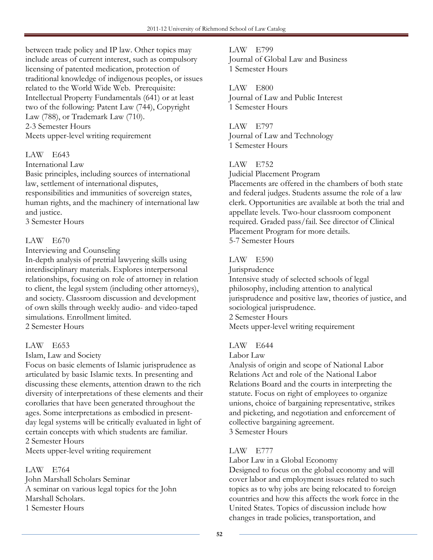between trade policy and IP law. Other topics may include areas of current interest, such as compulsory licensing of patented medication, protection of traditional knowledge of indigenous peoples, or issues related to the World Wide Web. Prerequisite: Intellectual Property Fundamentals (641) or at least two of the following: Patent Law (744), Copyright Law (788), or Trademark Law (710). 2-3 Semester Hours Meets upper-level writing requirement

## LAW E643

International Law

Basic principles, including sources of international law, settlement of international disputes, responsibilities and immunities of sovereign states, human rights, and the machinery of international law and justice.

3 Semester Hours

## LAW E670

Interviewing and Counseling

In-depth analysis of pretrial lawyering skills using interdisciplinary materials. Explores interpersonal relationships, focusing on role of attorney in relation to client, the legal system (including other attorneys), and society. Classroom discussion and development of own skills through weekly audio- and video-taped simulations. Enrollment limited. 2 Semester Hours

## LAW E653

Islam, Law and Society

Focus on basic elements of Islamic jurisprudence as articulated by basic Islamic texts. In presenting and discussing these elements, attention drawn to the rich diversity of interpretations of these elements and their corollaries that have been generated throughout the ages. Some interpretations as embodied in presentday legal systems will be critically evaluated in light of certain concepts with which students are familiar. 2 Semester Hours

Meets upper-level writing requirement

## LAW E764

John Marshall Scholars Seminar A seminar on various legal topics for the John Marshall Scholars. 1 Semester Hours

LAW E799 Journal of Global Law and Business 1 Semester Hours

LAW E800 Journal of Law and Public Interest 1 Semester Hours

LAW E797 Journal of Law and Technology 1 Semester Hours

## LAW E752

Judicial Placement Program

Placements are offered in the chambers of both state and federal judges. Students assume the role of a law clerk. Opportunities are available at both the trial and appellate levels. Two-hour classroom component required. Graded pass/fail. See director of Clinical Placement Program for more details. 5-7 Semester Hours

## LAW E590

Jurisprudence

Intensive study of selected schools of legal philosophy, including attention to analytical jurisprudence and positive law, theories of justice, and sociological jurisprudence.

2 Semester Hours

Meets upper-level writing requirement

## LAW E644

Labor Law

Analysis of origin and scope of National Labor Relations Act and role of the National Labor Relations Board and the courts in interpreting the statute. Focus on right of employees to organize unions, choice of bargaining representative, strikes and picketing, and negotiation and enforcement of collective bargaining agreement. 3 Semester Hours

## LAW E777

Labor Law in a Global Economy

Designed to focus on the global economy and will cover labor and employment issues related to such topics as to why jobs are being relocated to foreign countries and how this affects the work force in the United States. Topics of discussion include how changes in trade policies, transportation, and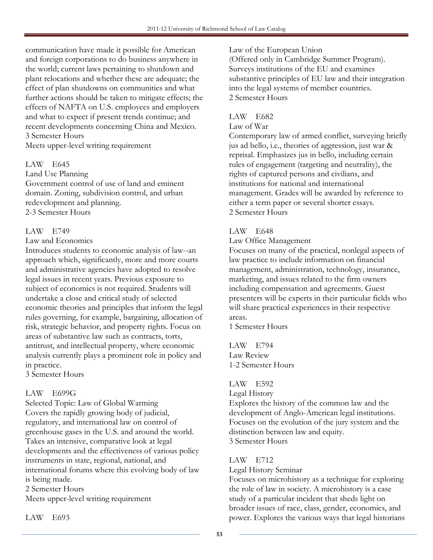communication have made it possible for American and foreign corporations to do business anywhere in the world; current laws pertaining to shutdown and plant relocations and whether these are adequate; the effect of plan shutdowns on communities and what further actions should be taken to mitigate effects; the effects of NAFTA on U.S. employees and employers and what to expect if present trends continue; and recent developments concerning China and Mexico. 3 Semester Hours Meets upper-level writing requirement

## LAW E645

Land Use Planning Government control of use of land and eminent domain. Zoning, subdivision control, and urban redevelopment and planning. 2-3 Semester Hours

## LAW E749

#### Law and Economics

Introduces students to economic analysis of law--an approach which, significantly, more and more courts and administrative agencies have adopted to resolve legal issues in recent years. Previous exposure to subject of economics is not required. Students will undertake a close and critical study of selected economic theories and principles that inform the legal rules governing, for example, bargaining, allocation of risk, strategic behavior, and property rights. Focus on areas of substantive law such as contracts, torts, antitrust, and intellectual property, where economic analysis currently plays a prominent role in policy and in practice.

3 Semester Hours

## LAW E699G

Selected Topic: Law of Global Warming Covers the rapidly growing body of judicial, regulatory, and international law on control of greenhouse gases in the U.S. and around the world. Takes an intensive, comparative look at legal developments and the effectiveness of various policy instruments in state, regional, national, and international forums where this evolving body of law is being made.

2 Semester Hours

Meets upper-level writing requirement

#### Law of the European Union

(Offered only in Cambridge Summer Program). Surveys institutions of the EU and examines substantive principles of EU law and their integration into the legal systems of member countries. 2 Semester Hours

## LAW E682

#### Law of War

Contemporary law of armed conflict, surveying briefly jus ad bello, i.e., theories of aggression, just war & reprisal. Emphasizes jus in bello, including certain rules of engagement (targeting and neutrality), the rights of captured persons and civilians, and institutions for national and international management. Grades will be awarded by reference to either a term paper or several shorter essays. 2 Semester Hours

## LAW E648

Law Office Management

Focuses on many of the practical, nonlegal aspects of law practice to include information on financial management, administration, technology, insurance, marketing, and issues related to the firm owners including compensation and agreements. Guest presenters will be experts in their particular fields who will share practical experiences in their respective areas.

1 Semester Hours

LAW E794 Law Review 1-2 Semester Hours

## LAW E592

Legal History

Explores the history of the common law and the development of Anglo-American legal institutions. Focuses on the evolution of the jury system and the distinction between law and equity. 3 Semester Hours

## LAW E712

Legal History Seminar

Focuses on microhistory as a technique for exploring the role of law in society. A microhistory is a case study of a particular incident that sheds light on broader issues of race, class, gender, economics, and power. Explores the various ways that legal historians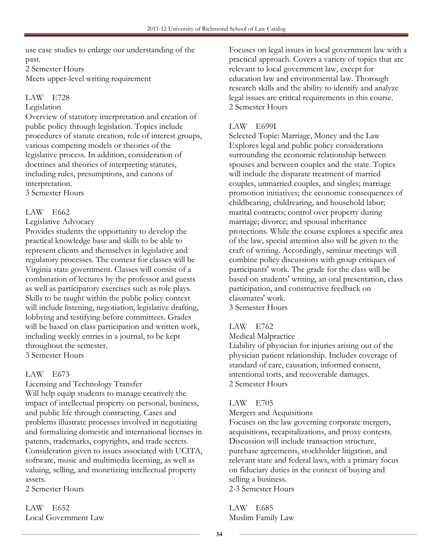use case studies to enlarge our understanding of the past.

2 Semester Hours Meets upper-level writing requirement

## LAW E728

## Legislation

Overview of statutory interpretation and creation of public policy through legislation. Topics include procedures of statute creation, role of interest groups, various competing models or theories of the legislative process. In addition, consideration of doctrines and theories of interpreting statutes, including rules, presumptions, and canons of interpretation.

3 Semester Hours

## LAW E662

## Legislative Advocacy

Provides students the opportunity to develop the practical knowledge base and skills to be able to represent clients and themselves in legislative and regulatory processes. The context for classes will be Virginia state government. Classes will consist of a combination of lectures by the professor and guests as well as participatory exercises such as role plays. Skills to be taught within the public policy context will include listening, negotiation, legislative drafting, lobbying and testifying before committees. Grades will be based on class participation and written work, including weekly entries in a journal, to be kept throughout the semester. 3 Semester Hours

## LAW E673

Licensing and Technology Transfer Will help equip students to manage creatively the impact of intellectual property on personal, business, and public life through contracting. Cases and problems illustrate processes involved in negotiating and formalizing domestic and international licenses in patents, trademarks, copyrights, and trade secrets. Consideration given to issues associated with UCITA, software, music and multimedia licensing, as well as valuing, selling, and monetizing intellectual property assets.

2 Semester Hours

LAW E652 Local Government Law

Focuses on legal issues in local government law with a practical approach. Covers a variety of topics that are relevant to local government law, except for education law and environmental law. Thorough research skills and the ability to identify and analyze legal issues are critical requirements in this course. 2 Semester Hours

## LAW E699I

Selected Topic: Marriage, Money and the Law Explores legal and public policy considerations surrounding the economic relationship between spouses and between couples and the state. Topics will include the disparate treatment of married couples, unmarried couples, and singles; marriage promotion initiatives; the economic consequences of childbearing, childrearing, and household labor; marital contracts; control over property during marriage; divorce; and spousal inheritance protections. While the course explores a specific area of the law, special attention also will be given to the craft of writing. Accordingly, seminar meetings will combine policy discussions with group critiques of participants' work. The grade for the class will be based on students' writing, an oral presentation, class participation, and constructive feedback on classmates' work. 3 Semester Hours

## LAW E762

Medical Malpractice

Liability of physician for injuries arising out of the physician patient relationship. Includes coverage of standard of care, causation, informed consent, intentional torts, and recoverable damages. 2 Semester Hours

## LAW E705

Mergers and Acquisitions

Focuses on the law governing corporate mergers, acquisitions, recapitalizations, and proxy contests. Discussion will include transaction structure, purchase agreements, stockholder litigation, and relevant state and federal laws, with a primary focus on fiduciary duties in the context of buying and selling a business. 2-3 Semester Hours

LAW E685 Muslim Family Law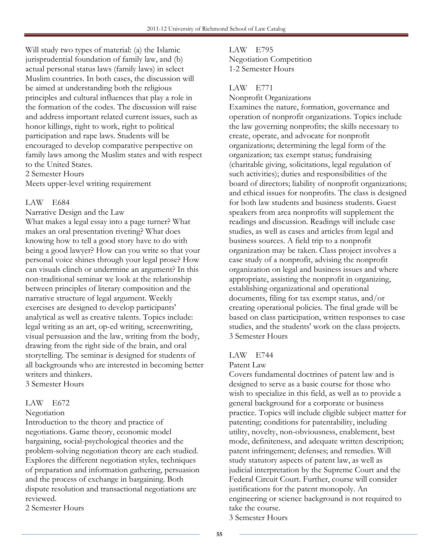Will study two types of material: (a) the Islamic jurisprudential foundation of family law, and (b) actual personal status laws (family laws) in select Muslim countries. In both cases, the discussion will be aimed at understanding both the religious principles and cultural influences that play a role in the formation of the codes. The discussion will raise and address important related current issues, such as honor killings, right to work, right to political participation and rape laws. Students will be encouraged to develop comparative perspective on family laws among the Muslim states and with respect to the United States.

2 Semester Hours

Meets upper-level writing requirement

#### LAW E684

Narrative Design and the Law What makes a legal essay into a page turner? What makes an oral presentation riveting? What does knowing how to tell a good story have to do with being a good lawyer? How can you write so that your personal voice shines through your legal prose? How can visuals clinch or undermine an argument? In this non-traditional seminar we look at the relationship between principles of literary composition and the narrative structure of legal argument. Weekly exercises are designed to develop participants' analytical as well as creative talents. Topics include: legal writing as an art, op-ed writing, screenwriting, visual persuasion and the law, writing from the body, drawing from the right side of the brain, and oral storytelling. The seminar is designed for students of all backgrounds who are interested in becoming better writers and thinkers. 3 Semester Hours

## LAW E672

#### Negotiation

Introduction to the theory and practice of negotiations. Game theory, economic model bargaining, social-psychological theories and the problem-solving negotiation theory are each studied. Explores the different negotiation styles, techniques of preparation and information gathering, persuasion and the process of exchange in bargaining. Both dispute resolution and transactional negotiations are reviewed.

2 Semester Hours

## LAW E795 Negotiation Competition 1-2 Semester Hours

#### LAW E771

#### Nonprofit Organizations

Examines the nature, formation, governance and operation of nonprofit organizations. Topics include the law governing nonprofits; the skills necessary to create, operate, and advocate for nonprofit organizations; determining the legal form of the organization; tax exempt status; fundraising (charitable giving, solicitations, legal regulation of such activities); duties and responsibilities of the board of directors; liability of nonprofit organizations; and ethical issues for nonprofits. The class is designed for both law students and business students. Guest speakers from area nonprofits will supplement the readings and discussion. Readings will include case studies, as well as cases and articles from legal and business sources. A field trip to a nonprofit organization may be taken. Class project involves a case study of a nonprofit, advising the nonprofit organization on legal and business issues and where appropriate, assisting the nonprofit in organizing, establishing organizational and operational documents, filing for tax exempt status, and/or creating operational policies. The final grade will be based on class participation, written responses to case studies, and the students' work on the class projects. 3 Semester Hours

## LAW E744

#### Patent Law

Covers fundamental doctrines of patent law and is designed to serve as a basic course for those who wish to specialize in this field, as well as to provide a general background for a corporate or business practice. Topics will include eligible subject matter for patenting; conditions for patentability, including utility, novelty, non-obviousness, enablement, best mode, definiteness, and adequate written description; patent infringement; defenses; and remedies. Will study statutory aspects of patent law, as well as judicial interpretation by the Supreme Court and the Federal Circuit Court. Further, course will consider justifications for the patent monopoly. An engineering or science background is not required to take the course. 3 Semester Hours

55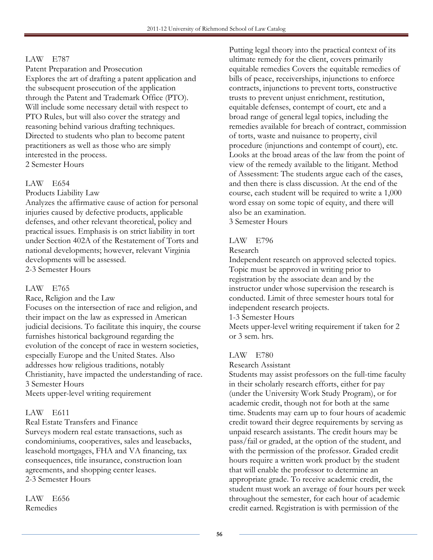## LAW E787

Patent Preparation and Prosecution Explores the art of drafting a patent application and the subsequent prosecution of the application through the Patent and Trademark Office (PTO). Will include some necessary detail with respect to PTO Rules, but will also cover the strategy and reasoning behind various drafting techniques. Directed to students who plan to become patent practitioners as well as those who are simply interested in the process. 2 Semester Hours

## LAW E654

Products Liability Law

Analyzes the affirmative cause of action for personal injuries caused by defective products, applicable defenses, and other relevant theoretical, policy and practical issues. Emphasis is on strict liability in tort under Section 402A of the Restatement of Torts and national developments; however, relevant Virginia developments will be assessed. 2-3 Semester Hours

## LAW E765

Race, Religion and the Law

Focuses on the intersection of race and religion, and their impact on the law as expressed in American judicial decisions. To facilitate this inquiry, the course furnishes historical background regarding the evolution of the concept of race in western societies, especially Europe and the United States. Also addresses how religious traditions, notably Christianity, have impacted the understanding of race. 3 Semester Hours

Meets upper-level writing requirement

## LAW E611

Real Estate Transfers and Finance Surveys modern real estate transactions, such as condominiums, cooperatives, sales and leasebacks, leasehold mortgages, FHA and VA financing, tax consequences, title insurance, construction loan agreements, and shopping center leases. 2-3 Semester Hours

LAW E656 Remedies

Putting legal theory into the practical context of its ultimate remedy for the client, covers primarily equitable remedies Covers the equitable remedies of bills of peace, receiverships, injunctions to enforce contracts, injunctions to prevent torts, constructive trusts to prevent unjust enrichment, restitution, equitable defenses, contempt of court, etc and a broad range of general legal topics, including the remedies available for breach of contract, commission of torts, waste and nuisance to property, civil procedure (injunctions and contempt of court), etc. Looks at the broad areas of the law from the point of view of the remedy available to the litigant. Method of Assessment: The students argue each of the cases, and then there is class discussion. At the end of the course, each student will be required to write a 1,000 word essay on some topic of equity, and there will also be an examination. 3 Semester Hours

LAW E796

#### Research

Independent research on approved selected topics. Topic must be approved in writing prior to registration by the associate dean and by the instructor under whose supervision the research is conducted. Limit of three semester hours total for independent research projects.

1-3 Semester Hours

Meets upper-level writing requirement if taken for 2 or 3 sem. hrs.

## LAW E780

Research Assistant

Students may assist professors on the full-time faculty in their scholarly research efforts, either for pay (under the University Work Study Program), or for academic credit, though not for both at the same time. Students may earn up to four hours of academic credit toward their degree requirements by serving as unpaid research assistants. The credit hours may be pass/fail or graded, at the option of the student, and with the permission of the professor. Graded credit hours require a written work product by the student that will enable the professor to determine an appropriate grade. To receive academic credit, the student must work an average of four hours per week throughout the semester, for each hour of academic credit earned. Registration is with permission of the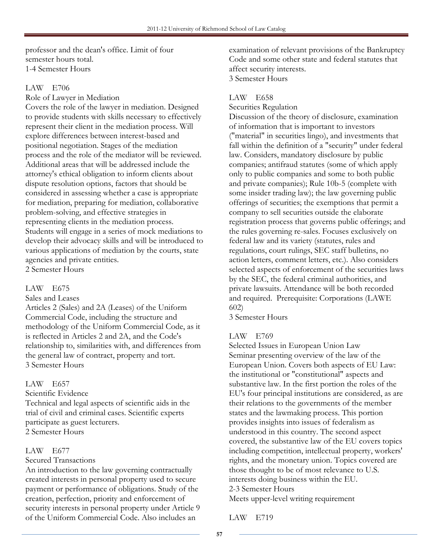professor and the dean's office. Limit of four semester hours total. 1-4 Semester Hours

## LAW E706

Role of Lawyer in Mediation

Covers the role of the lawyer in mediation. Designed to provide students with skills necessary to effectively represent their client in the mediation process. Will explore differences between interest-based and positional negotiation. Stages of the mediation process and the role of the mediator will be reviewed. Additional areas that will be addressed include the attorney's ethical obligation to inform clients about dispute resolution options, factors that should be considered in assessing whether a case is appropriate for mediation, preparing for mediation, collaborative problem-solving, and effective strategies in representing clients in the mediation process. Students will engage in a series of mock mediations to develop their advocacy skills and will be introduced to various applications of mediation by the courts, state agencies and private entities. 2 Semester Hours

## LAW E675

Sales and Leases

Articles 2 (Sales) and 2A (Leases) of the Uniform Commercial Code, including the structure and methodology of the Uniform Commercial Code, as it is reflected in Articles 2 and 2A, and the Code's relationship to, similarities with, and differences from the general law of contract, property and tort. 3 Semester Hours

## LAW E657

Scientific Evidence

Technical and legal aspects of scientific aids in the trial of civil and criminal cases. Scientific experts participate as guest lecturers. 2 Semester Hours

## LAW E677

Secured Transactions

An introduction to the law governing contractually created interests in personal property used to secure payment or performance of obligations. Study of the creation, perfection, priority and enforcement of security interests in personal property under Article 9 of the Uniform Commercial Code. Also includes an

examination of relevant provisions of the Bankruptcy Code and some other state and federal statutes that affect security interests. 3 Semester Hours

## LAW E658

Securities Regulation

Discussion of the theory of disclosure, examination of information that is important to investors ("material" in securities lingo), and investments that fall within the definition of a "security" under federal law. Considers, mandatory disclosure by public companies; antifraud statutes (some of which apply only to public companies and some to both public and private companies); Rule 10b-5 (complete with some insider trading law); the law governing public offerings of securities; the exemptions that permit a company to sell securities outside the elaborate registration process that governs public offerings; and the rules governing re-sales. Focuses exclusively on federal law and its variety (statutes, rules and regulations, court rulings, SEC staff bulletins, no action letters, comment letters, etc.). Also considers selected aspects of enforcement of the securities laws by the SEC, the federal criminal authorities, and private lawsuits. Attendance will be both recorded and required. Prerequisite: Corporations (LAWE 602)

3 Semester Hours

## LAW E769

Selected Issues in European Union Law Seminar presenting overview of the law of the European Union. Covers both aspects of EU Law: the institutional or "constitutional" aspects and substantive law. In the first portion the roles of the EU's four principal institutions are considered, as are their relations to the governments of the member states and the lawmaking process. This portion provides insights into issues of federalism as understood in this country. The second aspect covered, the substantive law of the EU covers topics including competition, intellectual property, workers' rights, and the monetary union. Topics covered are those thought to be of most relevance to U.S. interests doing business within the EU. 2-3 Semester Hours

Meets upper-level writing requirement

LAW E719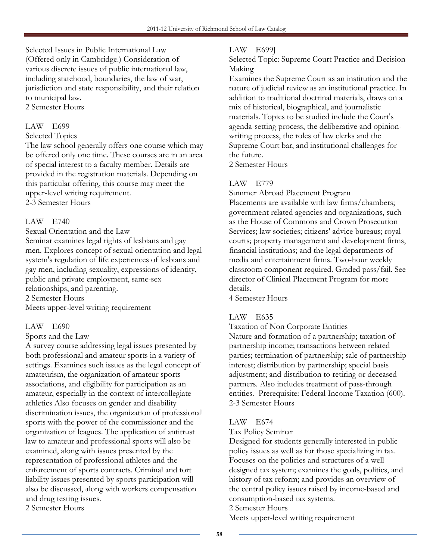Selected Issues in Public International Law (Offered only in Cambridge.) Consideration of various discrete issues of public international law, including statehood, boundaries, the law of war, jurisdiction and state responsibility, and their relation to municipal law.

2 Semester Hours

## LAW E699

#### Selected Topics

The law school generally offers one course which may be offered only one time. These courses are in an area of special interest to a faculty member. Details are provided in the registration materials. Depending on this particular offering, this course may meet the upper-level writing requirement.

2-3 Semester Hours

## LAW E740

Sexual Orientation and the Law

Seminar examines legal rights of lesbians and gay men. Explores concept of sexual orientation and legal system's regulation of life experiences of lesbians and gay men, including sexuality, expressions of identity, public and private employment, same-sex relationships, and parenting.

2 Semester Hours

Meets upper-level writing requirement

## LAW E690

## Sports and the Law

A survey course addressing legal issues presented by both professional and amateur sports in a variety of settings. Examines such issues as the legal concept of amateurism, the organization of amateur sports associations, and eligibility for participation as an amateur, especially in the context of intercollegiate athletics Also focuses on gender and disability discrimination issues, the organization of professional sports with the power of the commissioner and the organization of leagues. The application of antitrust law to amateur and professional sports will also be examined, along with issues presented by the representation of professional athletes and the enforcement of sports contracts. Criminal and tort liability issues presented by sports participation will also be discussed, along with workers compensation and drug testing issues. 2 Semester Hours

## LAW E699J

Selected Topic: Supreme Court Practice and Decision Making

Examines the Supreme Court as an institution and the nature of judicial review as an institutional practice. In addition to traditional doctrinal materials, draws on a mix of historical, biographical, and journalistic materials. Topics to be studied include the Court's agenda-setting process, the deliberative and opinionwriting process, the roles of law clerks and the Supreme Court bar, and institutional challenges for the future.

2 Semester Hours

## LAW E779

Summer Abroad Placement Program

Placements are available with law firms/chambers; government related agencies and organizations, such as the House of Commons and Crown Prosecution Services; law societies; citizens' advice bureaus; royal courts; property management and development firms, financial institutions; and the legal departments of media and entertainment firms. Two-hour weekly classroom component required. Graded pass/fail. See director of Clinical Placement Program for more details.

4 Semester Hours

## LAW E635

Taxation of Non Corporate Entities

Nature and formation of a partnership; taxation of partnership income; transactions between related parties; termination of partnership; sale of partnership interest; distribution by partnership; special basis adjustment; and distribution to retiring or deceased partners. Also includes treatment of pass-through entities. Prerequisite: Federal Income Taxation (600). 2-3 Semester Hours

## LAW E674

#### Tax Policy Seminar

Designed for students generally interested in public policy issues as well as for those specializing in tax. Focuses on the policies and structures of a well designed tax system; examines the goals, politics, and history of tax reform; and provides an overview of the central policy issues raised by income-based and consumption-based tax systems.

## 2 Semester Hours

Meets upper-level writing requirement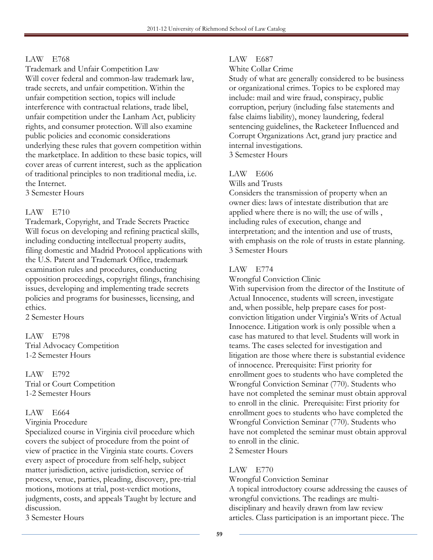#### LAW E768

Trademark and Unfair Competition Law Will cover federal and common-law trademark law, trade secrets, and unfair competition. Within the unfair competition section, topics will include interference with contractual relations, trade libel, unfair competition under the Lanham Act, publicity rights, and consumer protection. Will also examine public policies and economic considerations underlying these rules that govern competition within the marketplace. In addition to these basic topics, will cover areas of current interest, such as the application of traditional principles to non traditional media, i.e. the Internet.

3 Semester Hours

## LAW E710

Trademark, Copyright, and Trade Secrets Practice Will focus on developing and refining practical skills, including conducting intellectual property audits, filing domestic and Madrid Protocol applications with the U.S. Patent and Trademark Office, trademark examination rules and procedures, conducting opposition proceedings, copyright filings, franchising issues, developing and implementing trade secrets policies and programs for businesses, licensing, and ethics.

2 Semester Hours

LAW E798 Trial Advocacy Competition 1-2 Semester Hours

LAW E792 Trial or Court Competition 1-2 Semester Hours

## LAW E664

Virginia Procedure

Specialized course in Virginia civil procedure which covers the subject of procedure from the point of view of practice in the Virginia state courts. Covers every aspect of procedure from self-help, subject matter jurisdiction, active jurisdiction, service of process, venue, parties, pleading, discovery, pre-trial motions, motions at trial, post-verdict motions, judgments, costs, and appeals Taught by lecture and discussion.

3 Semester Hours

## LAW E687

White Collar Crime

Study of what are generally considered to be business or organizational crimes. Topics to be explored may include: mail and wire fraud, conspiracy, public corruption, perjury (including false statements and false claims liability), money laundering, federal sentencing guidelines, the Racketeer Influenced and Corrupt Organizations Act, grand jury practice and internal investigations.

3 Semester Hours

## LAW E606

Wills and Trusts

Considers the transmission of property when an owner dies: laws of intestate distribution that are applied where there is no will; the use of wills , including rules of execution, change and interpretation; and the intention and use of trusts, with emphasis on the role of trusts in estate planning. 3 Semester Hours

## LAW E774

Wrongful Conviction Clinic

With supervision from the director of the Institute of Actual Innocence, students will screen, investigate and, when possible, help prepare cases for postconviction litigation under Virginia's Writs of Actual Innocence. Litigation work is only possible when a case has matured to that level. Students will work in teams. The cases selected for investigation and litigation are those where there is substantial evidence of innocence. Prerequisite: First priority for enrollment goes to students who have completed the Wrongful Conviction Seminar (770). Students who have not completed the seminar must obtain approval to enroll in the clinic. Prerequisite: First priority for enrollment goes to students who have completed the Wrongful Conviction Seminar (770). Students who have not completed the seminar must obtain approval to enroll in the clinic. 2 Semester Hours

## LAW E770

Wrongful Conviction Seminar

A topical introductory course addressing the causes of wrongful convictions. The readings are multidisciplinary and heavily drawn from law review articles. Class participation is an important piece. The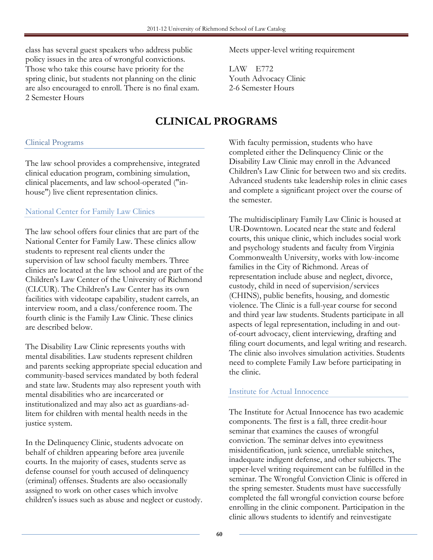class has several guest speakers who address public policy issues in the area of wrongful convictions. Those who take this course have priority for the spring clinic, but students not planning on the clinic are also encouraged to enroll. There is no final exam. 2 Semester Hours

## Clinical Programs

The law school provides a comprehensive, integrated clinical education program, combining simulation, clinical placements, and law school-operated ("inhouse") live client representation clinics.

## National Center for Family Law Clinics

The law school offers four clinics that are part of the National Center for Family Law. These clinics allow students to represent real clients under the supervision of law school faculty members. Three clinics are located at the law school and are part of the Children's Law Center of the University of Richmond (CLCUR). The Children's Law Center has its own facilities with videotape capability, student carrels, an interview room, and a class/conference room. The fourth clinic is the Family Law Clinic. These clinics are described below.

The Disability Law Clinic represents youths with mental disabilities. Law students represent children and parents seeking appropriate special education and community-based services mandated by both federal and state law. Students may also represent youth with mental disabilities who are incarcerated or institutionalized and may also act as guardians-adlitem for children with mental health needs in the justice system.

In the Delinquency Clinic, students advocate on behalf of children appearing before area juvenile courts. In the majority of cases, students serve as defense counsel for youth accused of delinquency (criminal) offenses. Students are also occasionally assigned to work on other cases which involve children's issues such as abuse and neglect or custody. Meets upper-level writing requirement

LAW E772 Youth Advocacy Clinic 2-6 Semester Hours

# CLINICAL PROGRAMS

With faculty permission, students who have completed either the Delinquency Clinic or the Disability Law Clinic may enroll in the Advanced Children's Law Clinic for between two and six credits. Advanced students take leadership roles in clinic cases and complete a significant project over the course of the semester.

The multidisciplinary Family Law Clinic is housed at UR-Downtown. Located near the state and federal courts, this unique clinic, which includes social work and psychology students and faculty from Virginia Commonwealth University, works with low-income families in the City of Richmond. Areas of representation include abuse and neglect, divorce, custody, child in need of supervision/services (CHINS), public benefits, housing, and domestic violence. The Clinic is a full-year course for second and third year law students. Students participate in all aspects of legal representation, including in and outof-court advocacy, client interviewing, drafting and filing court documents, and legal writing and research. The clinic also involves simulation activities. Students need to complete Family Law before participating in the clinic.

## Institute for Actual Innocence

The Institute for Actual Innocence has two academic components. The first is a fall, three credit-hour seminar that examines the causes of wrongful conviction. The seminar delves into eyewitness misidentification, junk science, unreliable snitches, inadequate indigent defense, and other subjects. The upper-level writing requirement can be fulfilled in the seminar. The Wrongful Conviction Clinic is offered in the spring semester. Students must have successfully completed the fall wrongful conviction course before enrolling in the clinic component. Participation in the clinic allows students to identify and reinvestigate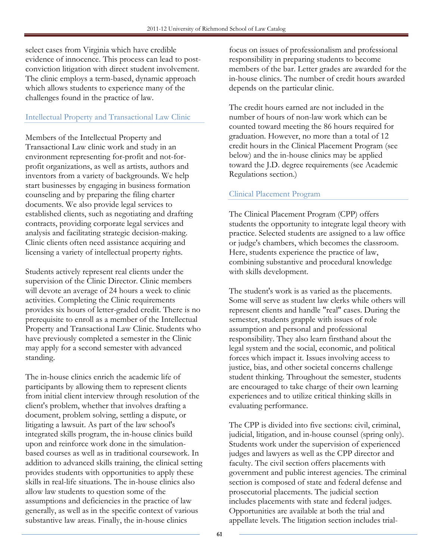select cases from Virginia which have credible evidence of innocence. This process can lead to postconviction litigation with direct student involvement. The clinic employs a term-based, dynamic approach which allows students to experience many of the challenges found in the practice of law.

## Intellectual Property and Transactional Law Clinic

Members of the Intellectual Property and Transactional Law clinic work and study in an environment representing for-profit and not-forprofit organizations, as well as artists, authors and inventors from a variety of backgrounds. We help start businesses by engaging in business formation counseling and by preparing the filing charter documents. We also provide legal services to established clients, such as negotiating and drafting contracts, providing corporate legal services and analysis and facilitating strategic decision-making. Clinic clients often need assistance acquiring and licensing a variety of intellectual property rights.

Students actively represent real clients under the supervision of the Clinic Director. Clinic members will devote an average of 24 hours a week to clinic activities. Completing the Clinic requirements provides six hours of letter-graded credit. There is no prerequisite to enroll as a member of the Intellectual Property and Transactional Law Clinic. Students who have previously completed a semester in the Clinic may apply for a second semester with advanced standing.

The in-house clinics enrich the academic life of participants by allowing them to represent clients from initial client interview through resolution of the client's problem, whether that involves drafting a document, problem solving, settling a dispute, or litigating a lawsuit. As part of the law school's integrated skills program, the in-house clinics build upon and reinforce work done in the simulationbased courses as well as in traditional coursework. In addition to advanced skills training, the clinical setting provides students with opportunities to apply these skills in real-life situations. The in-house clinics also allow law students to question some of the assumptions and deficiencies in the practice of law generally, as well as in the specific context of various substantive law areas. Finally, the in-house clinics

focus on issues of professionalism and professional responsibility in preparing students to become members of the bar. Letter grades are awarded for the in-house clinics. The number of credit hours awarded depends on the particular clinic.

The credit hours earned are not included in the number of hours of non-law work which can be counted toward meeting the 86 hours required for graduation. However, no more than a total of 12 credit hours in the Clinical Placement Program (see below) and the in-house clinics may be applied toward the J.D. degree requirements (see Academic Regulations section.)

## Clinical Placement Program

The Clinical Placement Program (CPP) offers students the opportunity to integrate legal theory with practice. Selected students are assigned to a law office or judge's chambers, which becomes the classroom. Here, students experience the practice of law, combining substantive and procedural knowledge with skills development.

The student's work is as varied as the placements. Some will serve as student law clerks while others will represent clients and handle "real" cases. During the semester, students grapple with issues of role assumption and personal and professional responsibility. They also learn firsthand about the legal system and the social, economic, and political forces which impact it. Issues involving access to justice, bias, and other societal concerns challenge student thinking. Throughout the semester, students are encouraged to take charge of their own learning experiences and to utilize critical thinking skills in evaluating performance.

The CPP is divided into five sections: civil, criminal, judicial, litigation, and in-house counsel (spring only). Students work under the supervision of experienced judges and lawyers as well as the CPP director and faculty. The civil section offers placements with government and public interest agencies. The criminal section is composed of state and federal defense and prosecutorial placements. The judicial section includes placements with state and federal judges. Opportunities are available at both the trial and appellate levels. The litigation section includes trial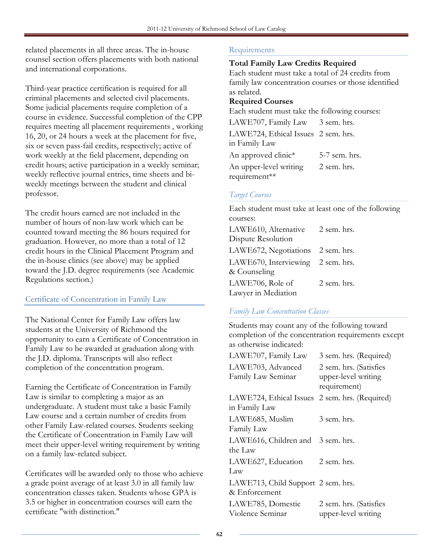related placements in all three areas. The in-house counsel section offers placements with both national and international corporations.

Third-year practice certification is required for all criminal placements and selected civil placements. Some judicial placements require completion of a course in evidence. Successful completion of the CPP requires meeting all placement requirements , working 16, 20, or 24 hours a week at the placement for five, six or seven pass-fail credits, respectively; active of work weekly at the field placement, depending on credit hours; active participation in a weekly seminar; weekly reflective journal entries, time sheets and biweekly meetings between the student and clinical professor.

The credit hours earned are not included in the number of hours of non-law work which can be counted toward meeting the 86 hours required for graduation. However, no more than a total of 12 credit hours in the Clinical Placement Program and the in-house clinics (see above) may be applied toward the J.D. degree requirements (see Academic Regulations section.)

## Certificate of Concentration in Family Law

The National Center for Family Law offers law students at the University of Richmond the opportunity to earn a Certificate of Concentration in Family Law to be awarded at graduation along with the J.D. diploma. Transcripts will also reflect completion of the concentration program.

Earning the Certificate of Concentration in Family Law is similar to completing a major as an undergraduate. A student must take a basic Family Law course and a certain number of credits from other Family Law-related courses. Students seeking the Certificate of Concentration in Family Law will meet their upper-level writing requirement by writing on a family law-related subject.

Certificates will be awarded only to those who achieve a grade point average of at least 3.0 in all family law concentration classes taken. Students whose GPA is 3.5 or higher in concentration courses will earn the certificate "with distinction."

## Requirements

## Total Family Law Credits Required

Each student must take a total of 24 credits from family law concentration courses or those identified as related.

## Required Courses

Each student must take the following courses:

| LAWE707, Family Law 3 sem. hrs.     |               |
|-------------------------------------|---------------|
| LAWE724, Ethical Issues 2 sem. hrs. |               |
| in Family Law                       |               |
| An approved clinic*                 | 5-7 sem. hrs. |
| An upper-level writing              | 2 sem. hrs.   |
| requirement**                       |               |

## Target Courses

Each student must take at least one of the following courses: LAWE610, Alternative Dispute Resolution 2 sem. hrs. LAWE672, Negotiations 2 sem. hrs. LAWE670, Interviewing & Counseling 2 sem. hrs. LAWE706, Role of Lawyer in Mediation 2 sem. hrs.

## Family Law Concentration Classes

Students may count any of the following toward completion of the concentration requirements except as otherwise indicated:

| LAWE707, Family Law                                             | 3 sem. hrs. (Required)                                        |
|-----------------------------------------------------------------|---------------------------------------------------------------|
| LAWE703, Advanced<br>Family Law Seminar                         | 2 sem. hrs. (Satisfies<br>upper-level writing<br>requirement) |
| LAWE724, Ethical Issues 2 sem. hrs. (Required)<br>in Family Law |                                                               |
| LAWE685, Muslim<br>Family Law                                   | 3 sem. hrs.                                                   |
| LAWE616, Children and<br>the Law                                | 3 sem. hrs.                                                   |
| LAWE627, Education<br>Law                                       | 2 sem. hrs.                                                   |
| LAWE713, Child Support 2 sem. hrs.<br>& Enforcement             |                                                               |
| LAWE785, Domestic<br>Violence Seminar                           | 2 sem. hrs. (Satisfies<br>upper-level writing                 |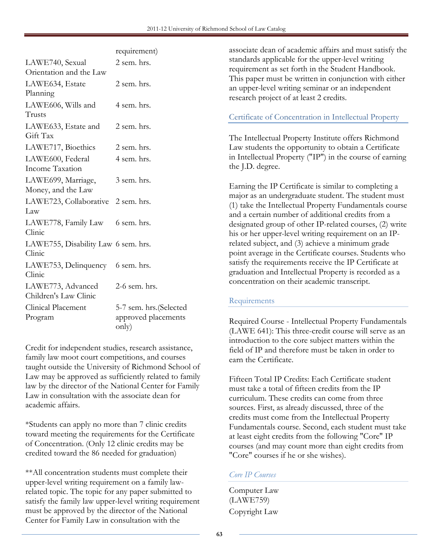|                                     | requirement)            |
|-------------------------------------|-------------------------|
| LAWE740, Sexual                     | 2 sem. hrs.             |
| Orientation and the Law             |                         |
| LAWE634, Estate                     | 2 sem. hrs.             |
| Planning                            |                         |
| LAWE606, Wills and                  | 4 sem. hrs.             |
| Trusts                              |                         |
| LAWE633, Estate and                 | 2 sem. hrs.             |
| Gift Tax                            |                         |
| LAWE717, Bioethics                  | 2 sem. hrs.             |
| LAWE600, Federal                    | 4 sem. hrs.             |
| Income Taxation                     |                         |
| LAWE699, Marriage,                  | 3 sem. hrs.             |
| Money, and the Law                  |                         |
| LAWE723, Collaborative              | 2 sem. hrs.             |
| Law                                 |                         |
| LAWE778, Family Law                 | 6 sem. hrs.             |
| Clinic                              |                         |
| LAWE755, Disability Law 6 sem. hrs. |                         |
| Clinic                              |                         |
| LAWE753, Delinquency                | 6 sem. hrs.             |
| Clinic                              |                         |
| LAWE773, Advanced                   | 2-6 sem. hrs.           |
| Children's Law Clinic               |                         |
| Clinical Placement                  | 5-7 sem. hrs. (Selected |
| Program                             | approved placements     |
|                                     | only)                   |

Credit for independent studies, research assistance, family law moot court competitions, and courses taught outside the University of Richmond School of Law may be approved as sufficiently related to family law by the director of the National Center for Family Law in consultation with the associate dean for academic affairs.

\*Students can apply no more than 7 clinic credits toward meeting the requirements for the Certificate of Concentration. (Only 12 clinic credits may be credited toward the 86 needed for graduation)

\*\*All concentration students must complete their upper-level writing requirement on a family lawrelated topic. The topic for any paper submitted to satisfy the family law upper-level writing requirement must be approved by the director of the National Center for Family Law in consultation with the

associate dean of academic affairs and must satisfy the standards applicable for the upper-level writing requirement as set forth in the Student Handbook. This paper must be written in conjunction with either an upper-level writing seminar or an independent research project of at least 2 credits.

## Certificate of Concentration in Intellectual Property

The Intellectual Property Institute offers Richmond Law students the opportunity to obtain a Certificate in Intellectual Property ("IP") in the course of earning the J.D. degree.

Earning the IP Certificate is similar to completing a major as an undergraduate student. The student must (1) take the Intellectual Property Fundamentals course and a certain number of additional credits from a designated group of other IP-related courses, (2) write his or her upper-level writing requirement on an IPrelated subject, and (3) achieve a minimum grade point average in the Certificate courses. Students who satisfy the requirements receive the IP Certificate at graduation and Intellectual Property is recorded as a concentration on their academic transcript.

## Requirements

Required Course - Intellectual Property Fundamentals (LAWE 641): This three-credit course will serve as an introduction to the core subject matters within the field of IP and therefore must be taken in order to earn the Certificate.

Fifteen Total IP Credits: Each Certificate student must take a total of fifteen credits from the IP curriculum. These credits can come from three sources. First, as already discussed, three of the credits must come from the Intellectual Property Fundamentals course. Second, each student must take at least eight credits from the following "Core" IP courses (and may count more than eight credits from "Core" courses if he or she wishes).

## Core IP Courses

Computer Law (LAWE759) Copyright Law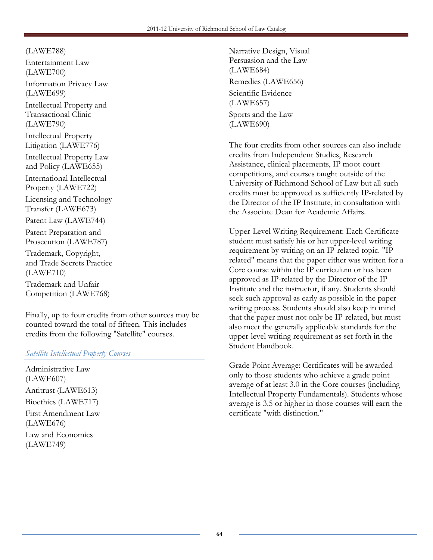(LAWE788) Entertainment Law

(LAWE700) Information Privacy Law (LAWE699) Intellectual Property and Transactional Clinic (LAWE790) Intellectual Property Litigation (LAWE776) Intellectual Property Law and Policy (LAWE655) International Intellectual Property (LAWE722) Licensing and Technology Transfer (LAWE673) Patent Law (LAWE744) Patent Preparation and Prosecution (LAWE787) Trademark, Copyright, and Trade Secrets Practice (LAWE710) Trademark and Unfair

Competition (LAWE768)

Finally, up to four credits from other sources may be counted toward the total of fifteen. This includes credits from the following "Satellite" courses.

## Satellite Intellectual Property Courses

Administrative Law (LAWE607) Antitrust (LAWE613) Bioethics (LAWE717) First Amendment Law (LAWE676) Law and Economics (LAWE749)

Narrative Design, Visual Persuasion and the Law (LAWE684) Remedies (LAWE656) Scientific Evidence (LAWE657) Sports and the Law (LAWE690)

The four credits from other sources can also include credits from Independent Studies, Research Assistance, clinical placements, IP moot court competitions, and courses taught outside of the University of Richmond School of Law but all such credits must be approved as sufficiently IP-related by the Director of the IP Institute, in consultation with the Associate Dean for Academic Affairs.

Upper-Level Writing Requirement: Each Certificate student must satisfy his or her upper-level writing requirement by writing on an IP-related topic. "IPrelated" means that the paper either was written for a Core course within the IP curriculum or has been approved as IP-related by the Director of the IP Institute and the instructor, if any. Students should seek such approval as early as possible in the paperwriting process. Students should also keep in mind that the paper must not only be IP-related, but must also meet the generally applicable standards for the upper-level writing requirement as set forth in the Student Handbook.

Grade Point Average: Certificates will be awarded only to those students who achieve a grade point average of at least 3.0 in the Core courses (including Intellectual Property Fundamentals). Students whose average is 3.5 or higher in those courses will earn the certificate "with distinction."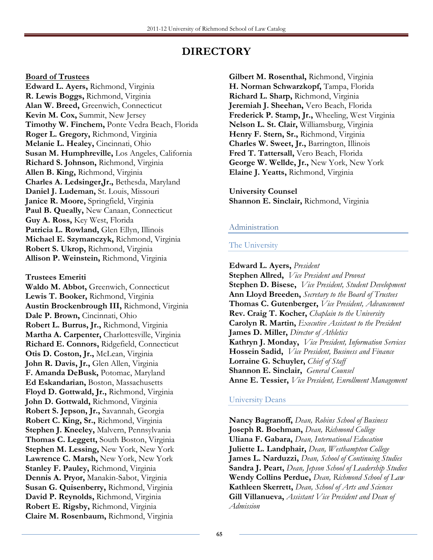# DIRECTORY

#### Board of Trustees

Edward L. Ayers, Richmond, Virginia R. Lewis Boggs, Richmond, Virginia Alan W. Breed, Greenwich, Connecticut Kevin M. Cox, Summit, New Jersey Timothy W. Finchem, Ponte Vedra Beach, Florida Roger L. Gregory, Richmond, Virginia Melanie L. Healey, Cincinnati, Ohio Susan M. Humphreville, Los Angeles, California Richard S. Johnson, Richmond, Virginia Allen B. King, Richmond, Virginia Charles A. Ledsinger,Jr., Bethesda, Maryland Daniel J. Ludeman, St. Louis, Missouri Janice R. Moore, Springfield, Virginia Paul B. Queally, New Canaan, Connecticut Guy A. Ross, Key West, Florida Patricia L. Rowland, Glen Ellyn, Illinois Michael E. Szymanczyk, Richmond, Virginia Robert S. Ukrop, Richmond, Virginia Allison P. Weinstein, Richmond, Virginia

## Trustees Emeriti

Waldo M. Abbot, Greenwich, Connecticut Lewis T. Booker, Richmond, Virginia Austin Brockenbrough III, Richmond, Virginia Dale P. Brown, Cincinnati, Ohio Robert L. Burrus, Jr., Richmond, Virginia Martha A. Carpenter, Charlottesville, Virginia Richard E. Connors, Ridgefield, Connecticut Otis D. Coston, Jr., McLean, Virginia John R. Davis, Jr., Glen Allen, Virginia F. Amanda DeBusk, Potomac, Maryland Ed Eskandarian, Boston, Massachusetts Floyd D. Gottwald, Jr., Richmond, Virginia John D. Gottwald, Richmond, Virginia Robert S. Jepson, Jr., Savannah, Georgia Robert C. King, Sr., Richmond, Virginia Stephen J. Kneeley, Malvern, Pennsylvania Thomas C. Leggett, South Boston, Virginia Stephen M. Lessing, New York, New York Lawrence C. Marsh, New York, New York Stanley F. Pauley, Richmond, Virginia Dennis A. Pryor, Manakin-Sabot, Virginia Susan G. Quisenberry, Richmond, Virginia David P. Reynolds, Richmond, Virginia Robert E. Rigsby, Richmond, Virginia Claire M. Rosenbaum, Richmond, Virginia

Gilbert M. Rosenthal, Richmond, Virginia H. Norman Schwarzkopf, Tampa, Florida Richard L. Sharp, Richmond, Virginia Jeremiah J. Sheehan, Vero Beach, Florida Frederick P. Stamp, Jr., Wheeling, West Virginia Nelson L. St. Clair, Williamsburg, Virginia Henry F. Stern, Sr., Richmond, Virginia Charles W. Sweet, Jr., Barrington, Illinois Fred T. Tattersall, Vero Beach, Florida George W. Wellde, Jr., New York, New York Elaine J. Yeatts, Richmond, Virginia

University Counsel Shannon E. Sinclair, Richmond, Virginia

## Administration

#### The University

Edward L. Ayers, President Stephen Allred, *Vice President and Provost* Stephen D. Bisese, *Vice President, Student Development* Ann Lloyd Breeden, Secretary to the Board of Trustees Thomas C. Gutenberger, Vice President, Advancement Rev. Craig T. Kocher, Chaplain to the University Carolyn R. Martin, Executive Assistant to the President James D. Miller, Director of Athletics Kathryn J. Monday, *Vice President*, Information Services Hossein Sadid, *Vice President*, Business and Finance Lorraine G. Schuyler, Chief of Staff Shannon E. Sinclair, General Counsel Anne E. Tessier, Vice President, Enrollment Management

## University Deans

Nancy Bagranoff, Dean, Robins School of Business Joseph R. Boehman, Dean, Richmond College Uliana F. Gabara, Dean, International Education Juliette L. Landphair, Dean, Westhampton College James L. Narduzzi, Dean, School of Continuing Studies Sandra J. Peart, Dean, Jepson School of Leadership Studies Wendy Collins Perdue, Dean, Richmond School of Law Kathleen Skerrett, Dean, School of Arts and Sciences Gill Villanueva, Assistant Vice President and Dean of Admission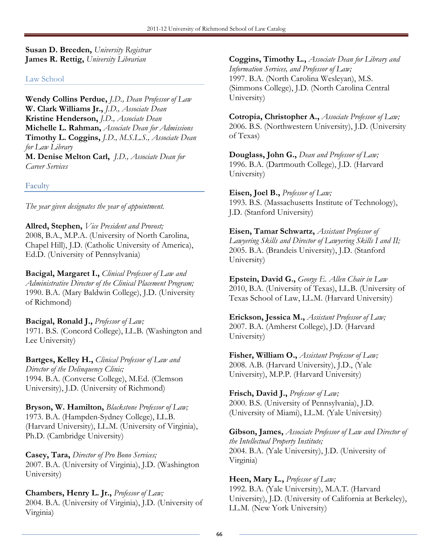Susan D. Breeden, University Registrar James R. Rettig, University Librarian

## Law School

Wendy Collins Perdue, J.D., Dean Professor of Law W. Clark Williams Jr., J.D., Associate Dean Kristine Henderson, J.D., Associate Dean Michelle L. Rahman, Associate Dean for Admissions Timothy L. Coggins, J.D., M.S.L.S., Associate Dean for Law Library M. Denise Melton Carl, J.D., Associate Dean for

Faculty

Career Services

The year given designates the year of appointment.

Allred, Stephen, *Vice President and Provost*; 2008, B.A., M.P.A. (University of North Carolina, Chapel Hill), J.D. (Catholic University of America), Ed.D. (University of Pennsylvania)

Bacigal, Margaret I., Clinical Professor of Law and Administrative Director of the Clinical Placement Program; 1990. B.A. (Mary Baldwin College), J.D. (University of Richmond)

Bacigal, Ronald J., Professor of Law; 1971. B.S. (Concord College), LL.B. (Washington and Lee University)

Bartges, Kelley H., Clinical Professor of Law and Director of the Delinquency Clinic; 1994. B.A. (Converse College), M.Ed. (Clemson University), J.D. (University of Richmond)

Bryson, W. Hamilton, Blackstone Professor of Law; 1973. B.A. (Hampden-Sydney College), LL.B. (Harvard University), LL.M. (University of Virginia), Ph.D. (Cambridge University)

Casey, Tara, Director of Pro Bono Services; 2007. B.A. (University of Virginia), J.D. (Washington University)

Chambers, Henry L. Jr., Professor of Law; 2004. B.A. (University of Virginia), J.D. (University of Virginia)

Coggins, Timothy L., Associate Dean for Library and Information Services, and Professor of Law; 1997. B.A. (North Carolina Wesleyan), M.S. (Simmons College), J.D. (North Carolina Central University)

Cotropia, Christopher A., Associate Professor of Law; 2006. B.S. (Northwestern University), J.D. (University of Texas)

Douglass, John G., Dean and Professor of Law; 1996. B.A. (Dartmouth College), J.D. (Harvard University)

Eisen, Joel B., Professor of Law; 1993. B.S. (Massachusetts Institute of Technology), J.D. (Stanford University)

Eisen, Tamar Schwartz, Assistant Professor of Lawyering Skills and Director of Lawyering Skills I and II; 2005. B.A. (Brandeis University), J.D. (Stanford University)

Epstein, David G., George E. Allen Chair in Law 2010, B.A. (University of Texas), LL.B. (University of Texas School of Law, LL.M. (Harvard University)

Erickson, Jessica M., Assistant Professor of Law; 2007. B.A. (Amherst College), J.D. (Harvard University)

Fisher, William O., Assistant Professor of Law; 2008. A.B. (Harvard University), J.D., (Yale University), M.P.P. (Harvard University)

Frisch, David J., Professor of Law; 2000. B.S. (University of Pennsylvania), J.D. (University of Miami), LL.M. (Yale University)

Gibson, James, Associate Professor of Law and Director of the Intellectual Property Institute; 2004. B.A. (Yale University), J.D. (University of Virginia)

Heen, Mary L., Professor of Law; 1992. B.A. (Yale University), M.A.T. (Harvard University), J.D. (University of California at Berkeley), LL.M. (New York University)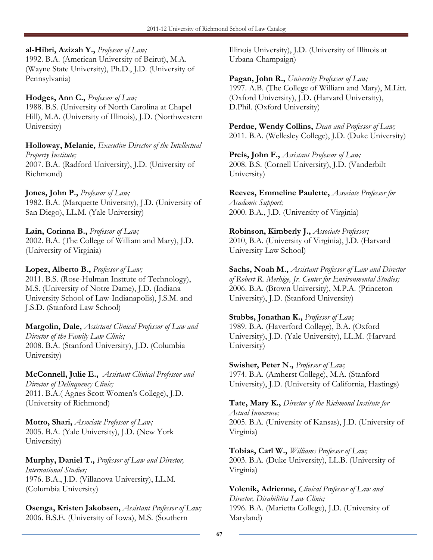## al-Hibri, Azizah Y., Professor of Law;

1992. B.A. (American University of Beirut), M.A. (Wayne State University), Ph.D., J.D. (University of Pennsylvania)

Hodges, Ann C., Professor of Law; 1988. B.S. (University of North Carolina at Chapel Hill), M.A. (University of Illinois), J.D. (Northwestern

Holloway, Melanie, Executive Director of the Intellectual Property Institute; 2007. B.A. (Radford University), J.D. (University of Richmond)

Jones, John P., Professor of Law;

University)

1982. B.A. (Marquette University), J.D. (University of San Diego), LL.M. (Yale University)

Lain, Corinna B., Professor of Law; 2002. B.A. (The College of William and Mary), J.D. (University of Virginia)

Lopez, Alberto B., Professor of Law; 2011. B.S. (Rose-Hulman Insttute of Technology), M.S. (University of Notre Dame), J.D. (Indiana University School of Law-Indianapolis), J.S.M. and J.S.D. (Stanford Law School)

Margolin, Dale, Assistant Clinical Professor of Law and Director of the Family Law Clinic; 2008. B.A. (Stanford University), J.D. (Columbia University)

McConnell, Julie E., Assistant Clinical Professor and Director of Delinquency Clinic; 2011. B.A.( Agnes Scott Women's College), J.D. (University of Richmond)

Motro, Shari, Associate Professor of Law; 2005. B.A. (Yale University), J.D. (New York University)

Murphy, Daniel T., Professor of Law and Director, International Studies; 1976. B.A., J.D. (Villanova University), LL.M. (Columbia University)

Osenga, Kristen Jakobsen, Assistant Professor of Law; 2006. B.S.E. (University of Iowa), M.S. (Southern

Illinois University), J.D. (University of Illinois at Urbana-Champaign)

Pagan, John R., University Professor of Law; 1997. A.B. (The College of William and Mary), M.Litt. (Oxford University), J.D. (Harvard University), D.Phil. (Oxford University)

Perdue, Wendy Collins, Dean and Professor of Law; 2011. B.A. (Wellesley College), J.D. (Duke University)

Preis, John F., Assistant Professor of Law; 2008. B.S. (Cornell University), J.D. (Vanderbilt University)

Reeves, Emmeline Paulette, Associate Professor for Academic Support; 2000. B.A., J.D. (University of Virginia)

Robinson, Kimberly J., Associate Professor; 2010, B.A. (University of Virginia), J.D. (Harvard University Law School)

Sachs, Noah M., Assistant Professor of Law and Director of Robert R. Merhige, Jr. Center for Environmental Studies; 2006. B.A. (Brown University), M.P.A. (Princeton University), J.D. (Stanford University)

Stubbs, Jonathan K., Professor of Law; 1989. B.A. (Haverford College), B.A. (Oxford University), J.D. (Yale University), LL.M. (Harvard University)

Swisher, Peter N., Professor of Law; 1974. B.A. (Amherst College), M.A. (Stanford University), J.D. (University of California, Hastings)

Tate, Mary K., Director of the Richmond Institute for Actual Innocence; 2005. B.A. (University of Kansas), J.D. (University of Virginia)

Tobias, Carl W., Williams Professor of Law; 2003. B.A. (Duke University), LL.B. (University of Virginia)

Volenik, Adrienne, Clinical Professor of Law and Director, Disabilities Law Clinic; 1996. B.A. (Marietta College), J.D. (University of Maryland)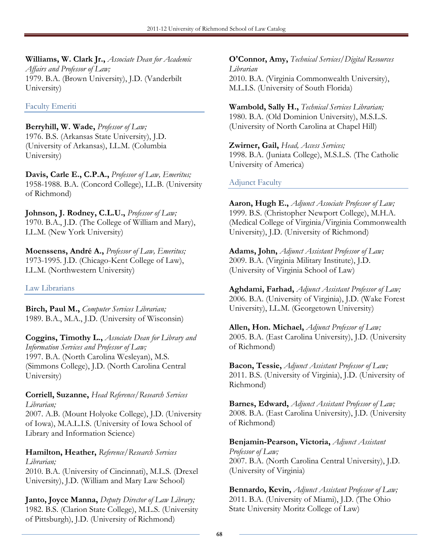Williams, W. Clark Jr., Associate Dean for Academic Affairs and Professor of Law; 1979. B.A. (Brown University), J.D. (Vanderbilt University)

Faculty Emeriti

Berryhill, W. Wade, Professor of Law; 1976. B.S. (Arkansas State University), J.D. (University of Arkansas), LL.M. (Columbia University)

Davis, Carle E., C.P.A., Professor of Law, Emeritus; 1958-1988. B.A. (Concord College), LL.B. (University of Richmond)

Johnson, J. Rodney, C.L.U., Professor of Law; 1970. B.A., J.D. (The College of William and Mary), LL.M. (New York University)

Moenssens, André A., Professor of Law, Emeritus; 1973-1995. J.D. (Chicago-Kent College of Law), LL.M. (Northwestern University)

Law Librarians

Birch, Paul M., Computer Services Librarian; 1989. B.A., M.A., J.D. (University of Wisconsin)

Coggins, Timothy L., Associate Dean for Library and Information Services and Professor of Law; 1997. B.A. (North Carolina Wesleyan), M.S. (Simmons College), J.D. (North Carolina Central University)

Corriell, Suzanne, Head Reference/Research Services Librarian;

2007. A.B. (Mount Holyoke College), J.D. (University of Iowa), M.A.L.I.S. (University of Iowa School of Library and Information Science)

Hamilton, Heather, Reference/Research Services Librarian;

2010. B.A. (University of Cincinnati), M.L.S. (Drexel University), J.D. (William and Mary Law School)

Janto, Joyce Manna, Deputy Director of Law Library; 1982. B.S. (Clarion State College), M.L.S. (University of Pittsburgh), J.D. (University of Richmond)

**O'Connor, Amy, Technical Services/Digital Resources** Librarian 2010. B.A. (Virginia Commonwealth University), M.L.I.S. (University of South Florida)

Wambold, Sally H., Technical Services Librarian; 1980. B.A. (Old Dominion University), M.S.L.S. (University of North Carolina at Chapel Hill)

Zwirner, Gail, Head, Access Services; 1998. B.A. (Juniata College), M.S.L.S. (The Catholic University of America)

## Adjunct Faculty

Aaron, Hugh E., Adjunct Associate Professor of Law; 1999. B.S. (Christopher Newport College), M.H.A. (Medical College of Virginia/Virginia Commonwealth University), J.D. (University of Richmond)

Adams, John, Adjunct Assistant Professor of Law; 2009. B.A. (Virginia Military Institute), J.D. (University of Virginia School of Law)

Aghdami, Farhad, Adjunct Assistant Professor of Law; 2006. B.A. (University of Virginia), J.D. (Wake Forest University), LL.M. (Georgetown University)

Allen, Hon. Michael, Adjunct Professor of Law; 2005. B.A. (East Carolina University), J.D. (University of Richmond)

Bacon, Tessie, Adjunct Assistant Professor of Law; 2011. B.S. (University of Virginia), J.D. (University of Richmond)

Barnes, Edward, Adjunct Assistant Professor of Law; 2008. B.A. (East Carolina University), J.D. (University of Richmond)

Benjamin-Pearson, Victoria, Adjunct Assistant Professor of Law; 2007. B.A. (North Carolina Central University), J.D. (University of Virginia)

Bennardo, Kevin, Adjunct Assistant Professor of Law; 2011. B.A. (University of Miami), J.D. (The Ohio State University Moritz College of Law)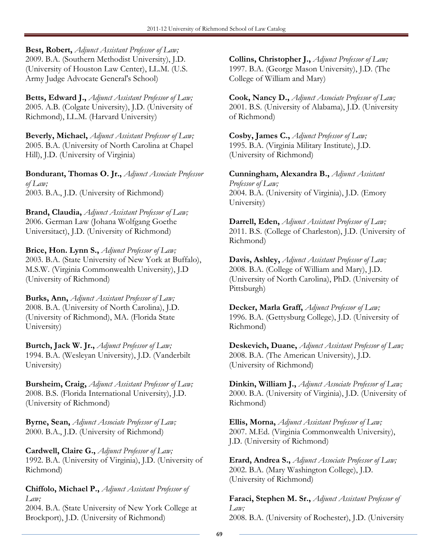Best, Robert, Adjunct Assistant Professor of Law; 2009. B.A. (Southern Methodist University), J.D. (University of Houston Law Center), LL.M. (U.S. Army Judge Advocate General's School)

Betts, Edward J., Adjunct Assistant Professor of Law; 2005. A.B. (Colgate University), J.D. (University of Richmond), LL.M. (Harvard University)

Beverly, Michael, Adjunct Assistant Professor of Law; 2005. B.A. (University of North Carolina at Chapel Hill), J.D. (University of Virginia)

Bondurant, Thomas O. Jr., Adjunct Associate Professor of Law; 2003. B.A., J.D. (University of Richmond)

Brand, Claudia, Adjunct Assistant Professor of Law; 2006. German Law (Johana Wolfgang Goethe Universitact), J.D. (University of Richmond)

Brice, Hon. Lynn S., Adjunct Professor of Law; 2003. B.A. (State University of New York at Buffalo), M.S.W. (Virginia Commonwealth University), J.D (University of Richmond)

Burks, Ann, Adjunct Assistant Professor of Law; 2008. B.A. (University of North Carolina), J.D. (University of Richmond), MA. (Florida State University)

Burtch, Jack W. Jr., Adjunct Professor of Law; 1994. B.A. (Wesleyan University), J.D. (Vanderbilt University)

Bursheim, Craig, Adjunct Assistant Professor of Law; 2008. B.S. (Florida International University), J.D. (University of Richmond)

Byrne, Sean, Adjunct Associate Professor of Law; 2000. B.A., J.D. (University of Richmond)

Cardwell, Claire G., Adjunct Professor of Law; 1992. B.A. (University of Virginia), J.D. (University of Richmond)

Chiffolo, Michael P., Adjunct Assistant Professor of Law;

2004. B.A. (State University of New York College at Brockport), J.D. (University of Richmond)

Collins, Christopher J., Adjunct Professor of Law; 1997. B.A. (George Mason University), J.D. (The College of William and Mary)

Cook, Nancy D., Adjunct Associate Professor of Law; 2001. B.S. (University of Alabama), J.D. (University of Richmond)

Cosby, James C., Adjunct Professor of Law; 1995. B.A. (Virginia Military Institute), J.D. (University of Richmond)

Cunningham, Alexandra B., Adjunct Assistant Professor of Law; 2004. B.A. (University of Virginia), J.D. (Emory University)

Darrell, Eden, Adjunct Assistant Professor of Law; 2011. B.S. (College of Charleston), J.D. (University of Richmond)

Davis, Ashley, Adjunct Assistant Professor of Law; 2008. B.A. (College of William and Mary), J.D. (University of North Carolina), PhD. (University of Pittsburgh)

Decker, Marla Graff, Adjunct Professor of Law; 1996. B.A. (Gettysburg College), J.D. (University of Richmond)

Deskevich, Duane, Adjunct Assistant Professor of Law; 2008. B.A. (The American University), J.D. (University of Richmond)

Dinkin, William J., Adjunct Associate Professor of Law; 2000. B.A. (University of Virginia), J.D. (University of Richmond)

Ellis, Morna, Adjunct Assistant Professor of Law; 2007. M.Ed. (Virginia Commonwealth University), J.D. (University of Richmond)

Erard, Andrea S., Adjunct Associate Professor of Law; 2002. B.A. (Mary Washington College), J.D. (University of Richmond)

Faraci, Stephen M. Sr., Adjunct Assistant Professor of Law; 2008. B.A. (University of Rochester), J.D. (University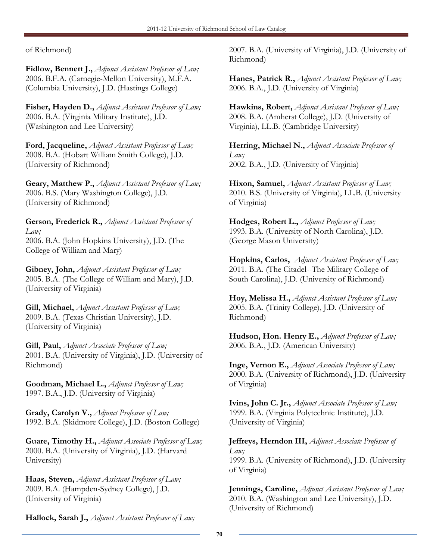of Richmond)

Fidlow, Bennett J., Adjunct Assistant Professor of Law; 2006. B.F.A. (Carnegie-Mellon University), M.F.A. (Columbia University), J.D. (Hastings College)

Fisher, Hayden D., Adjunct Assistant Professor of Law; 2006. B.A. (Virginia Military Institute), J.D. (Washington and Lee University)

Ford, Jacqueline, Adjunct Assistant Professor of Law; 2008. B.A. (Hobart William Smith College), J.D. (University of Richmond)

Geary, Matthew P., Adjunct Assistant Professor of Law; 2006. B.S. (Mary Washington College), J.D. (University of Richmond)

Gerson, Frederick R., Adjunct Assistant Professor of Law; 2006. B.A. (John Hopkins University), J.D. (The College of William and Mary)

Gibney, John, Adjunct Assistant Professor of Law; 2005. B.A. (The College of William and Mary), J.D. (University of Virginia)

Gill, Michael, Adjunct Assistant Professor of Law; 2009. B.A. (Texas Christian University), J.D. (University of Virginia)

Gill, Paul, Adjunct Associate Professor of Law; 2001. B.A. (University of Virginia), J.D. (University of Richmond)

Goodman, Michael L., Adjunct Professor of Law; 1997. B.A., J.D. (University of Virginia)

Grady, Carolyn V., Adjunct Professor of Law; 1992. B.A. (Skidmore College), J.D. (Boston College)

Guare, Timothy H., Adjunct Associate Professor of Law; 2000. B.A. (University of Virginia), J.D. (Harvard University)

Haas, Steven, Adjunct Assistant Professor of Law; 2009. B.A. (Hampden-Sydney College), J.D. (University of Virginia)

Hallock, Sarah J., Adjunct Assistant Professor of Law;

2007. B.A. (University of Virginia), J.D. (University of Richmond)

Hanes, Patrick R., Adjunct Assistant Professor of Law; 2006. B.A., J.D. (University of Virginia)

Hawkins, Robert, Adjunct Assistant Professor of Law; 2008. B.A. (Amherst College), J.D. (University of Virginia), LL.B. (Cambridge University)

Herring, Michael N., Adjunct Associate Professor of Law; 2002. B.A., J.D. (University of Virginia)

Hixon, Samuel, Adjunct Assistant Professor of Law; 2010. B.S. (University of Virginia), LL.B. (University of Virginia)

Hodges, Robert L., Adjunct Professor of Law; 1993. B.A. (University of North Carolina), J.D. (George Mason University)

Hopkins, Carlos, Adjunct Assistant Professor of Law; 2011. B.A. (The Citadel--The Military College of South Carolina), J.D. (University of Richmond)

Hoy, Melissa H., Adjunct Assistant Professor of Law; 2005. B.A. (Trinity College), J.D. (University of Richmond)

Hudson, Hon. Henry E., Adjunct Professor of Law; 2006. B.A., J.D. (American University)

Inge, Vernon E., Adjunct Associate Professor of Law; 2000. B.A. (University of Richmond), J.D. (University of Virginia)

Ivins, John C. Jr., Adjunct Associate Professor of Law; 1999. B.A. (Virginia Polytechnic Institute), J.D. (University of Virginia)

Jeffreys, Herndon III, Adjunct Associate Professor of Law; 1999. B.A. (University of Richmond), J.D. (University of Virginia)

Jennings, Caroline, Adjunct Assistant Professor of Law; 2010. B.A. (Washington and Lee University), J.D. (University of Richmond)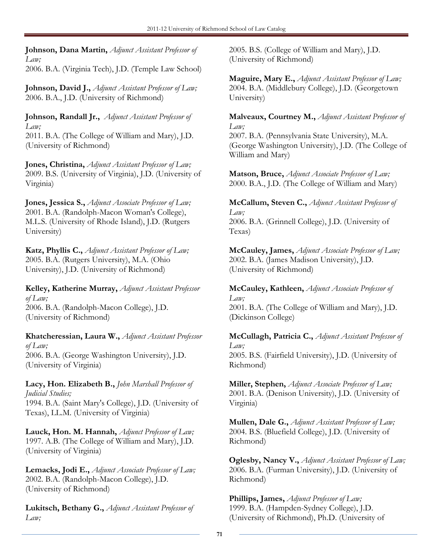Johnson, Dana Martin, Adjunct Assistant Professor of Law;

2006. B.A. (Virginia Tech), J.D. (Temple Law School)

Johnson, David J., Adjunct Assistant Professor of Law; 2006. B.A., J.D. (University of Richmond)

Johnson, Randall Jr., Adjunct Assistant Professor of Law;

2011. B.A. (The College of William and Mary), J.D. (University of Richmond)

Jones, Christina, Adjunct Assistant Professor of Law; 2009. B.S. (University of Virginia), J.D. (University of Virginia)

Jones, Jessica S., Adjunct Associate Professor of Law; 2001. B.A. (Randolph-Macon Woman's College), M.L.S. (University of Rhode Island), J.D. (Rutgers University)

Katz, Phyllis C., Adjunct Assistant Professor of Law; 2005. B.A. (Rutgers University), M.A. (Ohio University), J.D. (University of Richmond)

Kelley, Katherine Murray, Adjunct Assistant Professor of Law; 2006. B.A. (Randolph-Macon College), J.D. (University of Richmond)

Khatcheressian, Laura W., Adjunct Assistant Professor of Law; 2006. B.A. (George Washington University), J.D. (University of Virginia)

Lacy, Hon. Elizabeth B., John Marshall Professor of Judicial Studies; 1994. B.A. (Saint Mary's College), J.D. (University of Texas), LL.M. (University of Virginia)

Lauck, Hon. M. Hannah, Adjunct Professor of Law; 1997. A.B. (The College of William and Mary), J.D. (University of Virginia)

Lemacks, Jodi E., Adjunct Associate Professor of Law; 2002. B.A. (Randolph-Macon College), J.D. (University of Richmond)

Lukitsch, Bethany G., Adjunct Assistant Professor of Law;

2005. B.S. (College of William and Mary), J.D. (University of Richmond)

Maguire, Mary E., Adjunct Assistant Professor of Law; 2004. B.A. (Middlebury College), J.D. (Georgetown University)

Malveaux, Courtney M., Adjunct Assistant Professor of Law; 2007. B.A. (Pennsylvania State University), M.A. (George Washington University), J.D. (The College of William and Mary)

Matson, Bruce, Adjunct Associate Professor of Law; 2000. B.A., J.D. (The College of William and Mary)

McCallum, Steven C., Adjunct Assistant Professor of Law; 2006. B.A. (Grinnell College), J.D. (University of Texas)

McCauley, James, Adjunct Associate Professor of Law; 2002. B.A. (James Madison University), J.D. (University of Richmond)

McCauley, Kathleen, Adjunct Associate Professor of Law; 2001. B.A. (The College of William and Mary), J.D. (Dickinson College)

McCullagh, Patricia C., Adjunct Assistant Professor of Law; 2005. B.S. (Fairfield University), J.D. (University of Richmond)

Miller, Stephen, Adjunct Associate Professor of Law; 2001. B.A. (Denison University), J.D. (University of Virginia)

Mullen, Dale G., Adjunct Assistant Professor of Law; 2004. B.S. (Bluefield College), J.D. (University of Richmond)

Oglesby, Nancy V., Adjunct Assistant Professor of Law; 2006. B.A. (Furman University), J.D. (University of Richmond)

Phillips, James, Adjunct Professor of Law; 1999. B.A. (Hampden-Sydney College), J.D. (University of Richmond), Ph.D. (University of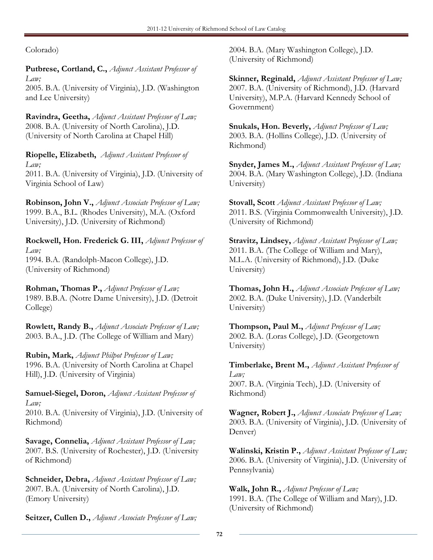Colorado)

Putbrese, Cortland, C., Adjunct Assistant Professor of Law;

2005. B.A. (University of Virginia), J.D. (Washington and Lee University)

Ravindra, Geetha, Adjunct Assistant Professor of Law; 2008. B.A. (University of North Carolina), J.D. (University of North Carolina at Chapel Hill)

Riopelle, Elizabeth, Adjunct Assistant Professor of Law;

2011. B.A. (University of Virginia), J.D. (University of Virginia School of Law)

Robinson, John V., Adjunct Associate Professor of Law; 1999. B.A., B.L. (Rhodes University), M.A. (Oxford University), J.D. (University of Richmond)

Rockwell, Hon. Frederick G. III, Adjunct Professor of Law; 1994. B.A. (Randolph-Macon College), J.D. (University of Richmond)

Rohman, Thomas P., Adjunct Professor of Law; 1989. B.B.A. (Notre Dame University), J.D. (Detroit College)

Rowlett, Randy B., Adjunct Associate Professor of Law; 2003. B.A., J.D. (The College of William and Mary)

Rubin, Mark, Adjunct Philpot Professor of Law; 1996. B.A. (University of North Carolina at Chapel Hill), J.D. (University of Virginia)

Samuel-Siegel, Doron, Adjunct Assistant Professor of Law; 2010. B.A. (University of Virginia), J.D. (University of Richmond)

Savage, Connelia, Adjunct Assistant Professor of Law; 2007. B.S. (University of Rochester), J.D. (University of Richmond)

Schneider, Debra, Adjunct Assistant Professor of Law; 2007. B.A. (University of North Carolina), J.D. (Emory University)

Seitzer, Cullen D., Adjunct Associate Professor of Law;

2004. B.A. (Mary Washington College), J.D. (University of Richmond)

Skinner, Reginald, Adjunct Assistant Professor of Law; 2007. B.A. (University of Richmond), J.D. (Harvard University), M.P.A. (Harvard Kennedy School of Government)

Snukals, Hon. Beverly, Adjunct Professor of Law; 2003. B.A. (Hollins College), J.D. (University of Richmond)

Snyder, James M., Adjunct Assistant Professor of Law; 2004. B.A. (Mary Washington College), J.D. (Indiana University)

Stovall, Scott Adjunct Assistant Professor of Law; 2011. B.S. (Virginia Commonwealth University), J.D. (University of Richmond)

Stravitz, Lindsey, Adjunct Assistant Professor of Law; 2011. B.A. (The College of William and Mary), M.L.A. (University of Richmond), J.D. (Duke University)

Thomas, John H., Adjunct Associate Professor of Law; 2002. B.A. (Duke University), J.D. (Vanderbilt University)

Thompson, Paul M., Adjunct Professor of Law; 2002. B.A. (Loras College), J.D. (Georgetown University)

Timberlake, Brent M., Adjunct Assistant Professor of Law; 2007. B.A. (Virginia Tech), J.D. (University of Richmond)

Wagner, Robert J., Adjunct Associate Professor of Law; 2003. B.A. (University of Virginia), J.D. (University of Denver)

Walinski, Kristin P., Adjunct Assistant Professor of Law; 2006. B.A. (University of Virginia), J.D. (University of Pennsylvania)

Walk, John R., Adjunct Professor of Law; 1991. B.A. (The College of William and Mary), J.D. (University of Richmond)